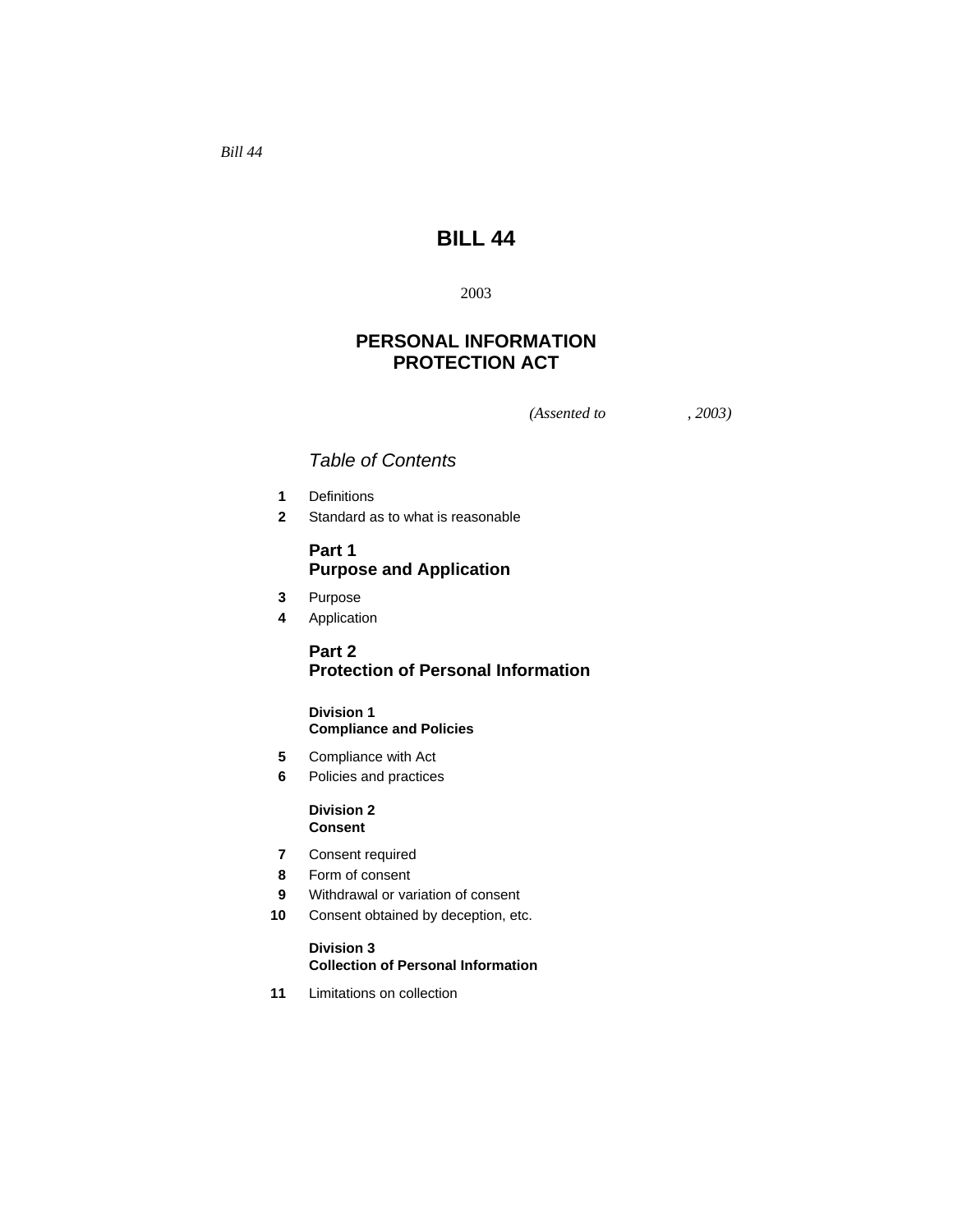*Bill 44* 

# **BILL 44**

# 2003

# **PERSONAL INFORMATION PROTECTION ACT**

*(Assented to , 2003)* 

# *Table of Contents*

- **1** Definitions
- **2** Standard as to what is reasonable

# **Part 1 Purpose and Application**

- **3** Purpose
- **4** Application

# **Part 2 Protection of Personal Information**

# **Division 1 Compliance and Policies**

- **5** Compliance with Act
- **6** Policies and practices

# **Division 2 Consent**

- **7** Consent required
- **8** Form of consent
- **9** Withdrawal or variation of consent
- **10** Consent obtained by deception, etc.

#### **Division 3 Collection of Personal Information**

**11** Limitations on collection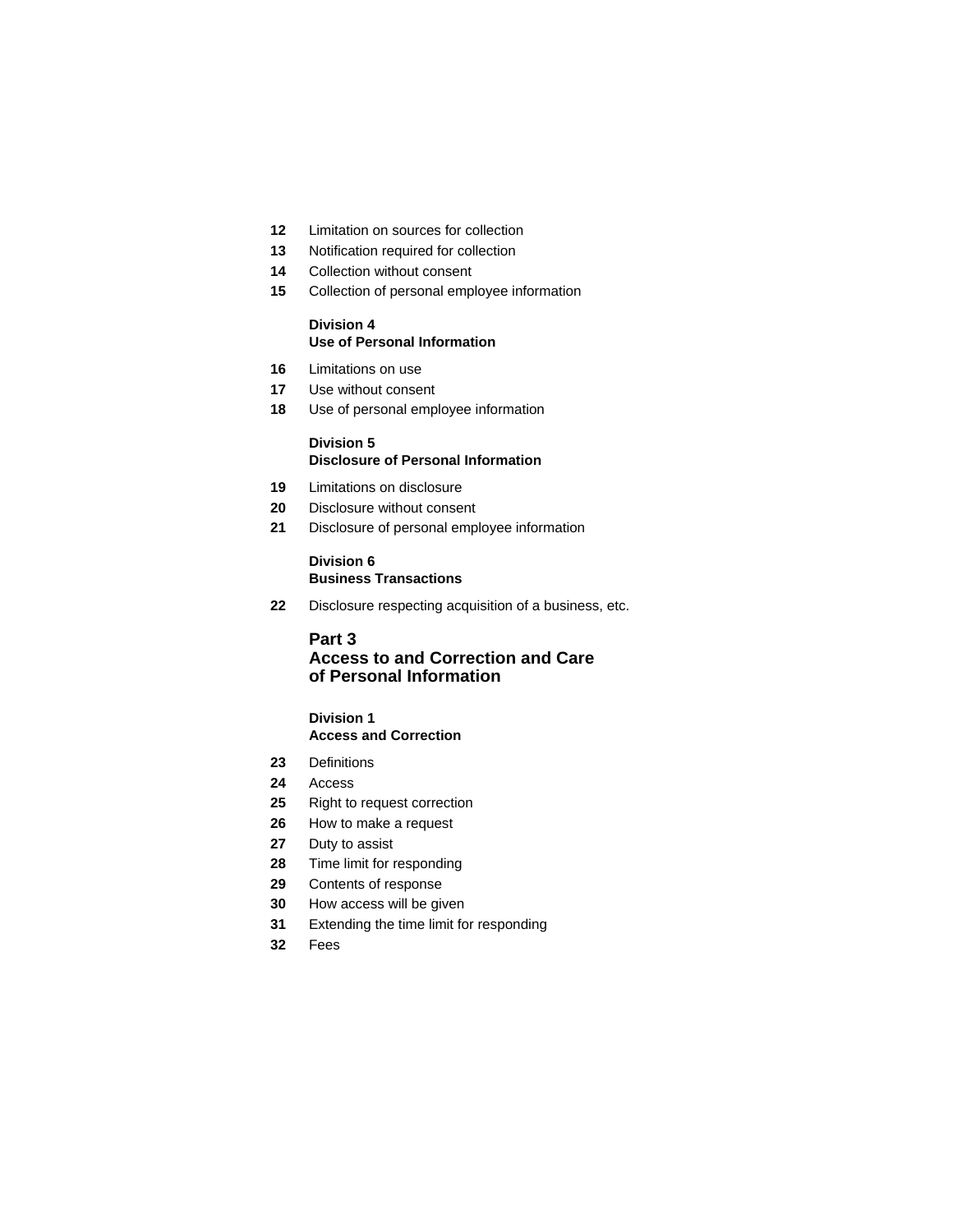- Limitation on sources for collection
- Notification required for collection
- Collection without consent
- Collection of personal employee information

### **Division 4 Use of Personal Information**

- Limitations on use
- Use without consent
- Use of personal employee information

#### **Division 5 Disclosure of Personal Information**

- Limitations on disclosure
- Disclosure without consent
- Disclosure of personal employee information

#### **Division 6 Business Transactions**

Disclosure respecting acquisition of a business, etc.

#### **Part 3**

# **Access to and Correction and Care of Personal Information**

# **Division 1**

# **Access and Correction**

- Definitions
- Access
- Right to request correction
- How to make a request
- Duty to assist
- Time limit for responding
- Contents of response
- How access will be given
- Extending the time limit for responding
- Fees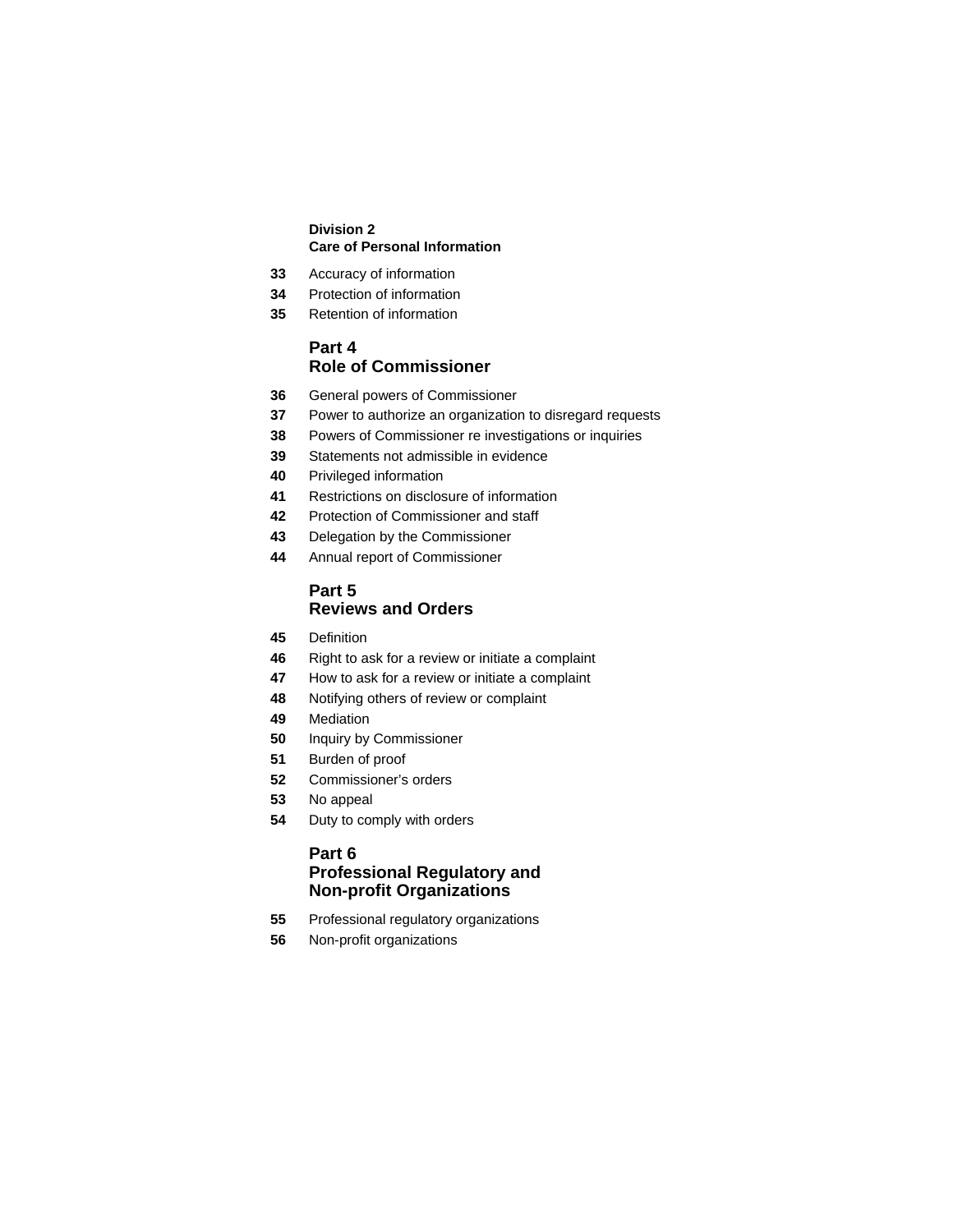# **Division 2 Care of Personal Information**

- Accuracy of information
- Protection of information
- Retention of information

# **Part 4 Role of Commissioner**

- General powers of Commissioner
- Power to authorize an organization to disregard requests
- Powers of Commissioner re investigations or inquiries
- Statements not admissible in evidence
- Privileged information
- Restrictions on disclosure of information
- Protection of Commissioner and staff
- Delegation by the Commissioner
- Annual report of Commissioner

# **Part 5 Reviews and Orders**

- Definition
- Right to ask for a review or initiate a complaint
- How to ask for a review or initiate a complaint
- Notifying others of review or complaint
- Mediation
- Inquiry by Commissioner
- Burden of proof
- Commissioner's orders
- No appeal
- Duty to comply with orders

# **Part 6 Professional Regulatory and Non-profit Organizations**

- Professional regulatory organizations
- Non-profit organizations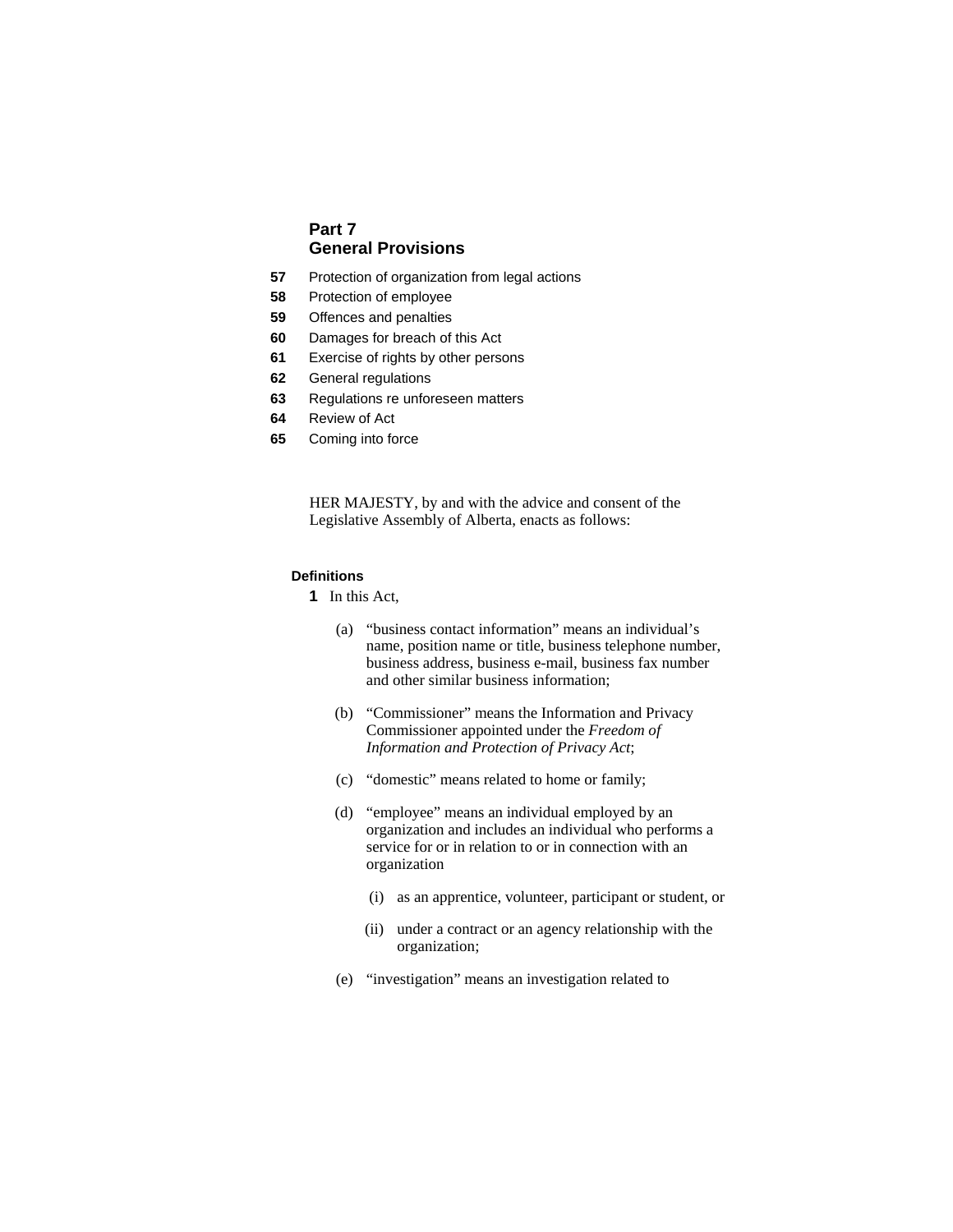# **Part 7 General Provisions**

- **57** Protection of organization from legal actions
- **58** Protection of employee
- **59** Offences and penalties
- **60** Damages for breach of this Act
- **61** Exercise of rights by other persons
- **62** General regulations
- **63** Regulations re unforeseen matters
- **64** Review of Act
- **65** Coming into force

HER MAJESTY, by and with the advice and consent of the Legislative Assembly of Alberta, enacts as follows:

# **Definitions**

- **1** In this Act,
	- (a) "business contact information" means an individual's name, position name or title, business telephone number, business address, business e-mail, business fax number and other similar business information;
	- (b) "Commissioner" means the Information and Privacy Commissioner appointed under the *Freedom of Information and Protection of Privacy Act*;
	- (c) "domestic" means related to home or family;
	- (d) "employee" means an individual employed by an organization and includes an individual who performs a service for or in relation to or in connection with an organization
		- (i) as an apprentice, volunteer, participant or student, or
		- (ii) under a contract or an agency relationship with the organization;
	- (e) "investigation" means an investigation related to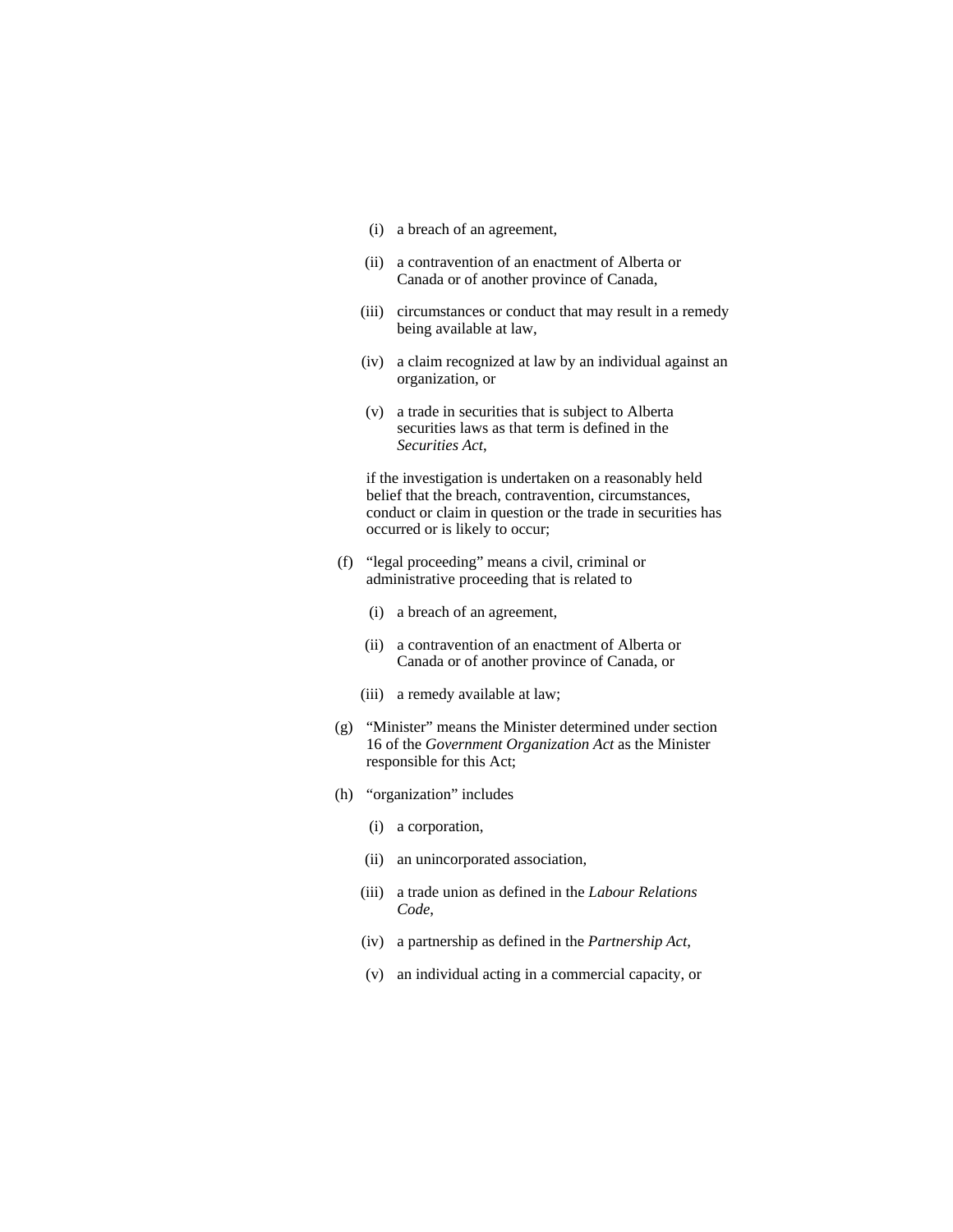- (i) a breach of an agreement,
- (ii) a contravention of an enactment of Alberta or Canada or of another province of Canada,
- (iii) circumstances or conduct that may result in a remedy being available at law,
- (iv) a claim recognized at law by an individual against an organization, or
- (v) a trade in securities that is subject to Alberta securities laws as that term is defined in the *Securities Act*,

 if the investigation is undertaken on a reasonably held belief that the breach, contravention, circumstances, conduct or claim in question or the trade in securities has occurred or is likely to occur;

- (f) "legal proceeding" means a civil, criminal or administrative proceeding that is related to
	- (i) a breach of an agreement,
	- (ii) a contravention of an enactment of Alberta or Canada or of another province of Canada, or
	- (iii) a remedy available at law;
- (g) "Minister" means the Minister determined under section 16 of the *Government Organization Act* as the Minister responsible for this Act;
- (h) "organization" includes
	- (i) a corporation,
	- (ii) an unincorporated association,
	- (iii) a trade union as defined in the *Labour Relations Code*,
	- (iv) a partnership as defined in the *Partnership Act*,
	- (v) an individual acting in a commercial capacity, or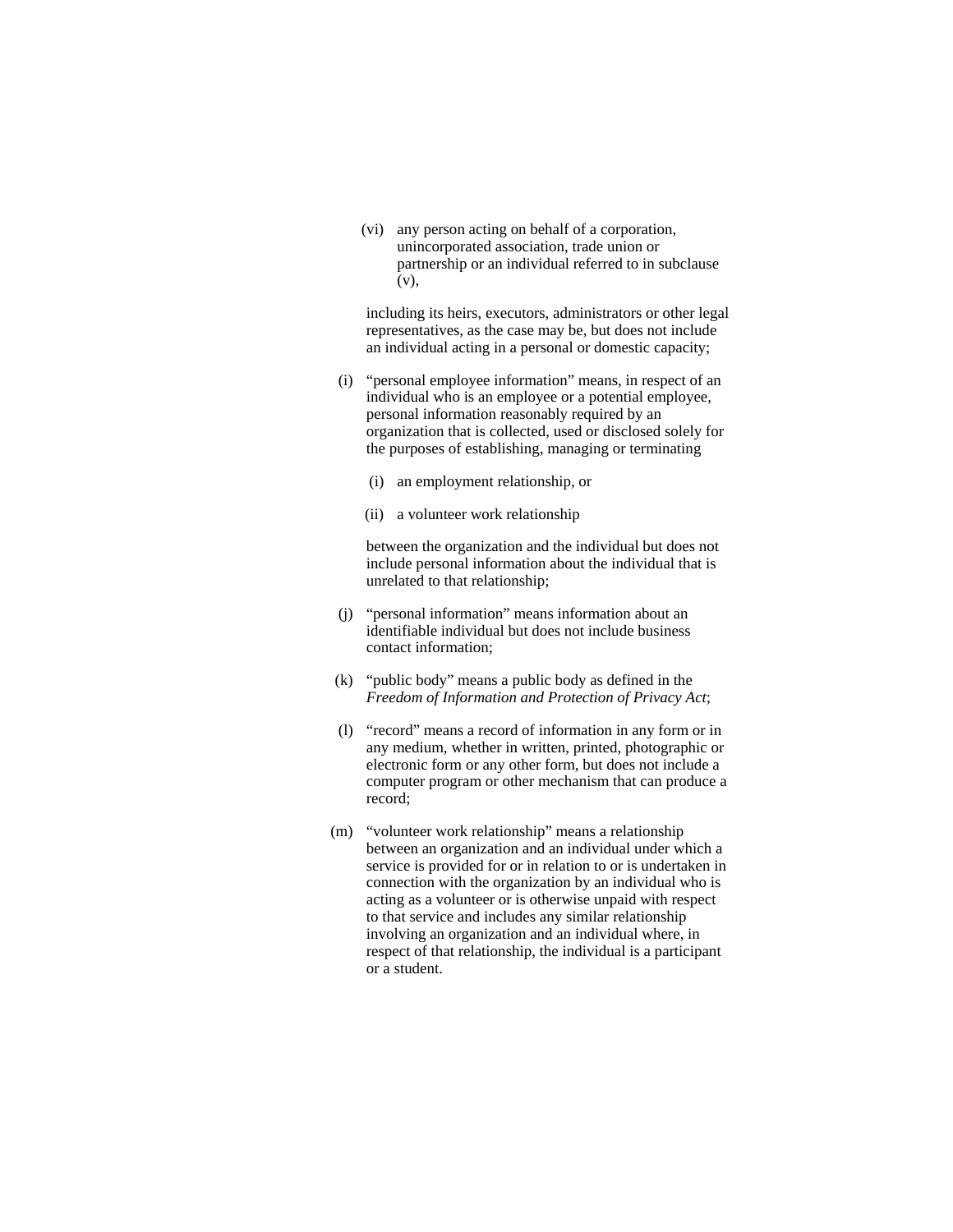(vi) any person acting on behalf of a corporation, unincorporated association, trade union or partnership or an individual referred to in subclause (v),

 including its heirs, executors, administrators or other legal representatives, as the case may be, but does not include an individual acting in a personal or domestic capacity;

- (i) "personal employee information" means, in respect of an individual who is an employee or a potential employee, personal information reasonably required by an organization that is collected, used or disclosed solely for the purposes of establishing, managing or terminating
	- (i) an employment relationship, or
	- (ii) a volunteer work relationship

 between the organization and the individual but does not include personal information about the individual that is unrelated to that relationship;

- (j) "personal information" means information about an identifiable individual but does not include business contact information;
- (k) "public body" means a public body as defined in the *Freedom of Information and Protection of Privacy Act*;
- (l) "record" means a record of information in any form or in any medium, whether in written, printed, photographic or electronic form or any other form, but does not include a computer program or other mechanism that can produce a record;
- (m) "volunteer work relationship" means a relationship between an organization and an individual under which a service is provided for or in relation to or is undertaken in connection with the organization by an individual who is acting as a volunteer or is otherwise unpaid with respect to that service and includes any similar relationship involving an organization and an individual where, in respect of that relationship, the individual is a participant or a student.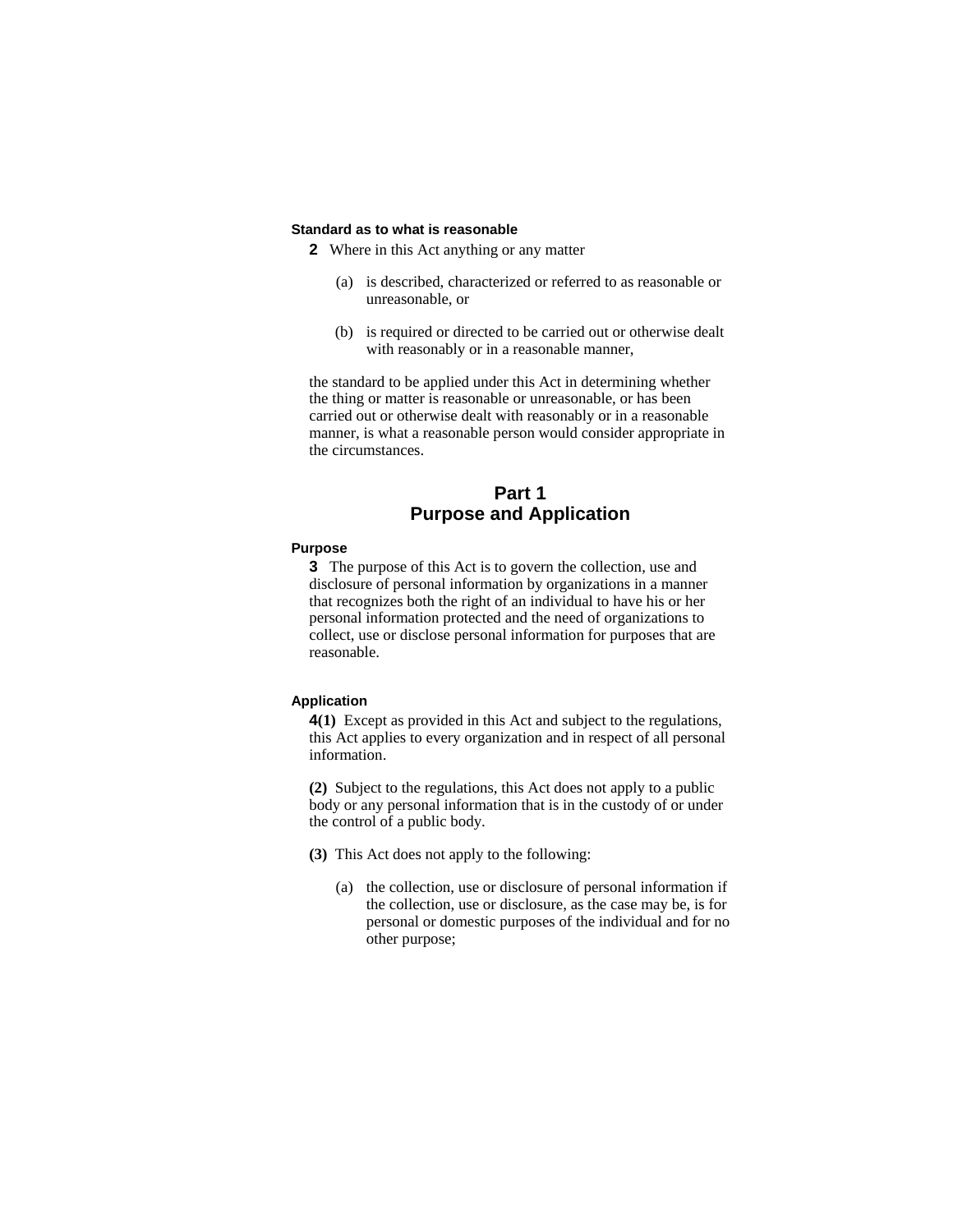#### **Standard as to what is reasonable**

**2** Where in this Act anything or any matter

- (a) is described, characterized or referred to as reasonable or unreasonable, or
- (b) is required or directed to be carried out or otherwise dealt with reasonably or in a reasonable manner,

the standard to be applied under this Act in determining whether the thing or matter is reasonable or unreasonable, or has been carried out or otherwise dealt with reasonably or in a reasonable manner, is what a reasonable person would consider appropriate in the circumstances.

# **Part 1 Purpose and Application**

### **Purpose**

**3** The purpose of this Act is to govern the collection, use and disclosure of personal information by organizations in a manner that recognizes both the right of an individual to have his or her personal information protected and the need of organizations to collect, use or disclose personal information for purposes that are reasonable.

### **Application**

**4(1)** Except as provided in this Act and subject to the regulations, this Act applies to every organization and in respect of all personal information.

**(2)** Subject to the regulations, this Act does not apply to a public body or any personal information that is in the custody of or under the control of a public body.

**(3)** This Act does not apply to the following:

(a) the collection, use or disclosure of personal information if the collection, use or disclosure, as the case may be, is for personal or domestic purposes of the individual and for no other purpose;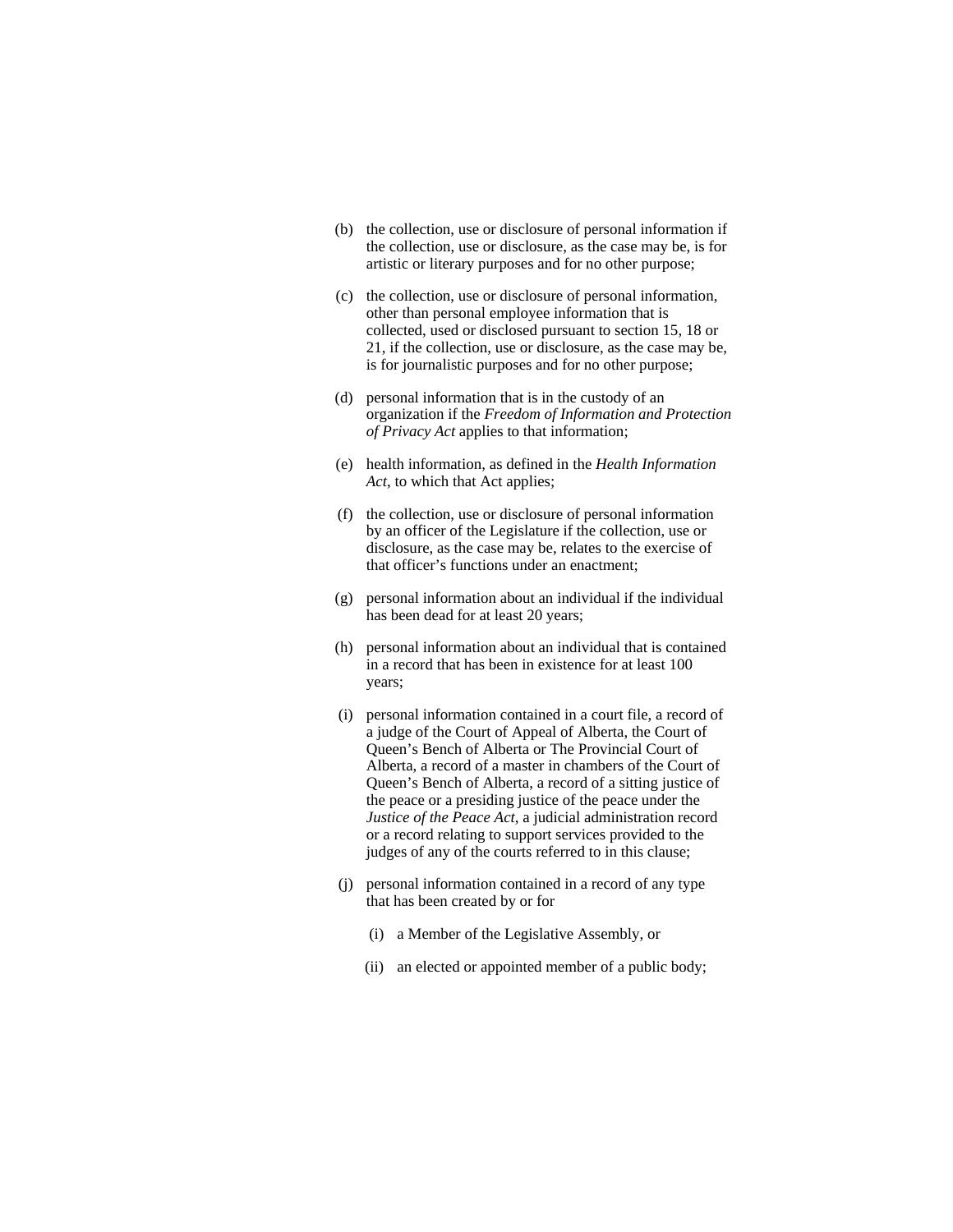- (b) the collection, use or disclosure of personal information if the collection, use or disclosure, as the case may be, is for artistic or literary purposes and for no other purpose;
- (c) the collection, use or disclosure of personal information, other than personal employee information that is collected, used or disclosed pursuant to section 15, 18 or 21, if the collection, use or disclosure, as the case may be, is for journalistic purposes and for no other purpose;
- (d) personal information that is in the custody of an organization if the *Freedom of Information and Protection of Privacy Act* applies to that information;
- (e) health information, as defined in the *Health Information Act*, to which that Act applies;
- (f) the collection, use or disclosure of personal information by an officer of the Legislature if the collection, use or disclosure, as the case may be, relates to the exercise of that officer's functions under an enactment;
- (g) personal information about an individual if the individual has been dead for at least 20 years;
- (h) personal information about an individual that is contained in a record that has been in existence for at least 100 years;
- (i) personal information contained in a court file, a record of a judge of the Court of Appeal of Alberta, the Court of Queen's Bench of Alberta or The Provincial Court of Alberta, a record of a master in chambers of the Court of Queen's Bench of Alberta, a record of a sitting justice of the peace or a presiding justice of the peace under the *Justice of the Peace Act*, a judicial administration record or a record relating to support services provided to the judges of any of the courts referred to in this clause;
- (j) personal information contained in a record of any type that has been created by or for
	- (i) a Member of the Legislative Assembly, or
	- (ii) an elected or appointed member of a public body;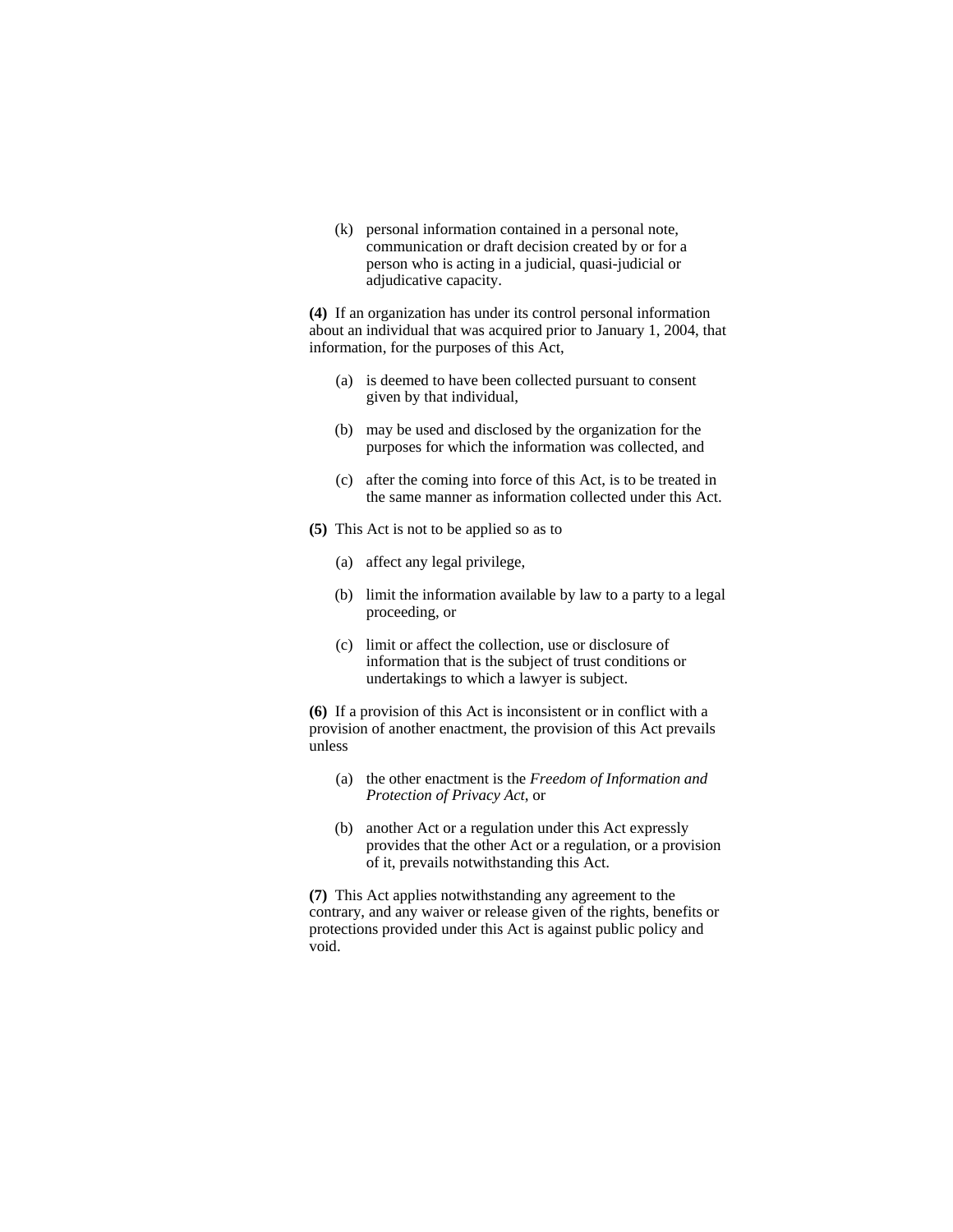(k) personal information contained in a personal note, communication or draft decision created by or for a person who is acting in a judicial, quasi-judicial or adjudicative capacity.

**(4)** If an organization has under its control personal information about an individual that was acquired prior to January 1, 2004, that information, for the purposes of this Act,

- (a) is deemed to have been collected pursuant to consent given by that individual,
- (b) may be used and disclosed by the organization for the purposes for which the information was collected, and
- (c) after the coming into force of this Act, is to be treated in the same manner as information collected under this Act.
- **(5)** This Act is not to be applied so as to
	- (a) affect any legal privilege,
	- (b) limit the information available by law to a party to a legal proceeding, or
	- (c) limit or affect the collection, use or disclosure of information that is the subject of trust conditions or undertakings to which a lawyer is subject.

**(6)** If a provision of this Act is inconsistent or in conflict with a provision of another enactment, the provision of this Act prevails unless

- (a) the other enactment is the *Freedom of Information and Protection of Privacy Act*, or
- (b) another Act or a regulation under this Act expressly provides that the other Act or a regulation, or a provision of it, prevails notwithstanding this Act.

**(7)** This Act applies notwithstanding any agreement to the contrary, and any waiver or release given of the rights, benefits or protections provided under this Act is against public policy and void.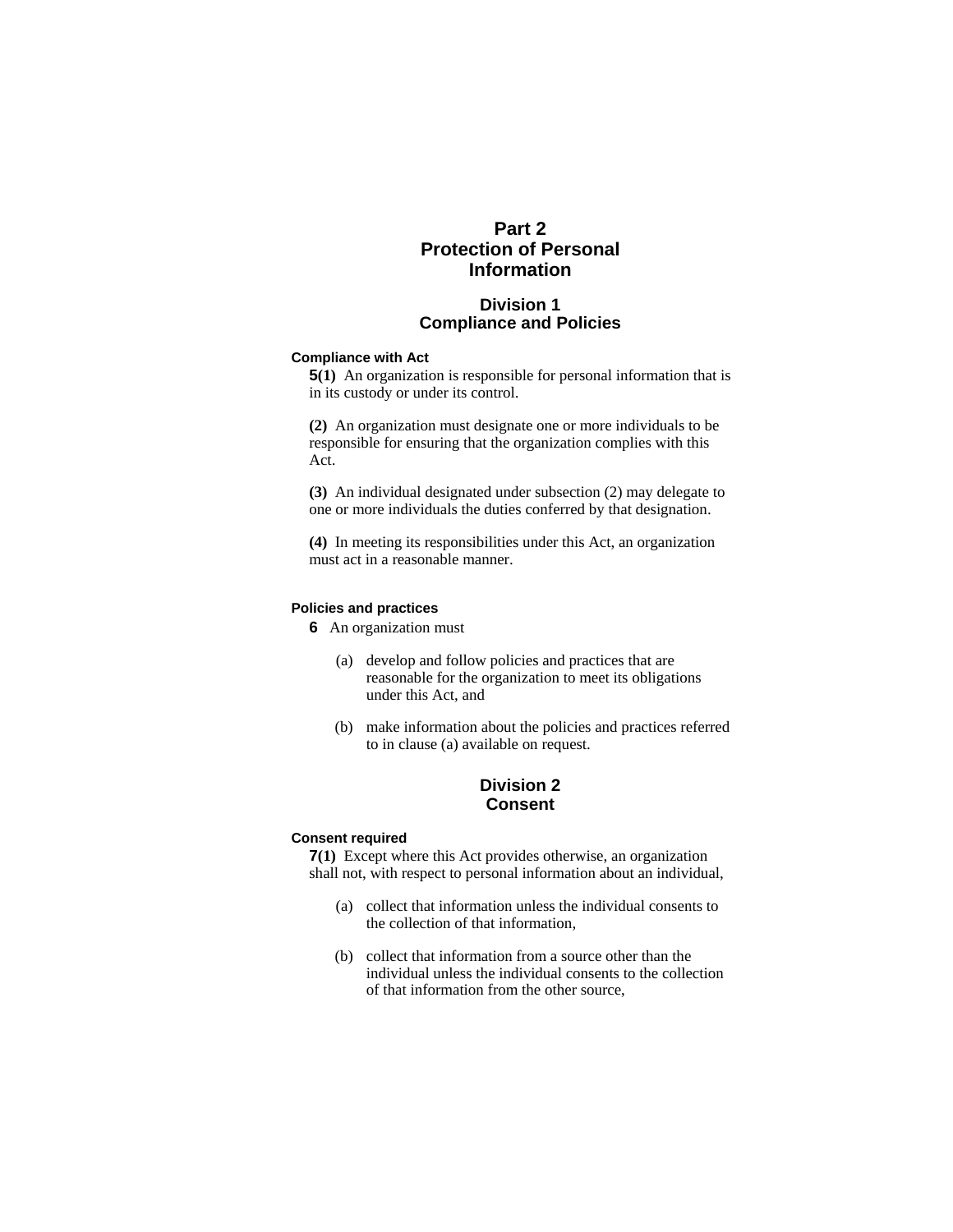# **Part 2 Protection of Personal Information**

# **Division 1 Compliance and Policies**

#### **Compliance with Act**

**5(1)** An organization is responsible for personal information that is in its custody or under its control.

**(2)** An organization must designate one or more individuals to be responsible for ensuring that the organization complies with this Act.

**(3)** An individual designated under subsection (2) may delegate to one or more individuals the duties conferred by that designation.

**(4)** In meeting its responsibilities under this Act, an organization must act in a reasonable manner.

#### **Policies and practices**

**6** An organization must

- (a) develop and follow policies and practices that are reasonable for the organization to meet its obligations under this Act, and
- (b) make information about the policies and practices referred to in clause (a) available on request.

# **Division 2 Consent**

### **Consent required**

**7(1)** Except where this Act provides otherwise, an organization shall not, with respect to personal information about an individual,

- (a) collect that information unless the individual consents to the collection of that information,
- (b) collect that information from a source other than the individual unless the individual consents to the collection of that information from the other source,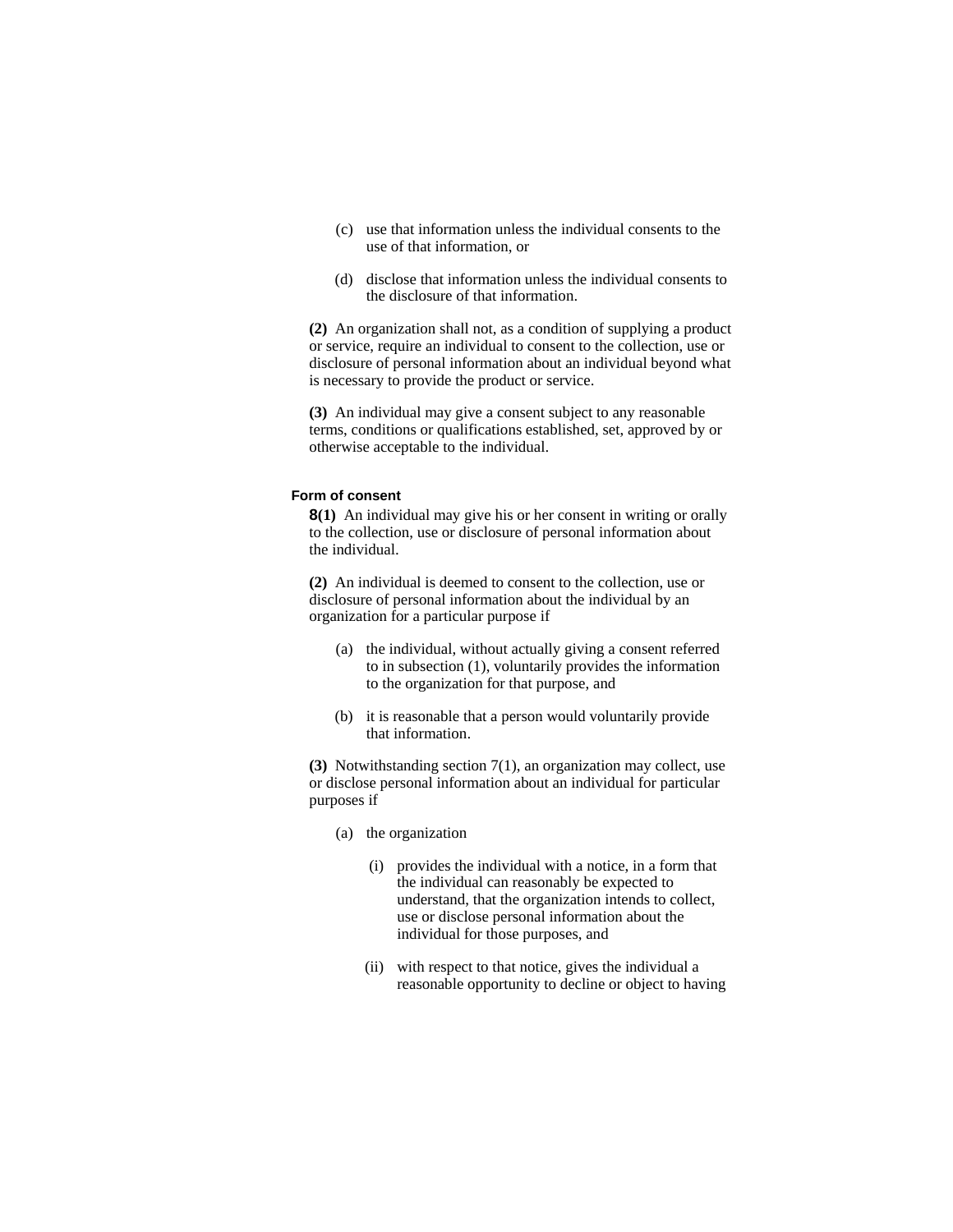- (c) use that information unless the individual consents to the use of that information, or
- (d) disclose that information unless the individual consents to the disclosure of that information.

**(2)** An organization shall not, as a condition of supplying a product or service, require an individual to consent to the collection, use or disclosure of personal information about an individual beyond what is necessary to provide the product or service.

**(3)** An individual may give a consent subject to any reasonable terms, conditions or qualifications established, set, approved by or otherwise acceptable to the individual.

#### **Form of consent**

**8(1)** An individual may give his or her consent in writing or orally to the collection, use or disclosure of personal information about the individual.

**(2)** An individual is deemed to consent to the collection, use or disclosure of personal information about the individual by an organization for a particular purpose if

- (a) the individual, without actually giving a consent referred to in subsection (1), voluntarily provides the information to the organization for that purpose, and
- (b) it is reasonable that a person would voluntarily provide that information.

**(3)** Notwithstanding section 7(1), an organization may collect, use or disclose personal information about an individual for particular purposes if

- (a) the organization
	- (i) provides the individual with a notice, in a form that the individual can reasonably be expected to understand, that the organization intends to collect, use or disclose personal information about the individual for those purposes, and
	- (ii) with respect to that notice, gives the individual a reasonable opportunity to decline or object to having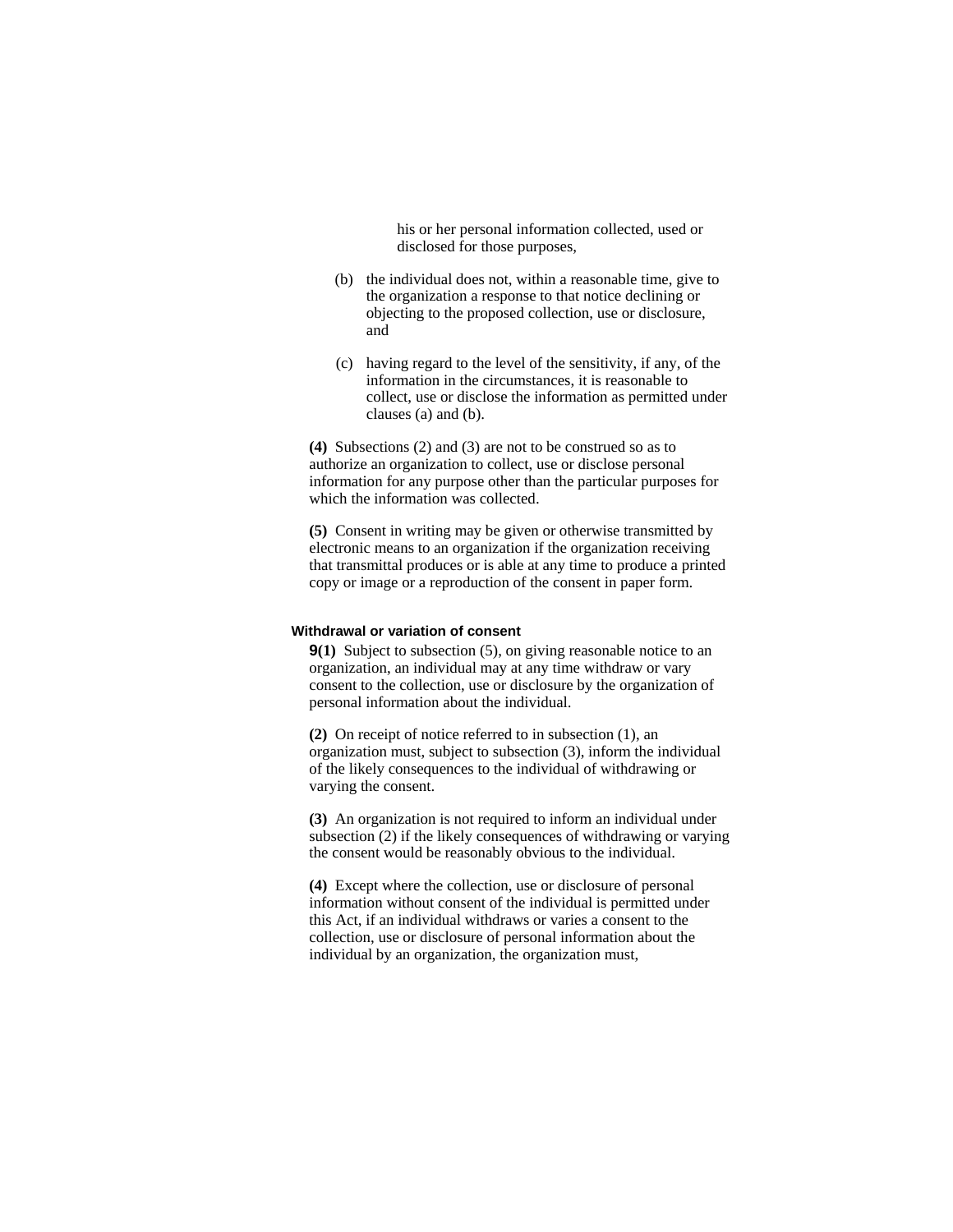his or her personal information collected, used or disclosed for those purposes,

- (b) the individual does not, within a reasonable time, give to the organization a response to that notice declining or objecting to the proposed collection, use or disclosure, and
- (c) having regard to the level of the sensitivity, if any, of the information in the circumstances, it is reasonable to collect, use or disclose the information as permitted under clauses (a) and (b).

**(4)** Subsections (2) and (3) are not to be construed so as to authorize an organization to collect, use or disclose personal information for any purpose other than the particular purposes for which the information was collected.

**(5)** Consent in writing may be given or otherwise transmitted by electronic means to an organization if the organization receiving that transmittal produces or is able at any time to produce a printed copy or image or a reproduction of the consent in paper form.

#### **Withdrawal or variation of consent**

**9(1)** Subject to subsection (5), on giving reasonable notice to an organization, an individual may at any time withdraw or vary consent to the collection, use or disclosure by the organization of personal information about the individual.

**(2)** On receipt of notice referred to in subsection (1), an organization must, subject to subsection (3), inform the individual of the likely consequences to the individual of withdrawing or varying the consent.

**(3)** An organization is not required to inform an individual under subsection (2) if the likely consequences of withdrawing or varying the consent would be reasonably obvious to the individual.

**(4)** Except where the collection, use or disclosure of personal information without consent of the individual is permitted under this Act, if an individual withdraws or varies a consent to the collection, use or disclosure of personal information about the individual by an organization, the organization must,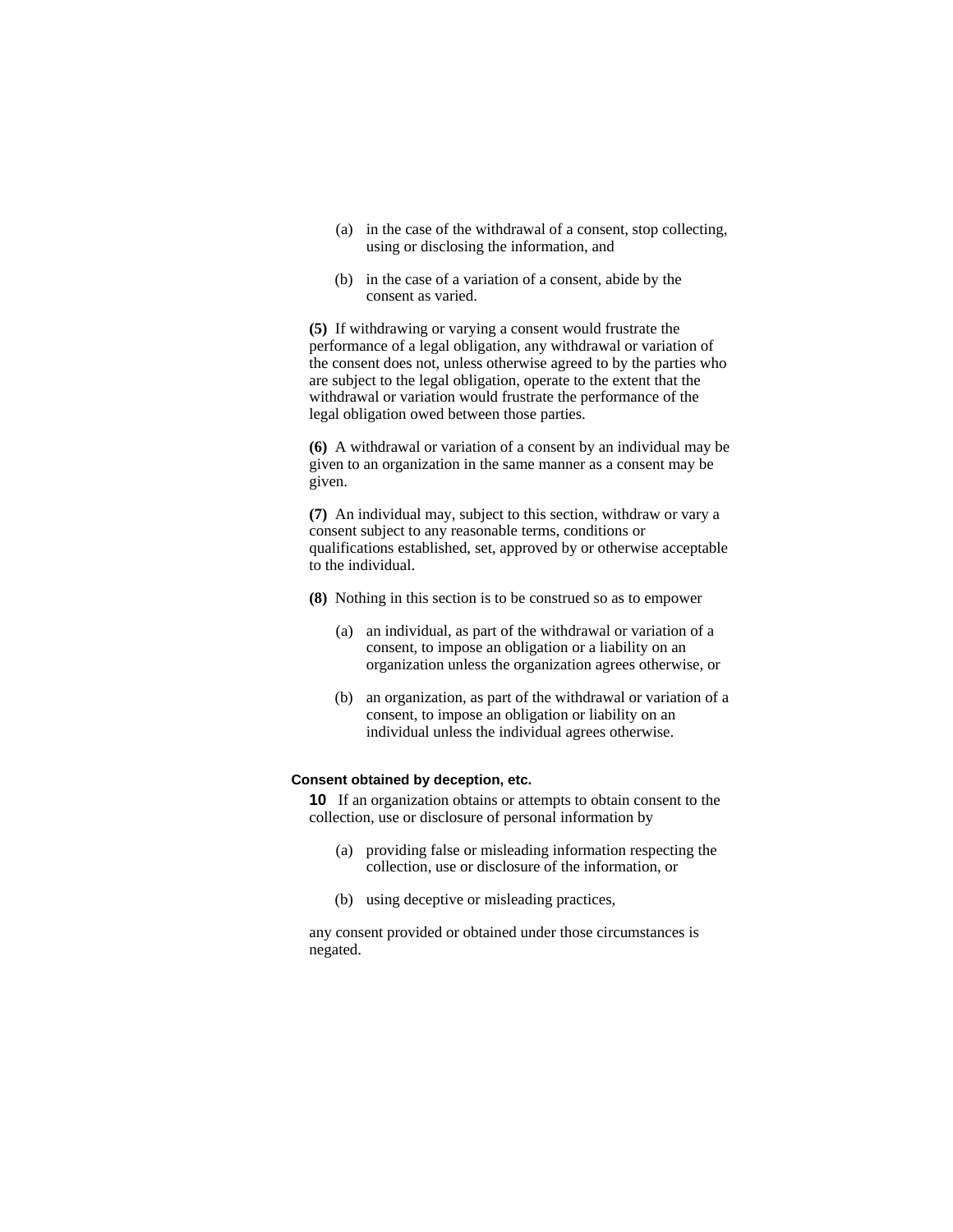- (a) in the case of the withdrawal of a consent, stop collecting, using or disclosing the information, and
- (b) in the case of a variation of a consent, abide by the consent as varied.

**(5)** If withdrawing or varying a consent would frustrate the performance of a legal obligation, any withdrawal or variation of the consent does not, unless otherwise agreed to by the parties who are subject to the legal obligation, operate to the extent that the withdrawal or variation would frustrate the performance of the legal obligation owed between those parties.

**(6)** A withdrawal or variation of a consent by an individual may be given to an organization in the same manner as a consent may be given.

**(7)** An individual may, subject to this section, withdraw or vary a consent subject to any reasonable terms, conditions or qualifications established, set, approved by or otherwise acceptable to the individual.

- **(8)** Nothing in this section is to be construed so as to empower
	- (a) an individual, as part of the withdrawal or variation of a consent, to impose an obligation or a liability on an organization unless the organization agrees otherwise, or
	- (b) an organization, as part of the withdrawal or variation of a consent, to impose an obligation or liability on an individual unless the individual agrees otherwise.

#### **Consent obtained by deception, etc.**

**10** If an organization obtains or attempts to obtain consent to the collection, use or disclosure of personal information by

- (a) providing false or misleading information respecting the collection, use or disclosure of the information, or
- (b) using deceptive or misleading practices,

any consent provided or obtained under those circumstances is negated.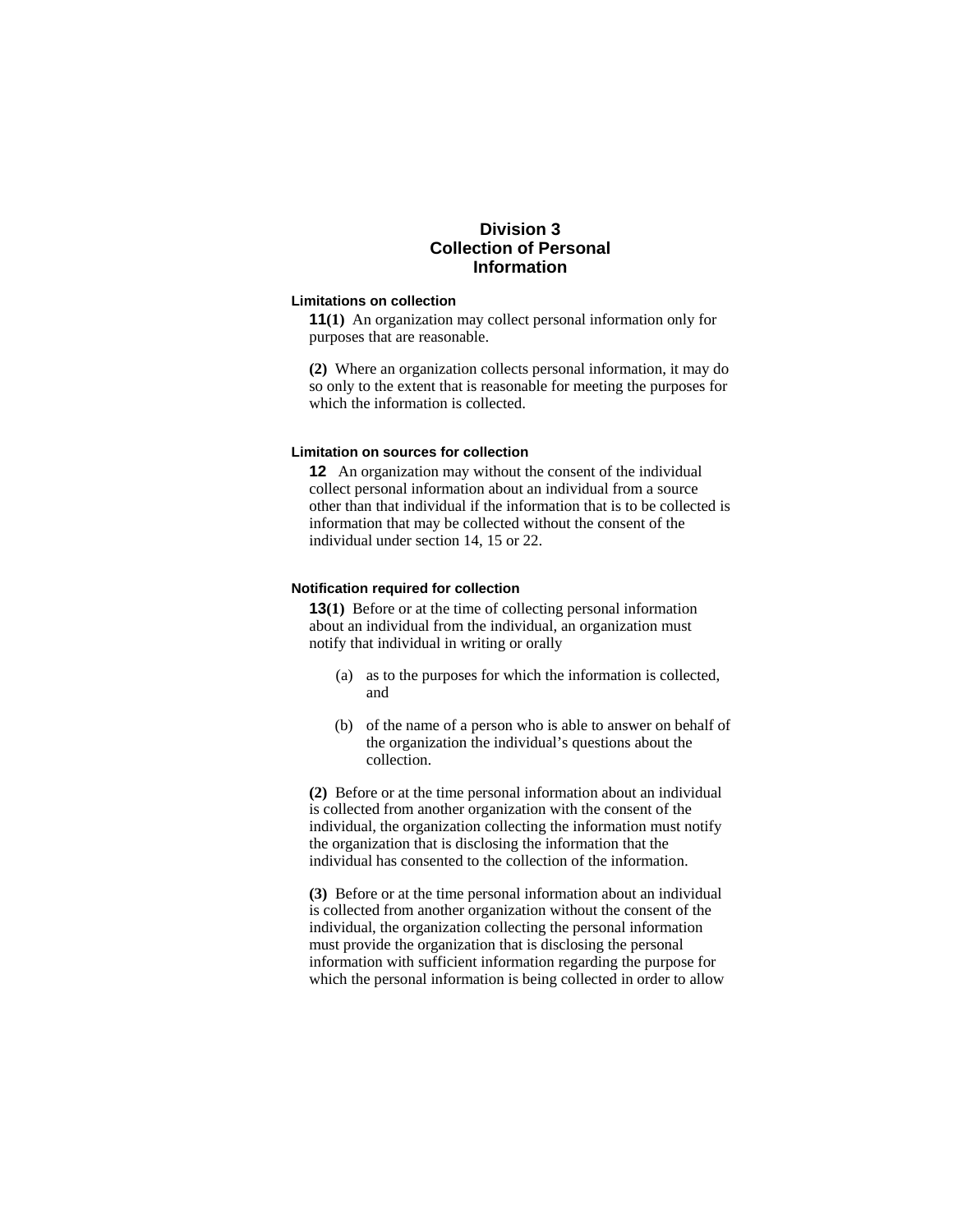# **Division 3 Collection of Personal Information**

#### **Limitations on collection**

**11(1)** An organization may collect personal information only for purposes that are reasonable.

**(2)** Where an organization collects personal information, it may do so only to the extent that is reasonable for meeting the purposes for which the information is collected.

#### **Limitation on sources for collection**

**12** An organization may without the consent of the individual collect personal information about an individual from a source other than that individual if the information that is to be collected is information that may be collected without the consent of the individual under section 14, 15 or 22.

### **Notification required for collection**

**13(1)** Before or at the time of collecting personal information about an individual from the individual, an organization must notify that individual in writing or orally

- (a) as to the purposes for which the information is collected, and
- (b) of the name of a person who is able to answer on behalf of the organization the individual's questions about the collection.

**(2)** Before or at the time personal information about an individual is collected from another organization with the consent of the individual, the organization collecting the information must notify the organization that is disclosing the information that the individual has consented to the collection of the information.

**(3)** Before or at the time personal information about an individual is collected from another organization without the consent of the individual, the organization collecting the personal information must provide the organization that is disclosing the personal information with sufficient information regarding the purpose for which the personal information is being collected in order to allow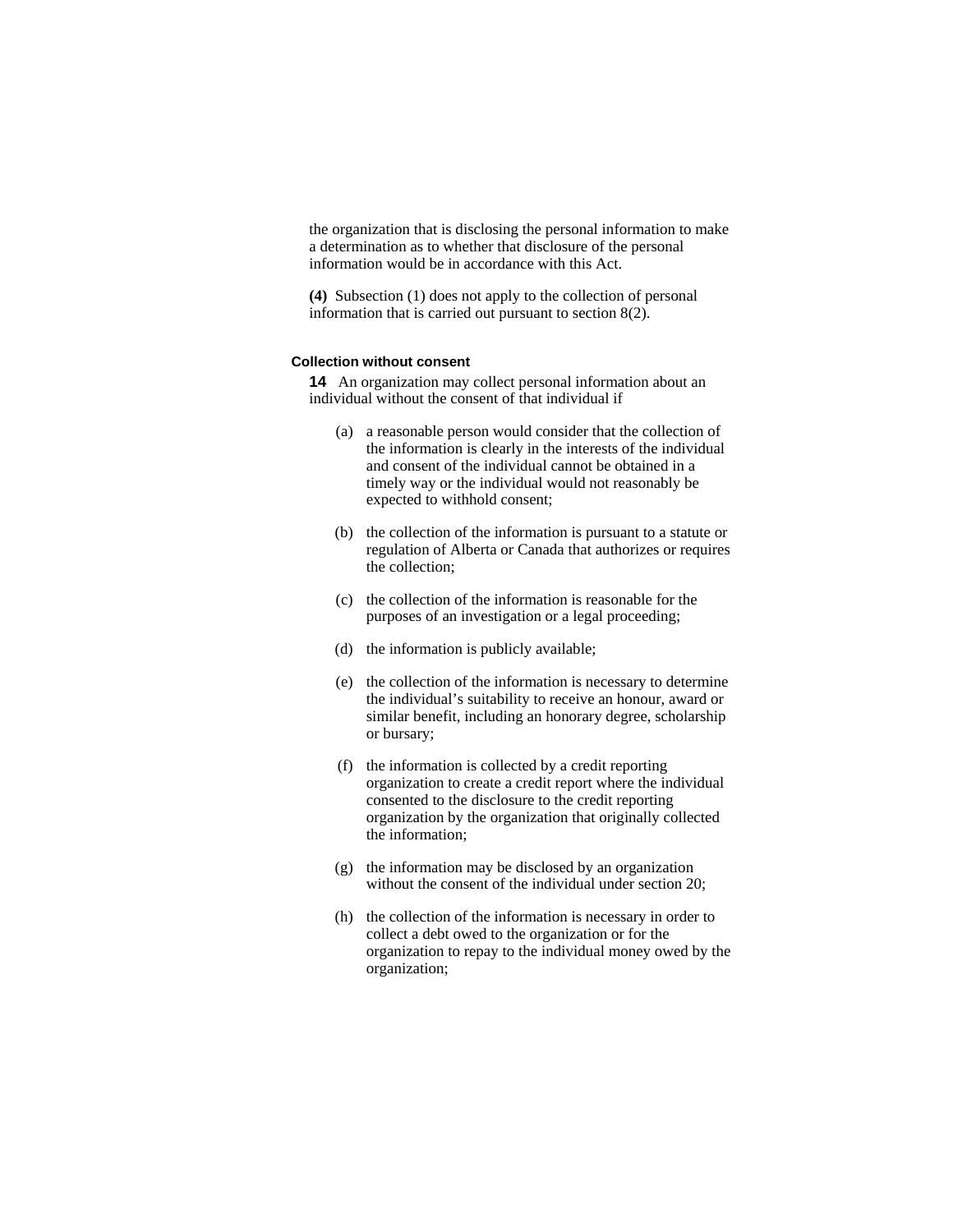the organization that is disclosing the personal information to make a determination as to whether that disclosure of the personal information would be in accordance with this Act.

**(4)** Subsection (1) does not apply to the collection of personal information that is carried out pursuant to section 8(2).

#### **Collection without consent**

**14** An organization may collect personal information about an individual without the consent of that individual if

- (a) a reasonable person would consider that the collection of the information is clearly in the interests of the individual and consent of the individual cannot be obtained in a timely way or the individual would not reasonably be expected to withhold consent;
- (b) the collection of the information is pursuant to a statute or regulation of Alberta or Canada that authorizes or requires the collection;
- (c) the collection of the information is reasonable for the purposes of an investigation or a legal proceeding;
- (d) the information is publicly available;
- (e) the collection of the information is necessary to determine the individual's suitability to receive an honour, award or similar benefit, including an honorary degree, scholarship or bursary;
- (f) the information is collected by a credit reporting organization to create a credit report where the individual consented to the disclosure to the credit reporting organization by the organization that originally collected the information;
- (g) the information may be disclosed by an organization without the consent of the individual under section 20:
- (h) the collection of the information is necessary in order to collect a debt owed to the organization or for the organization to repay to the individual money owed by the organization;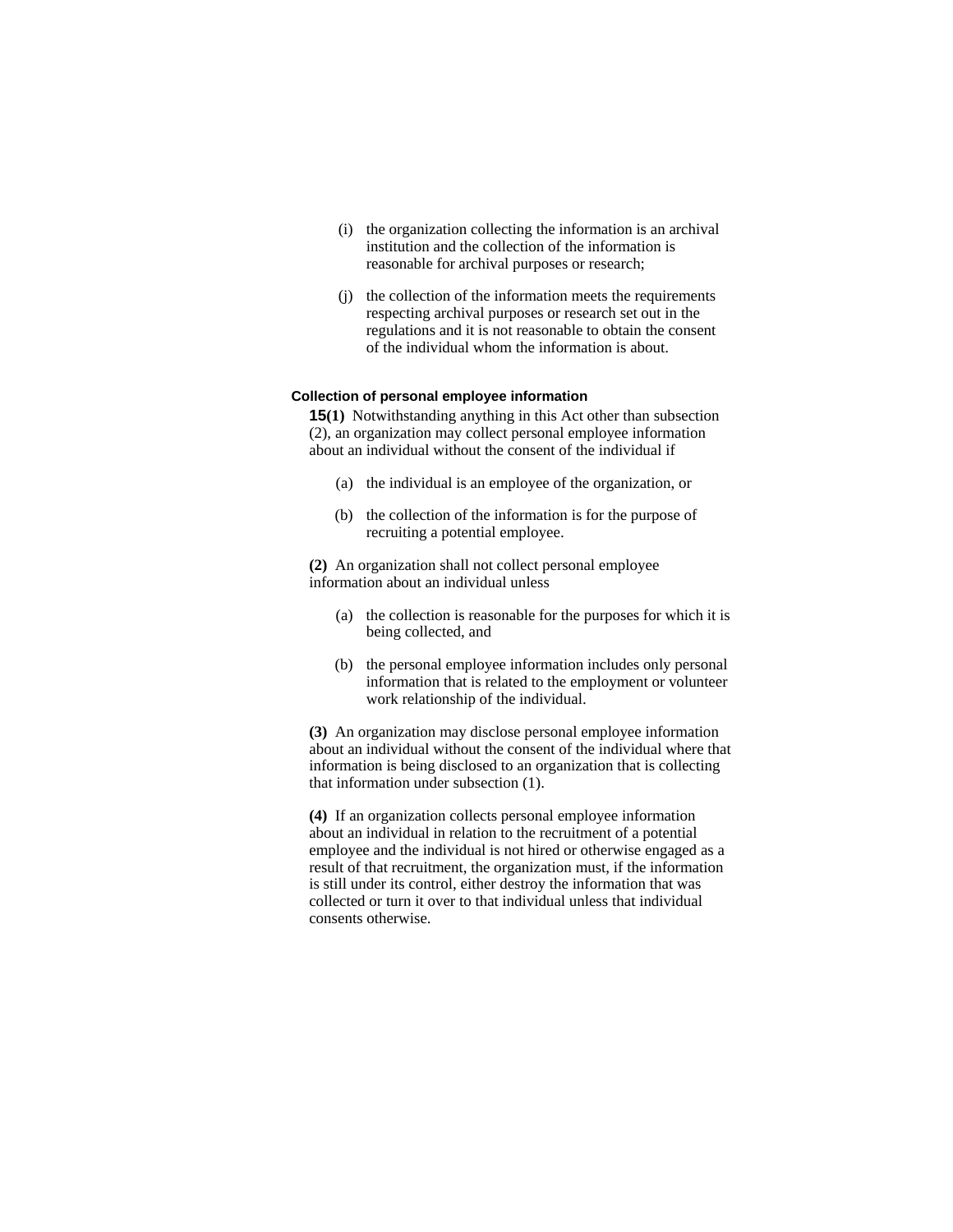- (i) the organization collecting the information is an archival institution and the collection of the information is reasonable for archival purposes or research;
- (j) the collection of the information meets the requirements respecting archival purposes or research set out in the regulations and it is not reasonable to obtain the consent of the individual whom the information is about.

### **Collection of personal employee information**

**15(1)** Notwithstanding anything in this Act other than subsection (2), an organization may collect personal employee information about an individual without the consent of the individual if

- (a) the individual is an employee of the organization, or
- (b) the collection of the information is for the purpose of recruiting a potential employee.

**(2)** An organization shall not collect personal employee information about an individual unless

- (a) the collection is reasonable for the purposes for which it is being collected, and
- (b) the personal employee information includes only personal information that is related to the employment or volunteer work relationship of the individual.

**(3)** An organization may disclose personal employee information about an individual without the consent of the individual where that information is being disclosed to an organization that is collecting that information under subsection (1).

**(4)** If an organization collects personal employee information about an individual in relation to the recruitment of a potential employee and the individual is not hired or otherwise engaged as a result of that recruitment, the organization must, if the information is still under its control, either destroy the information that was collected or turn it over to that individual unless that individual consents otherwise.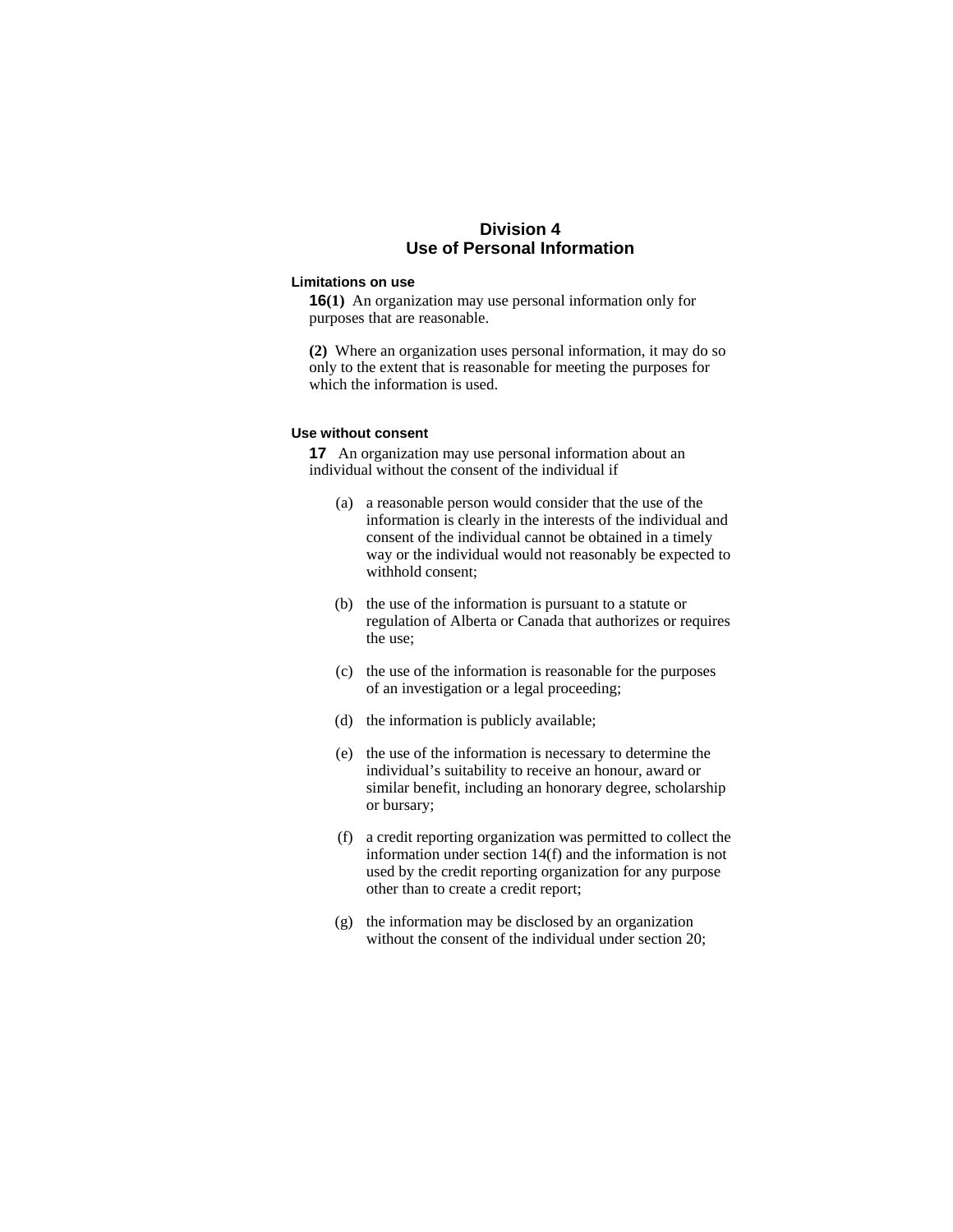# **Division 4 Use of Personal Information**

### **Limitations on use**

**16(1)** An organization may use personal information only for purposes that are reasonable.

**(2)** Where an organization uses personal information, it may do so only to the extent that is reasonable for meeting the purposes for which the information is used.

#### **Use without consent**

**17** An organization may use personal information about an individual without the consent of the individual if

- (a) a reasonable person would consider that the use of the information is clearly in the interests of the individual and consent of the individual cannot be obtained in a timely way or the individual would not reasonably be expected to withhold consent;
- (b) the use of the information is pursuant to a statute or regulation of Alberta or Canada that authorizes or requires the use;
- (c) the use of the information is reasonable for the purposes of an investigation or a legal proceeding;
- (d) the information is publicly available;
- (e) the use of the information is necessary to determine the individual's suitability to receive an honour, award or similar benefit, including an honorary degree, scholarship or bursary;
- (f) a credit reporting organization was permitted to collect the information under section 14(f) and the information is not used by the credit reporting organization for any purpose other than to create a credit report;
- (g) the information may be disclosed by an organization without the consent of the individual under section 20;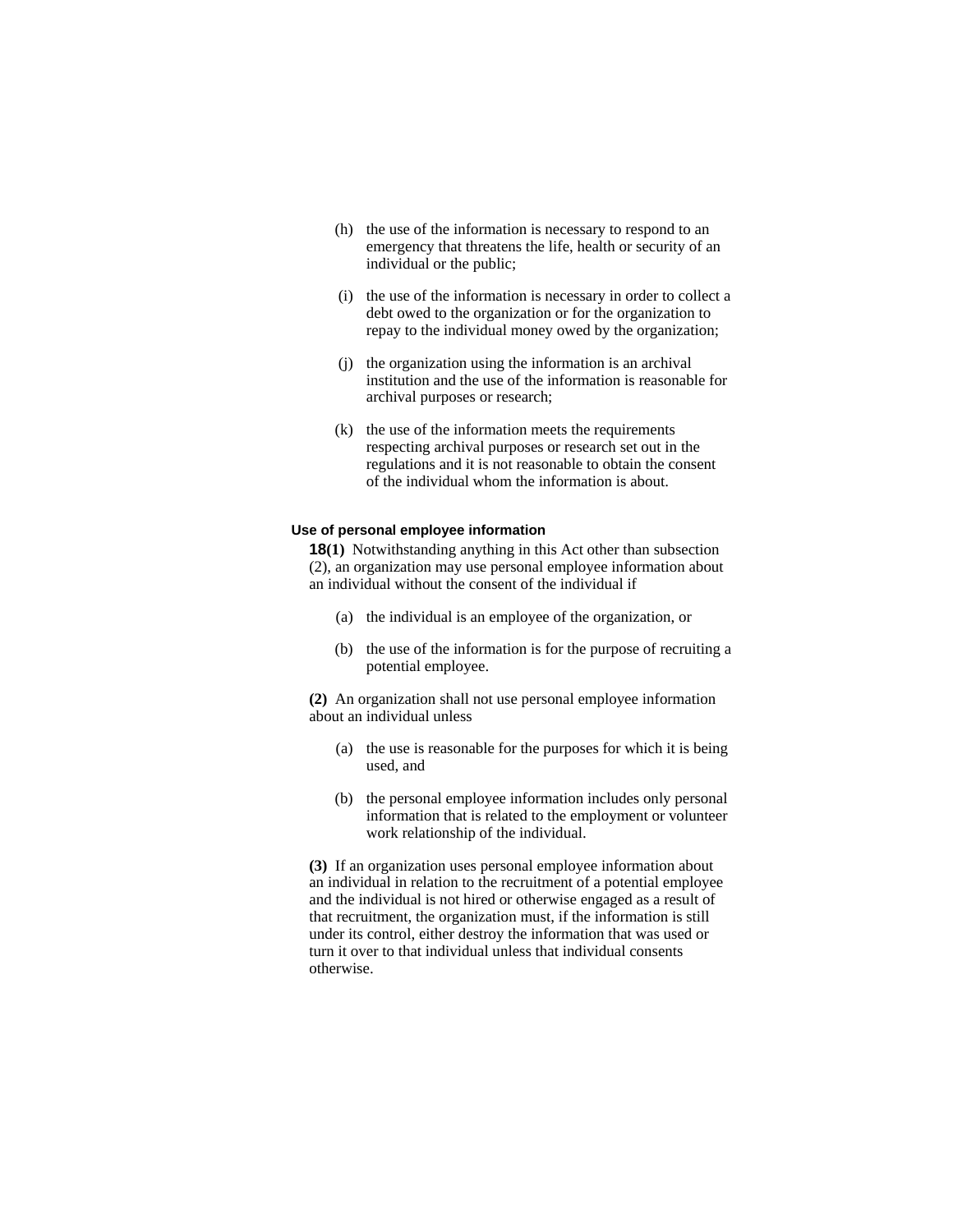- (h) the use of the information is necessary to respond to an emergency that threatens the life, health or security of an individual or the public;
- (i) the use of the information is necessary in order to collect a debt owed to the organization or for the organization to repay to the individual money owed by the organization;
- (j) the organization using the information is an archival institution and the use of the information is reasonable for archival purposes or research;
- (k) the use of the information meets the requirements respecting archival purposes or research set out in the regulations and it is not reasonable to obtain the consent of the individual whom the information is about.

#### **Use of personal employee information**

**18(1)** Notwithstanding anything in this Act other than subsection (2), an organization may use personal employee information about an individual without the consent of the individual if

- (a) the individual is an employee of the organization, or
- (b) the use of the information is for the purpose of recruiting a potential employee.

**(2)** An organization shall not use personal employee information about an individual unless

- (a) the use is reasonable for the purposes for which it is being used, and
- (b) the personal employee information includes only personal information that is related to the employment or volunteer work relationship of the individual.

**(3)** If an organization uses personal employee information about an individual in relation to the recruitment of a potential employee and the individual is not hired or otherwise engaged as a result of that recruitment, the organization must, if the information is still under its control, either destroy the information that was used or turn it over to that individual unless that individual consents otherwise.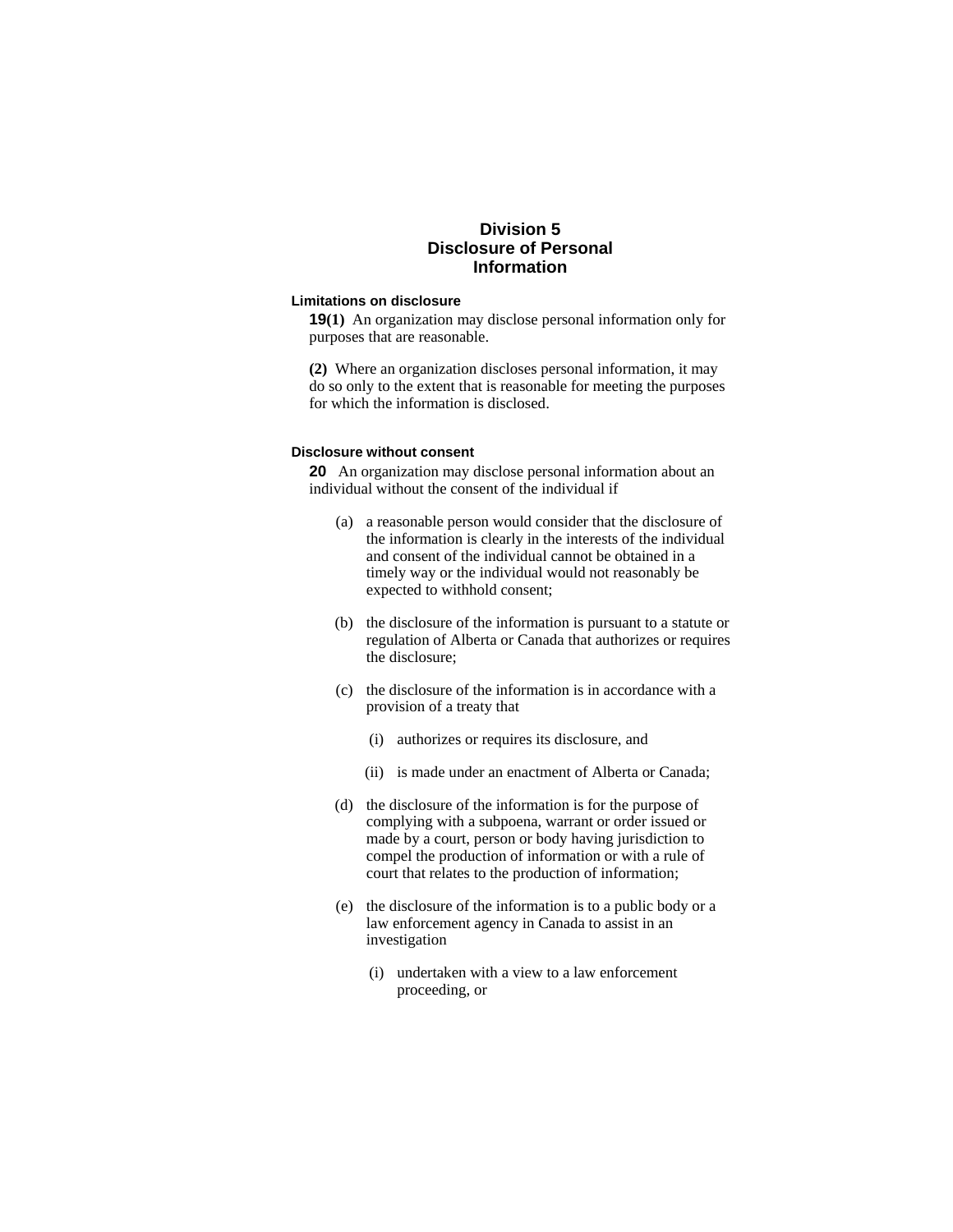# **Division 5 Disclosure of Personal Information**

#### **Limitations on disclosure**

**19(1)** An organization may disclose personal information only for purposes that are reasonable.

**(2)** Where an organization discloses personal information, it may do so only to the extent that is reasonable for meeting the purposes for which the information is disclosed.

### **Disclosure without consent**

**20** An organization may disclose personal information about an individual without the consent of the individual if

- (a) a reasonable person would consider that the disclosure of the information is clearly in the interests of the individual and consent of the individual cannot be obtained in a timely way or the individual would not reasonably be expected to withhold consent;
- (b) the disclosure of the information is pursuant to a statute or regulation of Alberta or Canada that authorizes or requires the disclosure;
- (c) the disclosure of the information is in accordance with a provision of a treaty that
	- (i) authorizes or requires its disclosure, and
	- (ii) is made under an enactment of Alberta or Canada;
- (d) the disclosure of the information is for the purpose of complying with a subpoena, warrant or order issued or made by a court, person or body having jurisdiction to compel the production of information or with a rule of court that relates to the production of information;
- (e) the disclosure of the information is to a public body or a law enforcement agency in Canada to assist in an investigation
	- (i) undertaken with a view to a law enforcement proceeding, or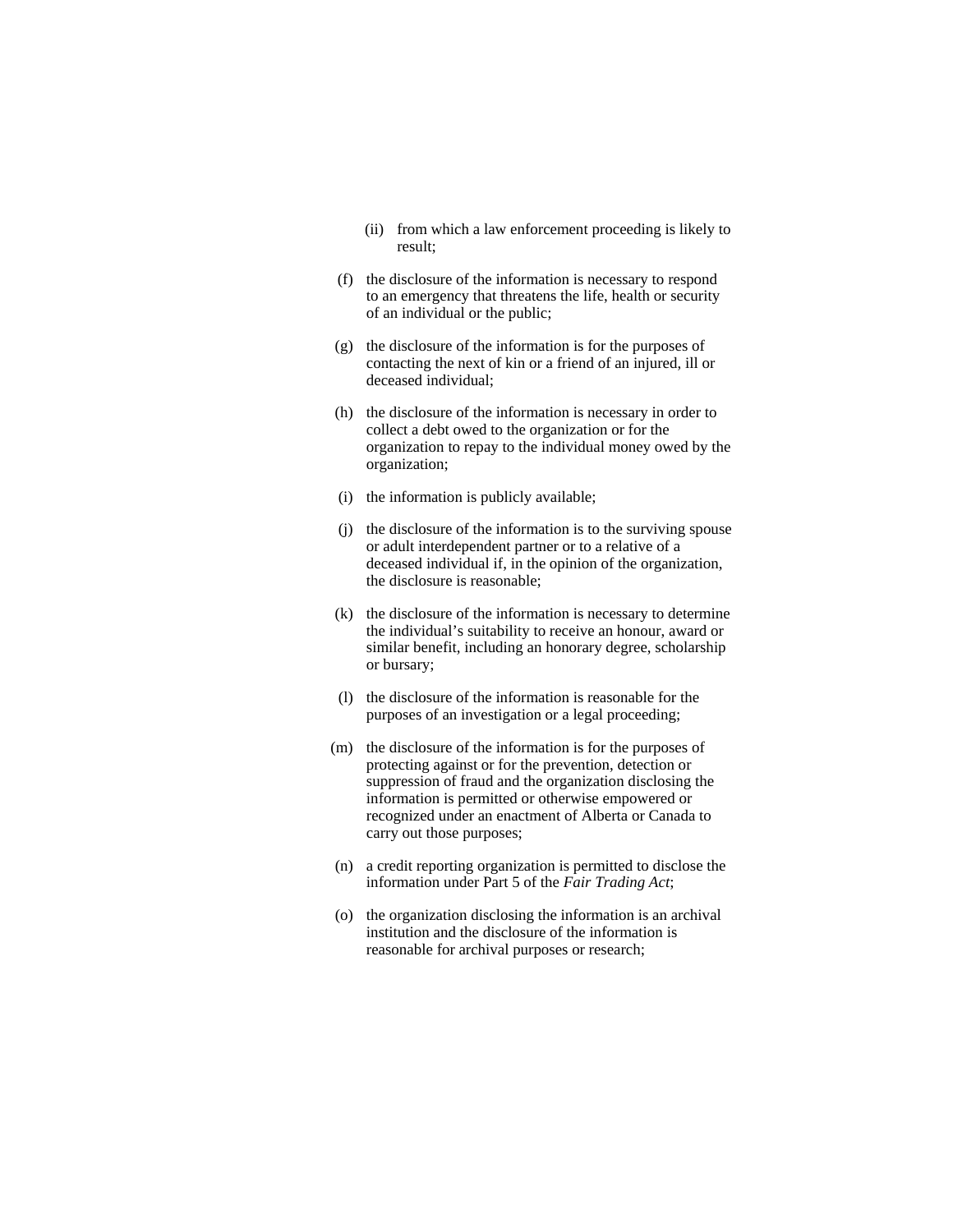- (ii) from which a law enforcement proceeding is likely to result;
- (f) the disclosure of the information is necessary to respond to an emergency that threatens the life, health or security of an individual or the public;
- (g) the disclosure of the information is for the purposes of contacting the next of kin or a friend of an injured, ill or deceased individual;
- (h) the disclosure of the information is necessary in order to collect a debt owed to the organization or for the organization to repay to the individual money owed by the organization;
- (i) the information is publicly available;
- (j) the disclosure of the information is to the surviving spouse or adult interdependent partner or to a relative of a deceased individual if, in the opinion of the organization, the disclosure is reasonable;
- (k) the disclosure of the information is necessary to determine the individual's suitability to receive an honour, award or similar benefit, including an honorary degree, scholarship or bursary;
- (l) the disclosure of the information is reasonable for the purposes of an investigation or a legal proceeding;
- (m) the disclosure of the information is for the purposes of protecting against or for the prevention, detection or suppression of fraud and the organization disclosing the information is permitted or otherwise empowered or recognized under an enactment of Alberta or Canada to carry out those purposes;
- (n) a credit reporting organization is permitted to disclose the information under Part 5 of the *Fair Trading Act*;
- (o) the organization disclosing the information is an archival institution and the disclosure of the information is reasonable for archival purposes or research;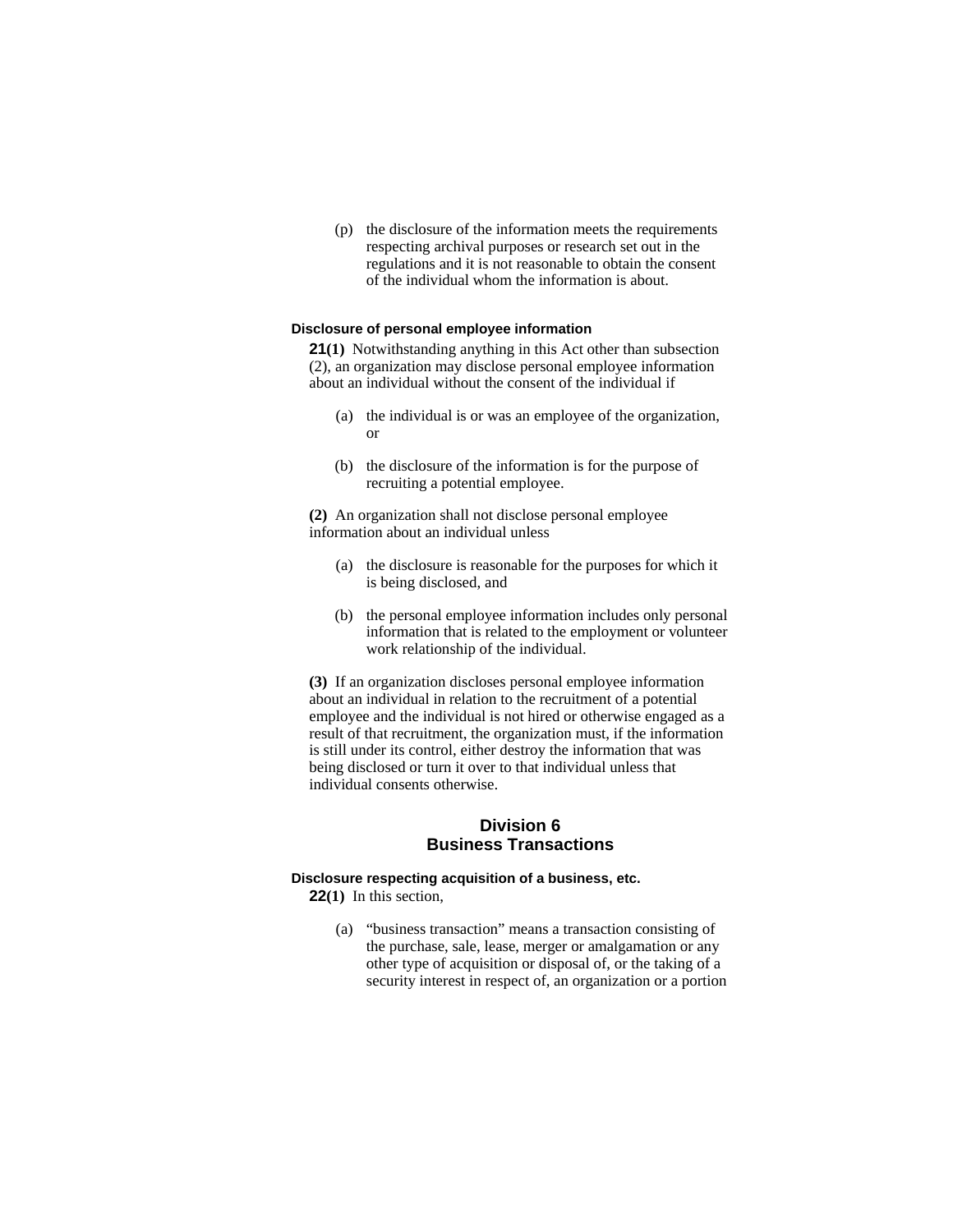(p) the disclosure of the information meets the requirements respecting archival purposes or research set out in the regulations and it is not reasonable to obtain the consent of the individual whom the information is about.

#### **Disclosure of personal employee information**

**21(1)** Notwithstanding anything in this Act other than subsection (2), an organization may disclose personal employee information about an individual without the consent of the individual if

- (a) the individual is or was an employee of the organization, or
- (b) the disclosure of the information is for the purpose of recruiting a potential employee.

**(2)** An organization shall not disclose personal employee information about an individual unless

- (a) the disclosure is reasonable for the purposes for which it is being disclosed, and
- (b) the personal employee information includes only personal information that is related to the employment or volunteer work relationship of the individual.

**(3)** If an organization discloses personal employee information about an individual in relation to the recruitment of a potential employee and the individual is not hired or otherwise engaged as a result of that recruitment, the organization must, if the information is still under its control, either destroy the information that was being disclosed or turn it over to that individual unless that individual consents otherwise.

# **Division 6 Business Transactions**

# **Disclosure respecting acquisition of a business, etc.**

**22(1)** In this section,

 (a) "business transaction" means a transaction consisting of the purchase, sale, lease, merger or amalgamation or any other type of acquisition or disposal of, or the taking of a security interest in respect of, an organization or a portion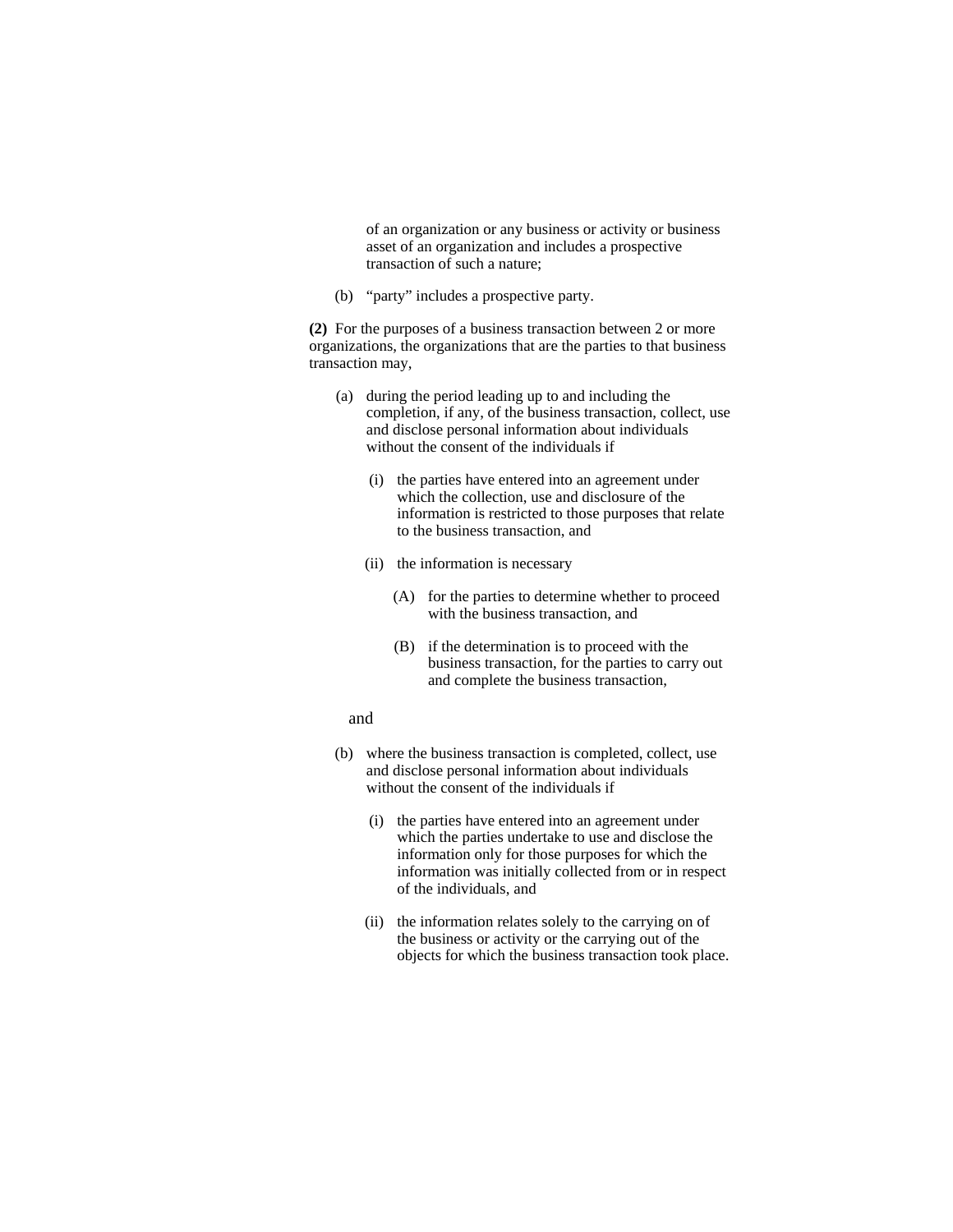of an organization or any business or activity or business asset of an organization and includes a prospective transaction of such a nature;

(b) "party" includes a prospective party.

**(2)** For the purposes of a business transaction between 2 or more organizations, the organizations that are the parties to that business transaction may,

- (a) during the period leading up to and including the completion, if any, of the business transaction, collect, use and disclose personal information about individuals without the consent of the individuals if
	- (i) the parties have entered into an agreement under which the collection, use and disclosure of the information is restricted to those purposes that relate to the business transaction, and
	- (ii) the information is necessary
		- (A) for the parties to determine whether to proceed with the business transaction, and
		- (B) if the determination is to proceed with the business transaction, for the parties to carry out and complete the business transaction,

### and

- (b) where the business transaction is completed, collect, use and disclose personal information about individuals without the consent of the individuals if
	- (i) the parties have entered into an agreement under which the parties undertake to use and disclose the information only for those purposes for which the information was initially collected from or in respect of the individuals, and
	- (ii) the information relates solely to the carrying on of the business or activity or the carrying out of the objects for which the business transaction took place.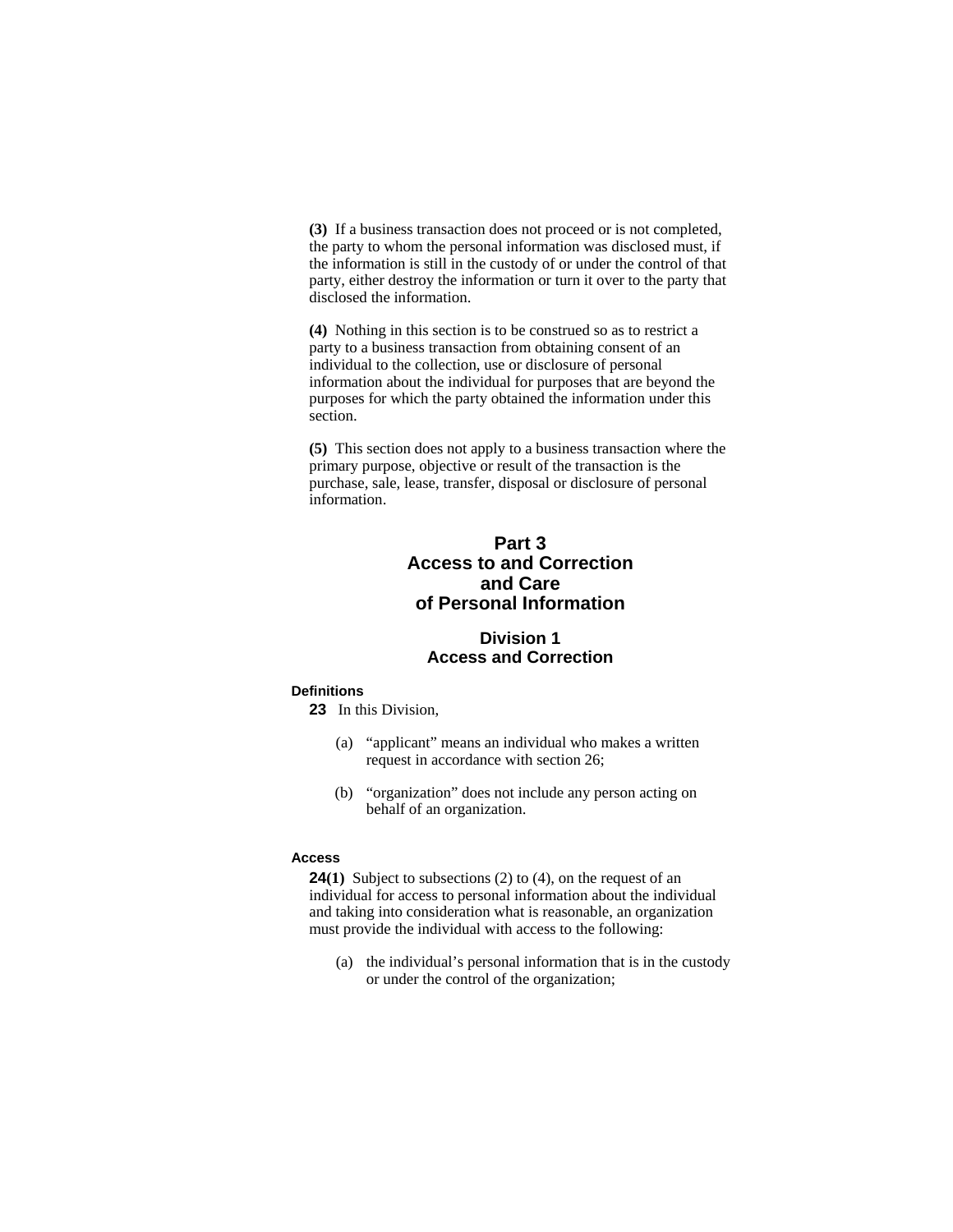**(3)** If a business transaction does not proceed or is not completed, the party to whom the personal information was disclosed must, if the information is still in the custody of or under the control of that party, either destroy the information or turn it over to the party that disclosed the information.

**(4)** Nothing in this section is to be construed so as to restrict a party to a business transaction from obtaining consent of an individual to the collection, use or disclosure of personal information about the individual for purposes that are beyond the purposes for which the party obtained the information under this section.

**(5)** This section does not apply to a business transaction where the primary purpose, objective or result of the transaction is the purchase, sale, lease, transfer, disposal or disclosure of personal information.

# **Part 3 Access to and Correction and Care of Personal Information**

# **Division 1 Access and Correction**

# **Definitions**

**23** In this Division,

- (a) "applicant" means an individual who makes a written request in accordance with section 26;
- (b) "organization" does not include any person acting on behalf of an organization.

#### **Access**

**24(1)** Subject to subsections (2) to (4), on the request of an individual for access to personal information about the individual and taking into consideration what is reasonable, an organization must provide the individual with access to the following:

 (a) the individual's personal information that is in the custody or under the control of the organization;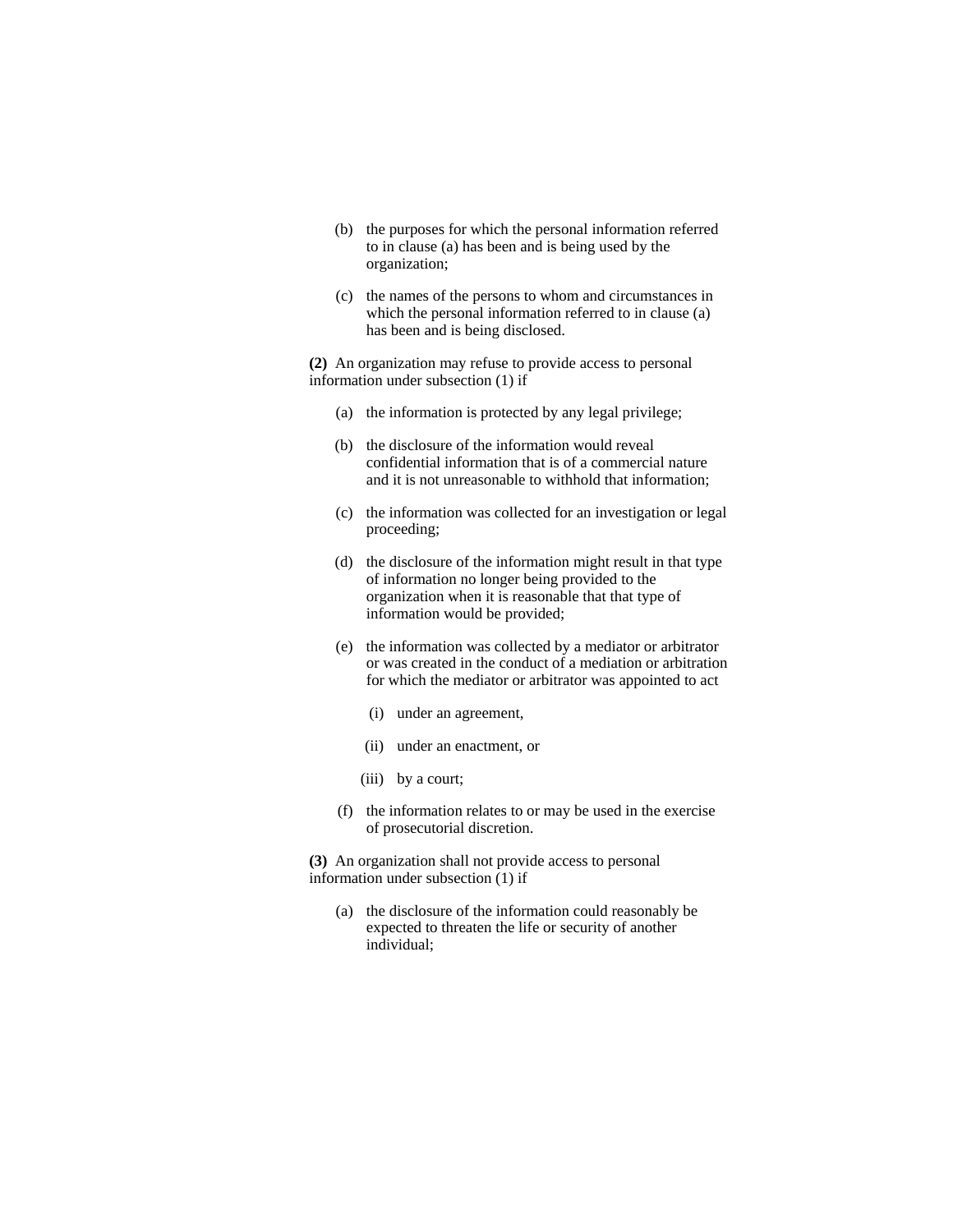- (b) the purposes for which the personal information referred to in clause (a) has been and is being used by the organization;
- (c) the names of the persons to whom and circumstances in which the personal information referred to in clause (a) has been and is being disclosed.

**(2)** An organization may refuse to provide access to personal information under subsection (1) if

- (a) the information is protected by any legal privilege;
- (b) the disclosure of the information would reveal confidential information that is of a commercial nature and it is not unreasonable to withhold that information;
- (c) the information was collected for an investigation or legal proceeding;
- (d) the disclosure of the information might result in that type of information no longer being provided to the organization when it is reasonable that that type of information would be provided;
- (e) the information was collected by a mediator or arbitrator or was created in the conduct of a mediation or arbitration for which the mediator or arbitrator was appointed to act
	- (i) under an agreement,
	- (ii) under an enactment, or
	- (iii) by a court;
- (f) the information relates to or may be used in the exercise of prosecutorial discretion.

**(3)** An organization shall not provide access to personal information under subsection (1) if

(a) the disclosure of the information could reasonably be expected to threaten the life or security of another individual;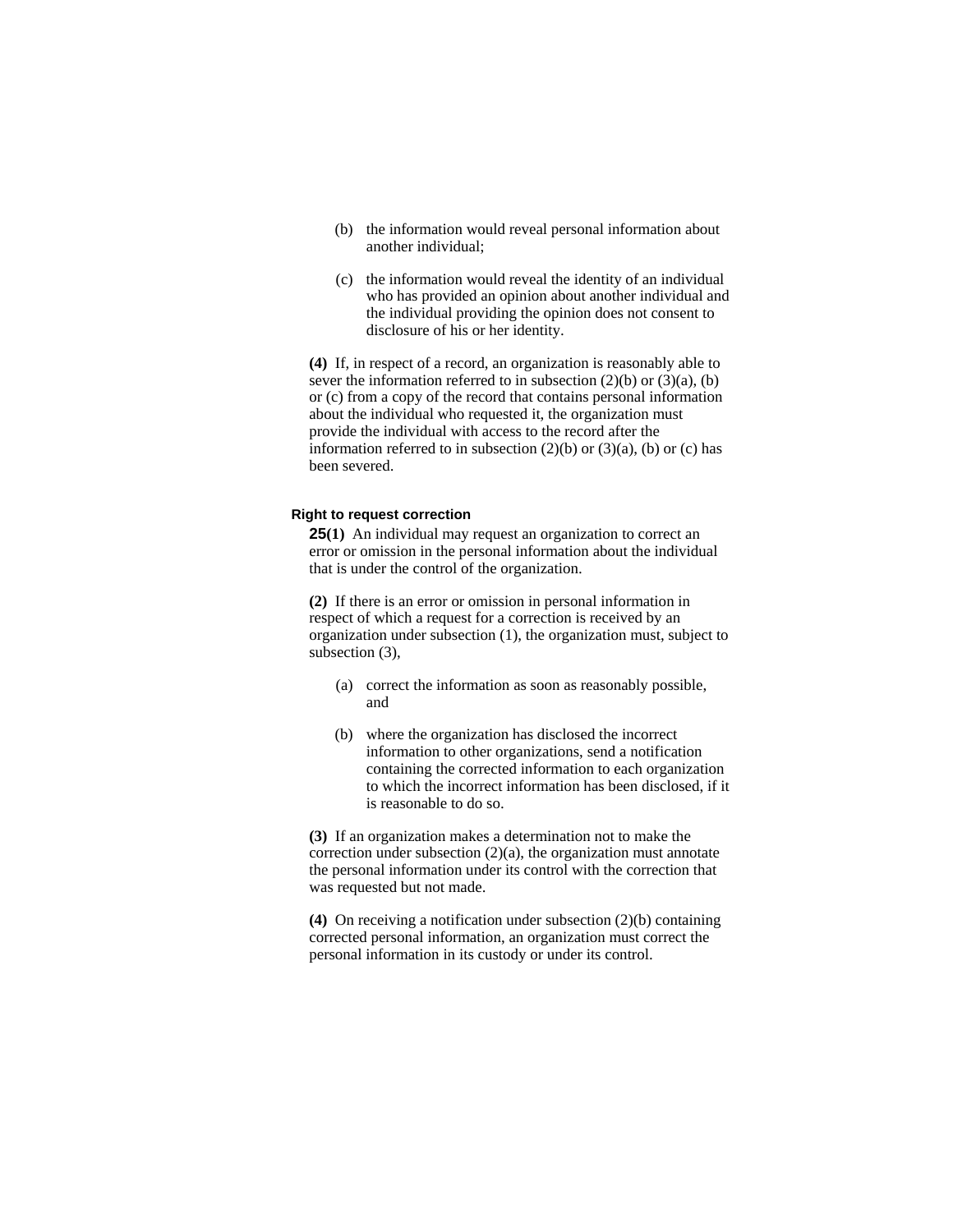- (b) the information would reveal personal information about another individual;
- (c) the information would reveal the identity of an individual who has provided an opinion about another individual and the individual providing the opinion does not consent to disclosure of his or her identity.

**(4)** If, in respect of a record, an organization is reasonably able to sever the information referred to in subsection  $(2)(b)$  or  $(3)(a)$ ,  $(b)$ or (c) from a copy of the record that contains personal information about the individual who requested it, the organization must provide the individual with access to the record after the information referred to in subsection  $(2)(b)$  or  $(3)(a)$ ,  $(b)$  or  $(c)$  has been severed.

# **Right to request correction**

**25(1)** An individual may request an organization to correct an error or omission in the personal information about the individual that is under the control of the organization.

**(2)** If there is an error or omission in personal information in respect of which a request for a correction is received by an organization under subsection (1), the organization must, subject to subsection (3),

- (a) correct the information as soon as reasonably possible, and
- (b) where the organization has disclosed the incorrect information to other organizations, send a notification containing the corrected information to each organization to which the incorrect information has been disclosed, if it is reasonable to do so.

**(3)** If an organization makes a determination not to make the correction under subsection  $(2)(a)$ , the organization must annotate the personal information under its control with the correction that was requested but not made.

**(4)** On receiving a notification under subsection (2)(b) containing corrected personal information, an organization must correct the personal information in its custody or under its control.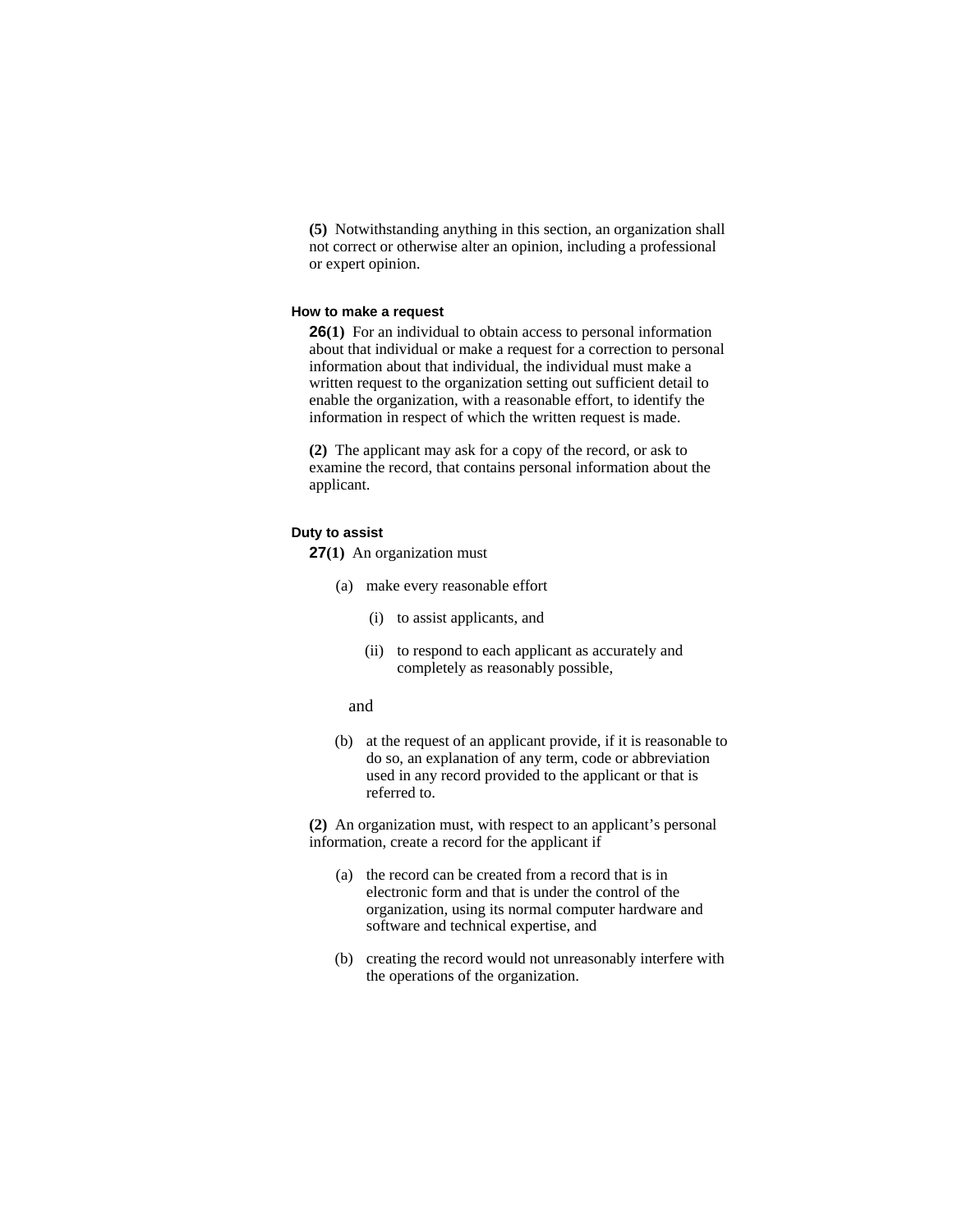**(5)** Notwithstanding anything in this section, an organization shall not correct or otherwise alter an opinion, including a professional or expert opinion.

#### **How to make a request**

**26(1)** For an individual to obtain access to personal information about that individual or make a request for a correction to personal information about that individual, the individual must make a written request to the organization setting out sufficient detail to enable the organization, with a reasonable effort, to identify the information in respect of which the written request is made.

**(2)** The applicant may ask for a copy of the record, or ask to examine the record, that contains personal information about the applicant.

#### **Duty to assist**

**27(1)** An organization must

- (a) make every reasonable effort
	- (i) to assist applicants, and
	- (ii) to respond to each applicant as accurately and completely as reasonably possible,
	- and
- (b) at the request of an applicant provide, if it is reasonable to do so, an explanation of any term, code or abbreviation used in any record provided to the applicant or that is referred to.

**(2)** An organization must, with respect to an applicant's personal information, create a record for the applicant if

- (a) the record can be created from a record that is in electronic form and that is under the control of the organization, using its normal computer hardware and software and technical expertise, and
- (b) creating the record would not unreasonably interfere with the operations of the organization.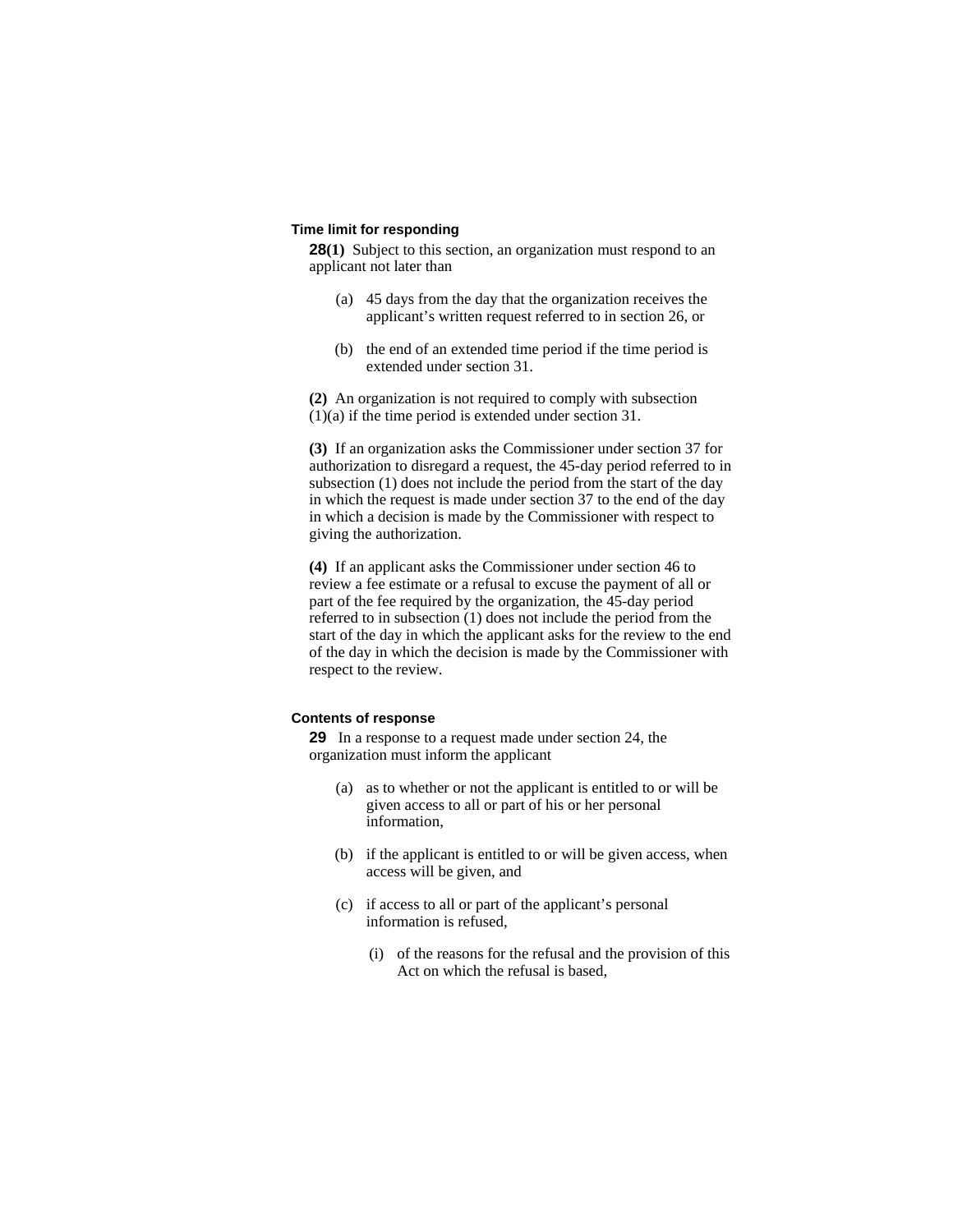#### **Time limit for responding**

**28(1)** Subject to this section, an organization must respond to an applicant not later than

- (a) 45 days from the day that the organization receives the applicant's written request referred to in section 26, or
- (b) the end of an extended time period if the time period is extended under section 31.

**(2)** An organization is not required to comply with subsection (1)(a) if the time period is extended under section 31.

**(3)** If an organization asks the Commissioner under section 37 for authorization to disregard a request, the 45-day period referred to in subsection (1) does not include the period from the start of the day in which the request is made under section 37 to the end of the day in which a decision is made by the Commissioner with respect to giving the authorization.

**(4)** If an applicant asks the Commissioner under section 46 to review a fee estimate or a refusal to excuse the payment of all or part of the fee required by the organization, the 45-day period referred to in subsection (1) does not include the period from the start of the day in which the applicant asks for the review to the end of the day in which the decision is made by the Commissioner with respect to the review.

### **Contents of response**

**29** In a response to a request made under section 24, the organization must inform the applicant

- (a) as to whether or not the applicant is entitled to or will be given access to all or part of his or her personal information,
- (b) if the applicant is entitled to or will be given access, when access will be given, and
- (c) if access to all or part of the applicant's personal information is refused,
	- (i) of the reasons for the refusal and the provision of this Act on which the refusal is based,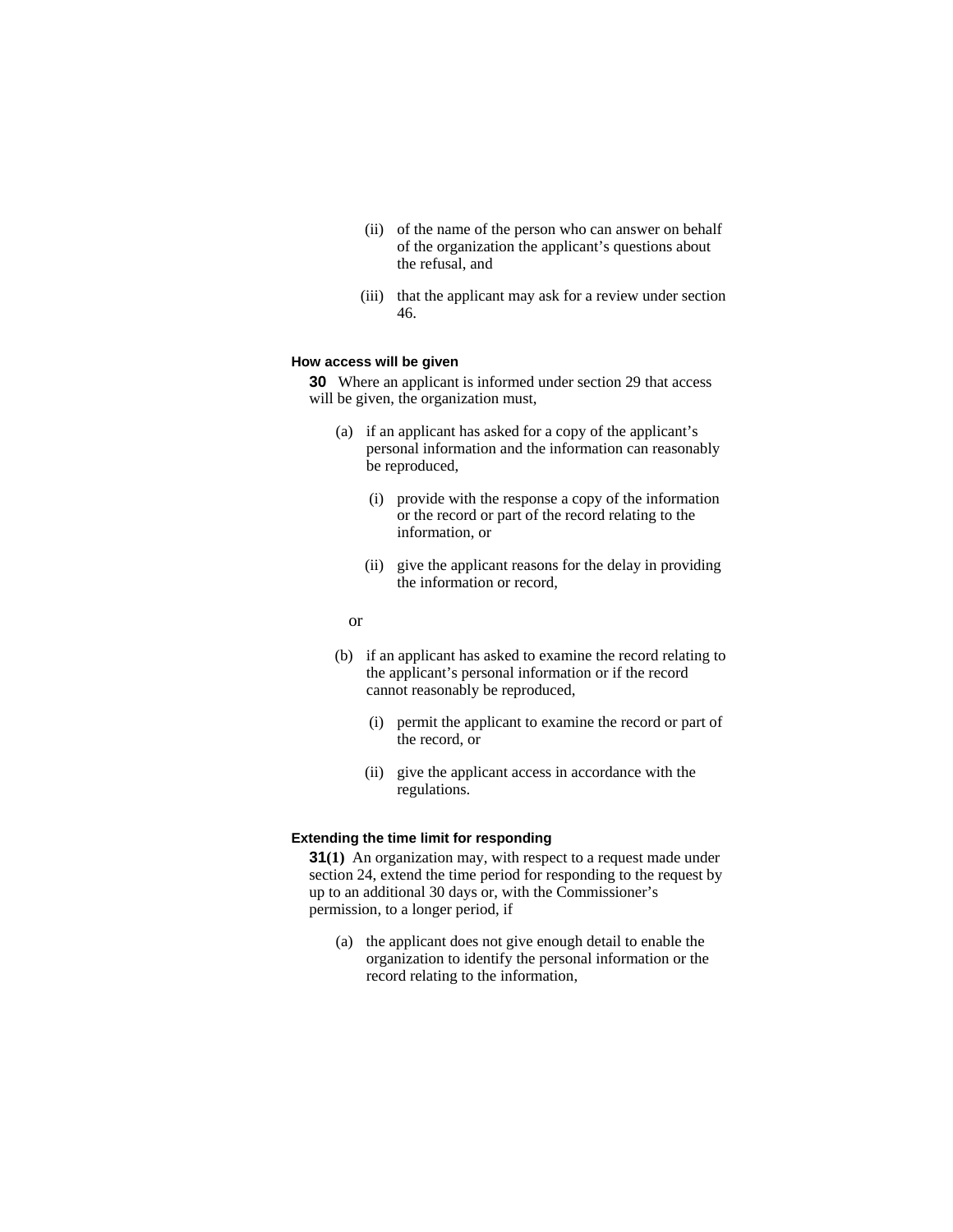- (ii) of the name of the person who can answer on behalf of the organization the applicant's questions about the refusal, and
- (iii) that the applicant may ask for a review under section 46.

#### **How access will be given**

**30** Where an applicant is informed under section 29 that access will be given, the organization must,

- (a) if an applicant has asked for a copy of the applicant's personal information and the information can reasonably be reproduced,
	- (i) provide with the response a copy of the information or the record or part of the record relating to the information, or
	- (ii) give the applicant reasons for the delay in providing the information or record,
- or
	- (b) if an applicant has asked to examine the record relating to the applicant's personal information or if the record cannot reasonably be reproduced,
		- (i) permit the applicant to examine the record or part of the record, or
		- (ii) give the applicant access in accordance with the regulations.

### **Extending the time limit for responding**

**31(1)** An organization may, with respect to a request made under section 24, extend the time period for responding to the request by up to an additional 30 days or, with the Commissioner's permission, to a longer period, if

 (a) the applicant does not give enough detail to enable the organization to identify the personal information or the record relating to the information,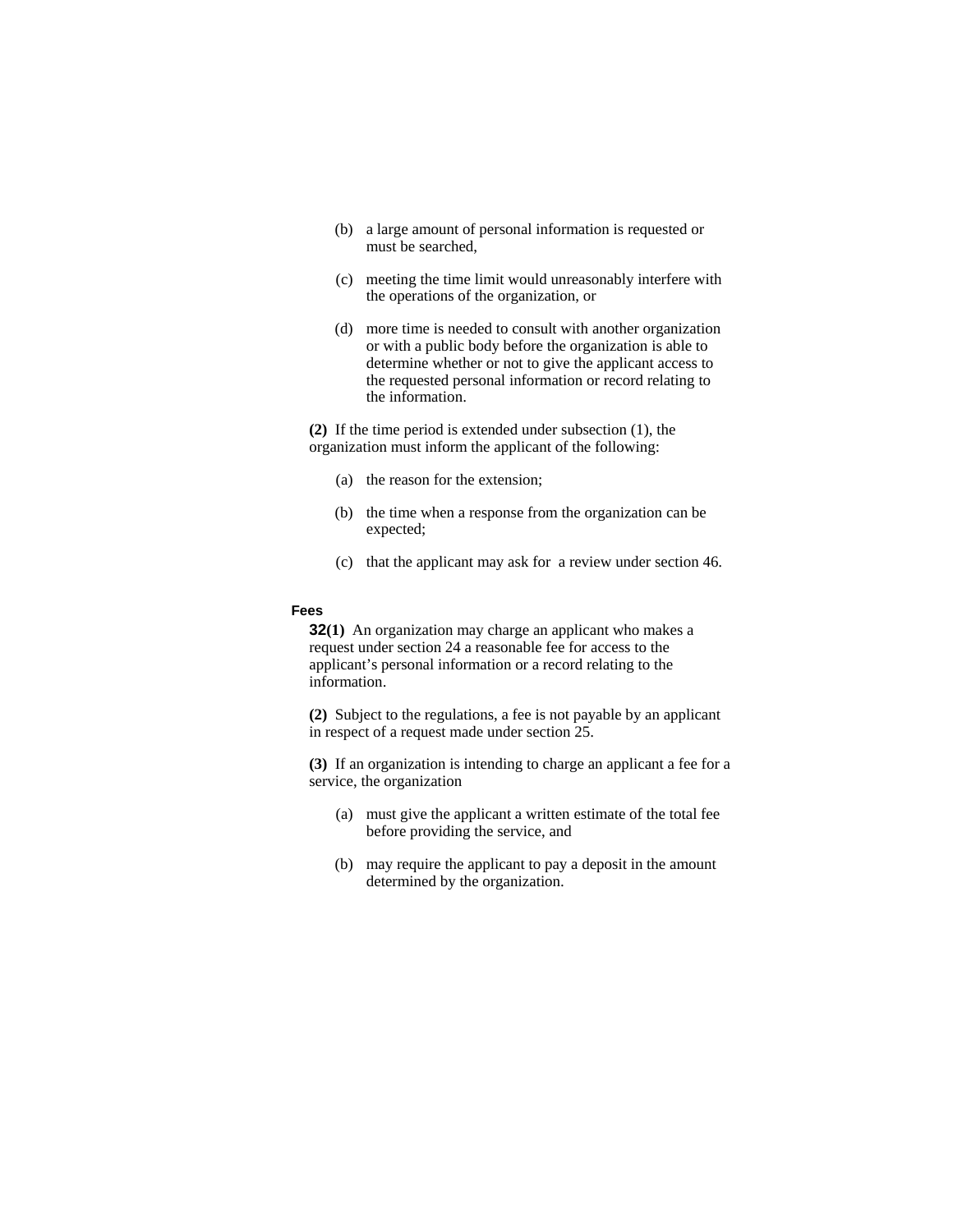- (b) a large amount of personal information is requested or must be searched,
- (c) meeting the time limit would unreasonably interfere with the operations of the organization, or
- (d) more time is needed to consult with another organization or with a public body before the organization is able to determine whether or not to give the applicant access to the requested personal information or record relating to the information.

**(2)** If the time period is extended under subsection (1), the organization must inform the applicant of the following:

- (a) the reason for the extension;
- (b) the time when a response from the organization can be expected;
- (c) that the applicant may ask for a review under section 46.

#### **Fees**

**32(1)** An organization may charge an applicant who makes a request under section 24 a reasonable fee for access to the applicant's personal information or a record relating to the information.

**(2)** Subject to the regulations, a fee is not payable by an applicant in respect of a request made under section 25.

**(3)** If an organization is intending to charge an applicant a fee for a service, the organization

- (a) must give the applicant a written estimate of the total fee before providing the service, and
- (b) may require the applicant to pay a deposit in the amount determined by the organization.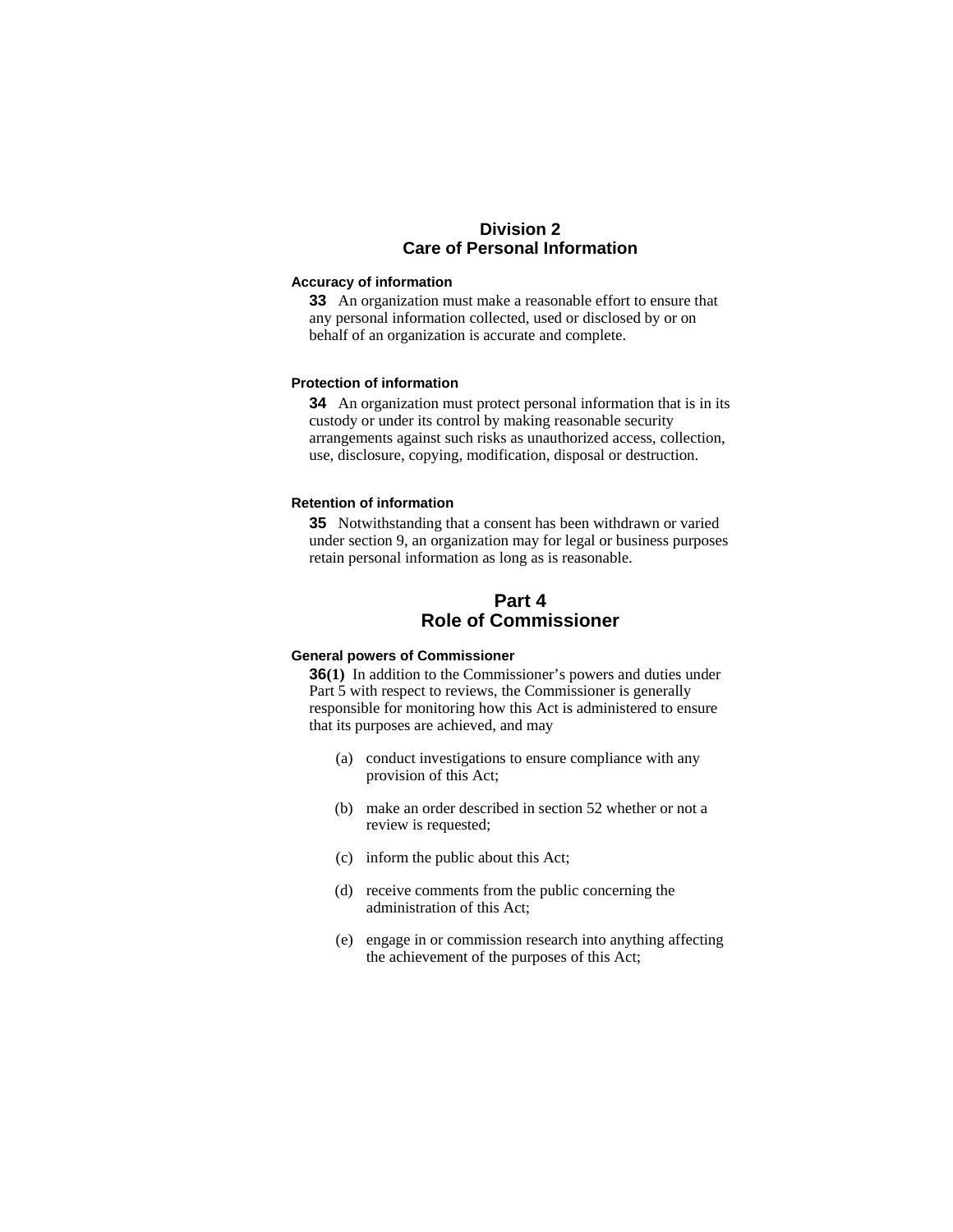# **Division 2 Care of Personal Information**

#### **Accuracy of information**

**33** An organization must make a reasonable effort to ensure that any personal information collected, used or disclosed by or on behalf of an organization is accurate and complete.

### **Protection of information**

**34** An organization must protect personal information that is in its custody or under its control by making reasonable security arrangements against such risks as unauthorized access, collection, use, disclosure, copying, modification, disposal or destruction.

# **Retention of information**

**35** Notwithstanding that a consent has been withdrawn or varied under section 9, an organization may for legal or business purposes retain personal information as long as is reasonable.

# **Part 4 Role of Commissioner**

#### **General powers of Commissioner**

**36(1)** In addition to the Commissioner's powers and duties under Part 5 with respect to reviews, the Commissioner is generally responsible for monitoring how this Act is administered to ensure that its purposes are achieved, and may

- (a) conduct investigations to ensure compliance with any provision of this Act;
- (b) make an order described in section 52 whether or not a review is requested;
- (c) inform the public about this Act;
- (d) receive comments from the public concerning the administration of this Act;
- (e) engage in or commission research into anything affecting the achievement of the purposes of this Act;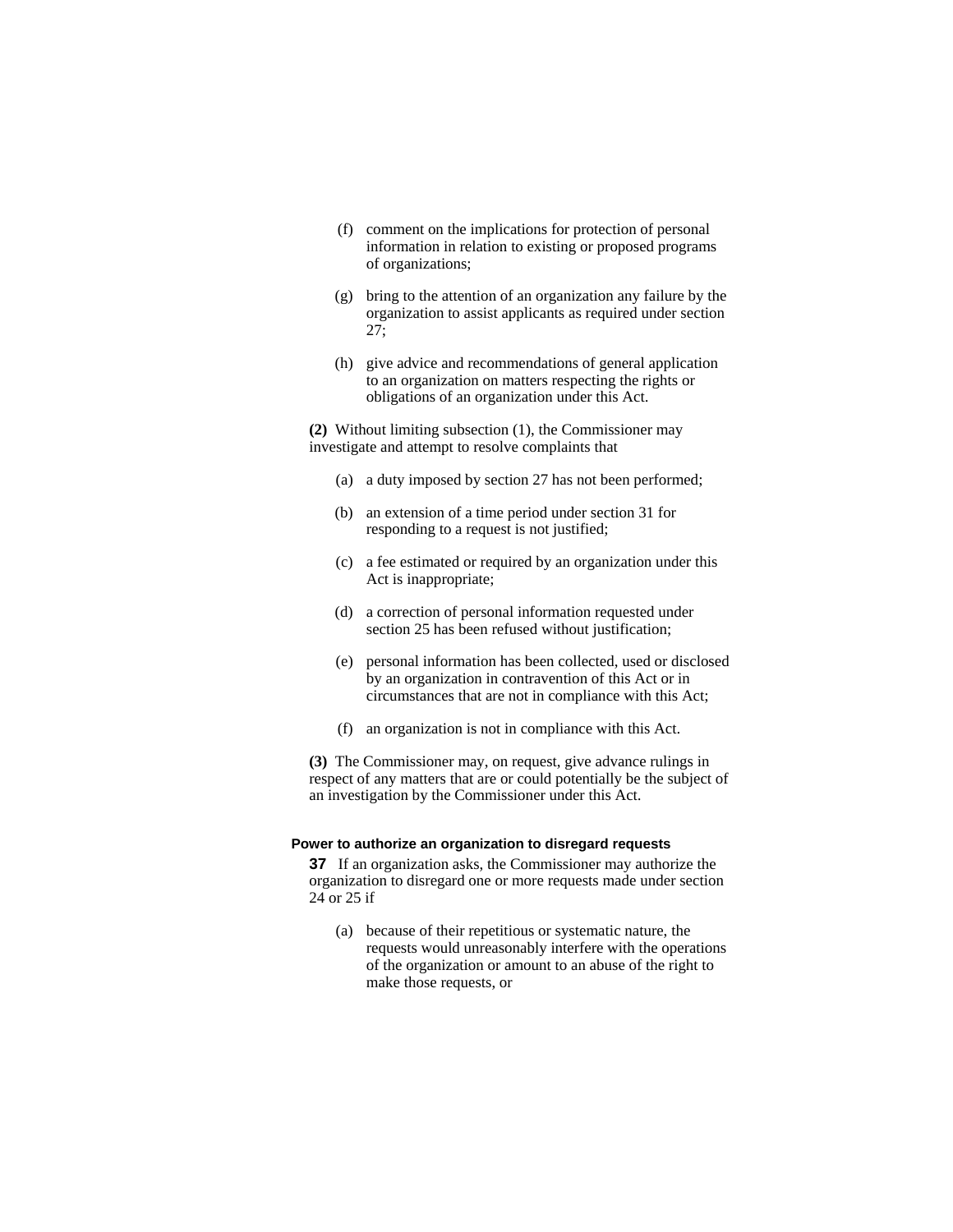- (f) comment on the implications for protection of personal information in relation to existing or proposed programs of organizations;
- (g) bring to the attention of an organization any failure by the organization to assist applicants as required under section 27;
- (h) give advice and recommendations of general application to an organization on matters respecting the rights or obligations of an organization under this Act.

**(2)** Without limiting subsection (1), the Commissioner may investigate and attempt to resolve complaints that

- (a) a duty imposed by section 27 has not been performed;
- (b) an extension of a time period under section 31 for responding to a request is not justified;
- (c) a fee estimated or required by an organization under this Act is inappropriate;
- (d) a correction of personal information requested under section 25 has been refused without justification;
- (e) personal information has been collected, used or disclosed by an organization in contravention of this Act or in circumstances that are not in compliance with this Act;
- (f) an organization is not in compliance with this Act.

**(3)** The Commissioner may, on request, give advance rulings in respect of any matters that are or could potentially be the subject of an investigation by the Commissioner under this Act.

#### **Power to authorize an organization to disregard requests**

**37** If an organization asks, the Commissioner may authorize the organization to disregard one or more requests made under section 24 or 25 if

 (a) because of their repetitious or systematic nature, the requests would unreasonably interfere with the operations of the organization or amount to an abuse of the right to make those requests, or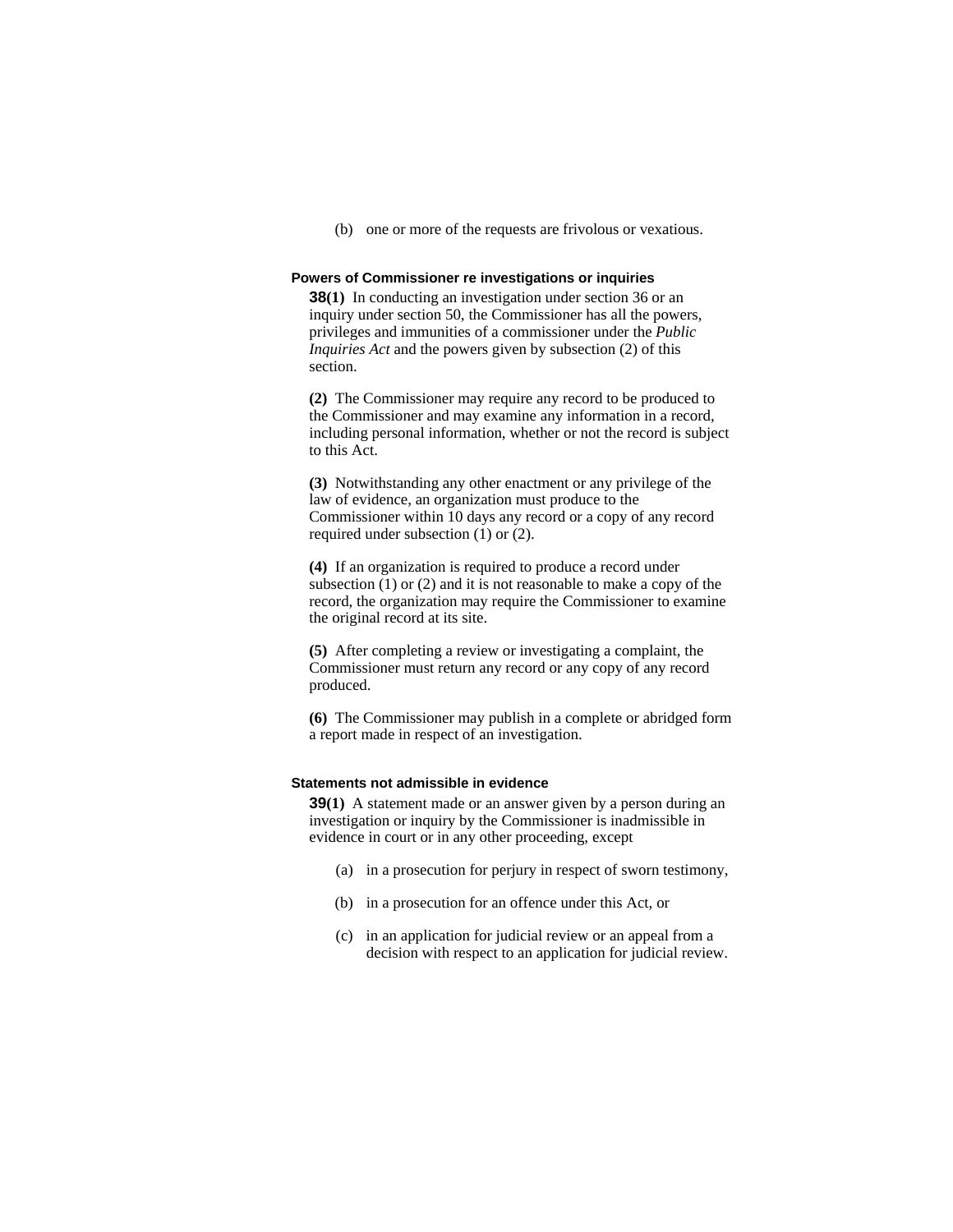(b) one or more of the requests are frivolous or vexatious.

### **Powers of Commissioner re investigations or inquiries**

**38(1)** In conducting an investigation under section 36 or an inquiry under section 50, the Commissioner has all the powers, privileges and immunities of a commissioner under the *Public Inquiries Act* and the powers given by subsection (2) of this section.

**(2)** The Commissioner may require any record to be produced to the Commissioner and may examine any information in a record, including personal information, whether or not the record is subject to this Act.

**(3)** Notwithstanding any other enactment or any privilege of the law of evidence, an organization must produce to the Commissioner within 10 days any record or a copy of any record required under subsection (1) or (2).

**(4)** If an organization is required to produce a record under subsection  $(1)$  or  $(2)$  and it is not reasonable to make a copy of the record, the organization may require the Commissioner to examine the original record at its site.

**(5)** After completing a review or investigating a complaint, the Commissioner must return any record or any copy of any record produced.

**(6)** The Commissioner may publish in a complete or abridged form a report made in respect of an investigation.

# **Statements not admissible in evidence**

**39(1)** A statement made or an answer given by a person during an investigation or inquiry by the Commissioner is inadmissible in evidence in court or in any other proceeding, except

- (a) in a prosecution for perjury in respect of sworn testimony,
- (b) in a prosecution for an offence under this Act, or
- (c) in an application for judicial review or an appeal from a decision with respect to an application for judicial review.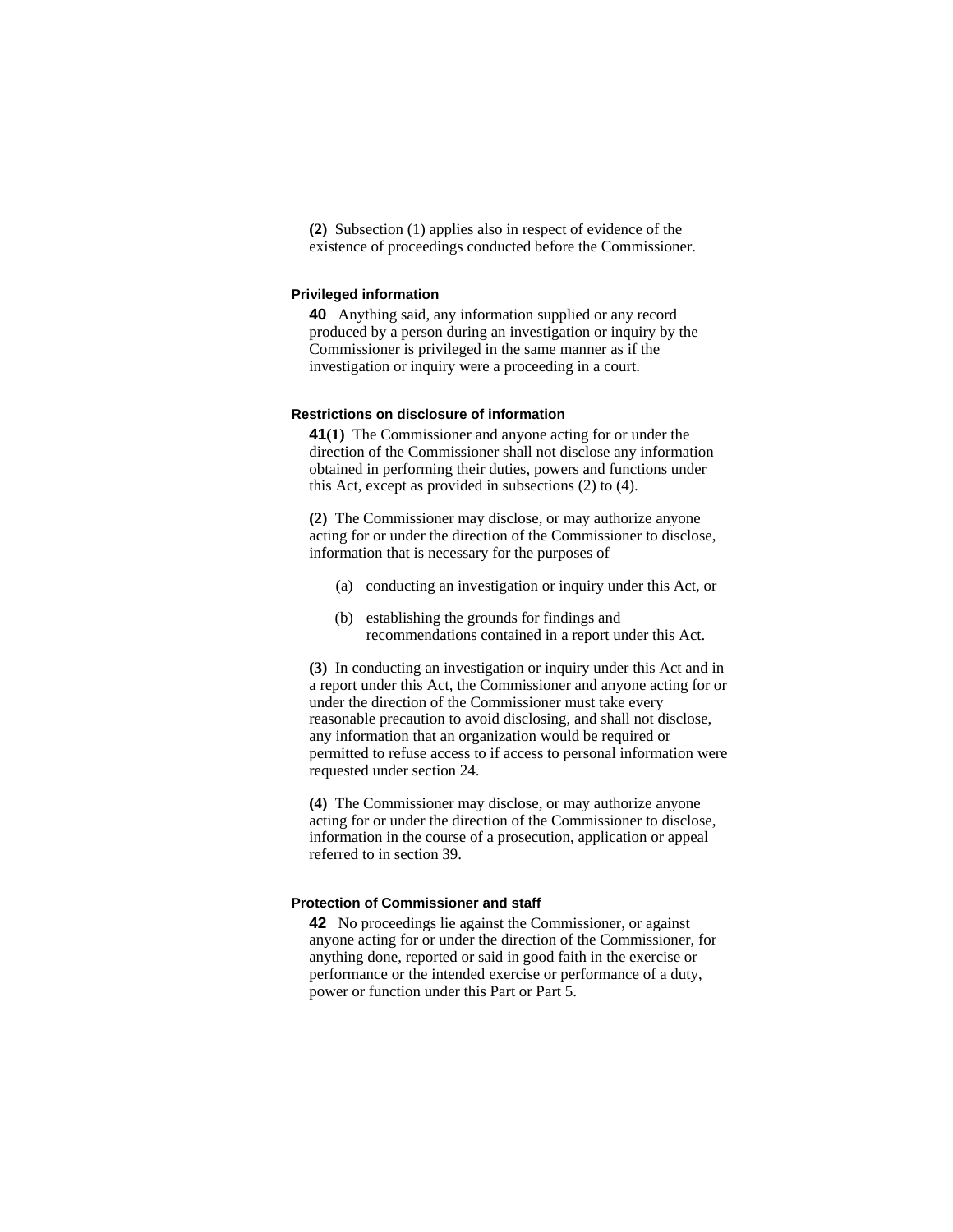**(2)** Subsection (1) applies also in respect of evidence of the existence of proceedings conducted before the Commissioner.

#### **Privileged information**

**40** Anything said, any information supplied or any record produced by a person during an investigation or inquiry by the Commissioner is privileged in the same manner as if the investigation or inquiry were a proceeding in a court.

#### **Restrictions on disclosure of information**

**41(1)** The Commissioner and anyone acting for or under the direction of the Commissioner shall not disclose any information obtained in performing their duties, powers and functions under this Act, except as provided in subsections (2) to (4).

**(2)** The Commissioner may disclose, or may authorize anyone acting for or under the direction of the Commissioner to disclose, information that is necessary for the purposes of

- (a) conducting an investigation or inquiry under this Act, or
- (b) establishing the grounds for findings and recommendations contained in a report under this Act.

**(3)** In conducting an investigation or inquiry under this Act and in a report under this Act, the Commissioner and anyone acting for or under the direction of the Commissioner must take every reasonable precaution to avoid disclosing, and shall not disclose, any information that an organization would be required or permitted to refuse access to if access to personal information were requested under section 24.

**(4)** The Commissioner may disclose, or may authorize anyone acting for or under the direction of the Commissioner to disclose, information in the course of a prosecution, application or appeal referred to in section 39.

#### **Protection of Commissioner and staff**

**42** No proceedings lie against the Commissioner, or against anyone acting for or under the direction of the Commissioner, for anything done, reported or said in good faith in the exercise or performance or the intended exercise or performance of a duty, power or function under this Part or Part 5.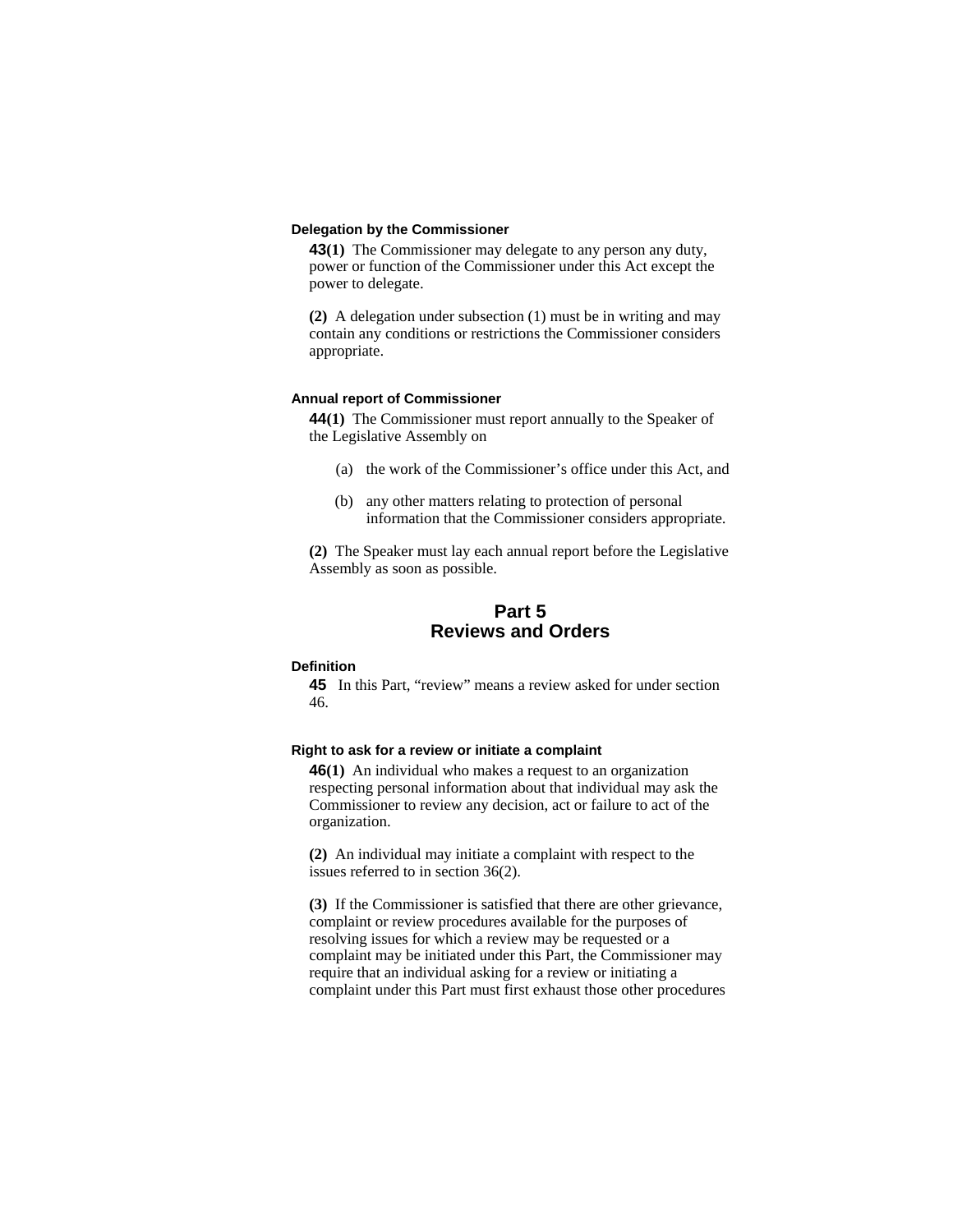### **Delegation by the Commissioner**

**43(1)** The Commissioner may delegate to any person any duty, power or function of the Commissioner under this Act except the power to delegate.

**(2)** A delegation under subsection (1) must be in writing and may contain any conditions or restrictions the Commissioner considers appropriate.

#### **Annual report of Commissioner**

**44(1)** The Commissioner must report annually to the Speaker of the Legislative Assembly on

- (a) the work of the Commissioner's office under this Act, and
- (b) any other matters relating to protection of personal information that the Commissioner considers appropriate.

**(2)** The Speaker must lay each annual report before the Legislative Assembly as soon as possible.

# **Part 5 Reviews and Orders**

#### **Definition**

**45** In this Part, "review" means a review asked for under section 46.

#### **Right to ask for a review or initiate a complaint**

**46(1)** An individual who makes a request to an organization respecting personal information about that individual may ask the Commissioner to review any decision, act or failure to act of the organization.

**(2)** An individual may initiate a complaint with respect to the issues referred to in section 36(2).

**(3)** If the Commissioner is satisfied that there are other grievance, complaint or review procedures available for the purposes of resolving issues for which a review may be requested or a complaint may be initiated under this Part, the Commissioner may require that an individual asking for a review or initiating a complaint under this Part must first exhaust those other procedures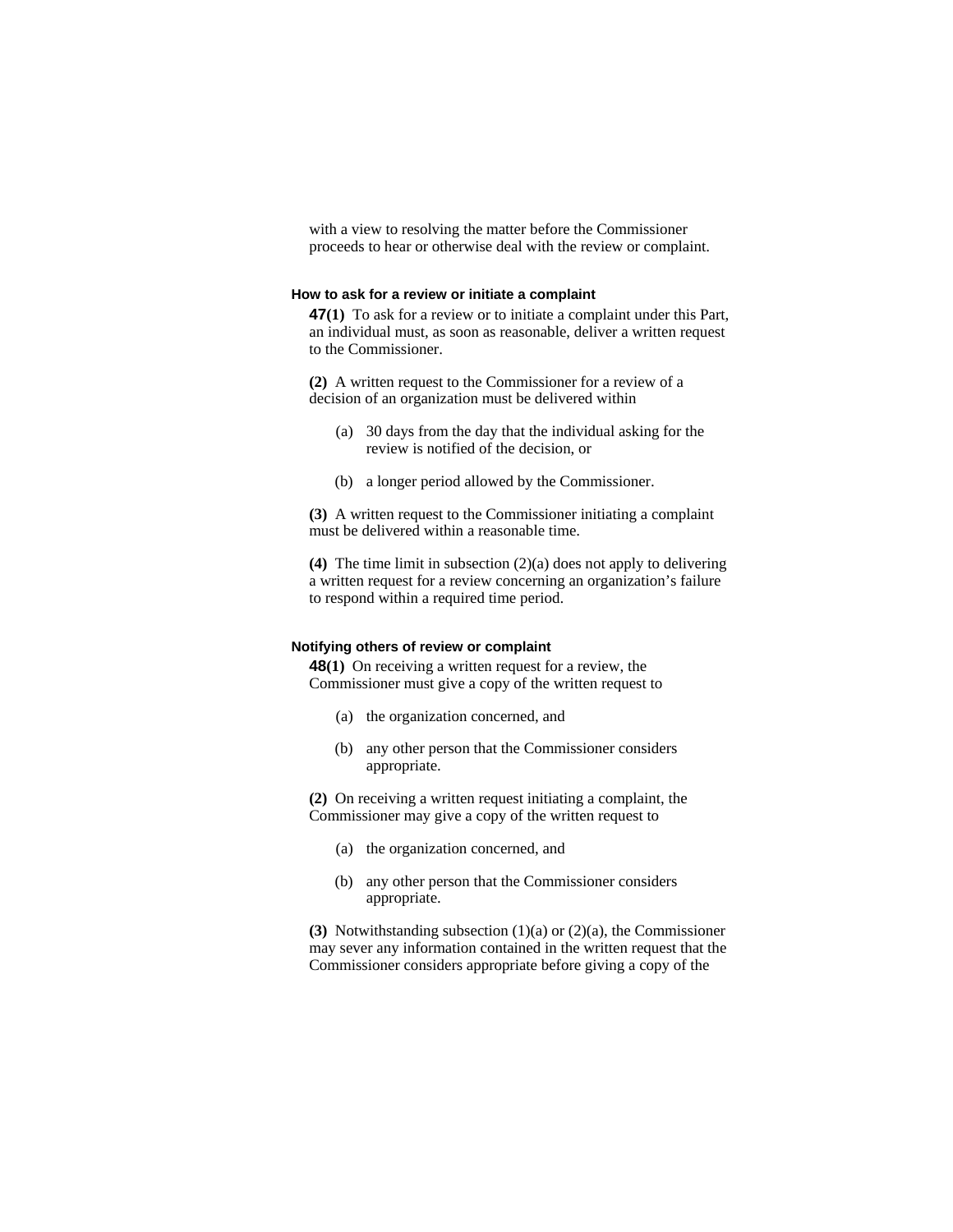with a view to resolving the matter before the Commissioner proceeds to hear or otherwise deal with the review or complaint.

#### **How to ask for a review or initiate a complaint**

**47(1)** To ask for a review or to initiate a complaint under this Part, an individual must, as soon as reasonable, deliver a written request to the Commissioner.

**(2)** A written request to the Commissioner for a review of a decision of an organization must be delivered within

- (a) 30 days from the day that the individual asking for the review is notified of the decision, or
- (b) a longer period allowed by the Commissioner.

**(3)** A written request to the Commissioner initiating a complaint must be delivered within a reasonable time.

**(4)** The time limit in subsection (2)(a) does not apply to delivering a written request for a review concerning an organization's failure to respond within a required time period.

#### **Notifying others of review or complaint**

**48(1)** On receiving a written request for a review, the Commissioner must give a copy of the written request to

- (a) the organization concerned, and
- (b) any other person that the Commissioner considers appropriate.

**(2)** On receiving a written request initiating a complaint, the Commissioner may give a copy of the written request to

- (a) the organization concerned, and
- (b) any other person that the Commissioner considers appropriate.

**(3)** Notwithstanding subsection (1)(a) or (2)(a), the Commissioner may sever any information contained in the written request that the Commissioner considers appropriate before giving a copy of the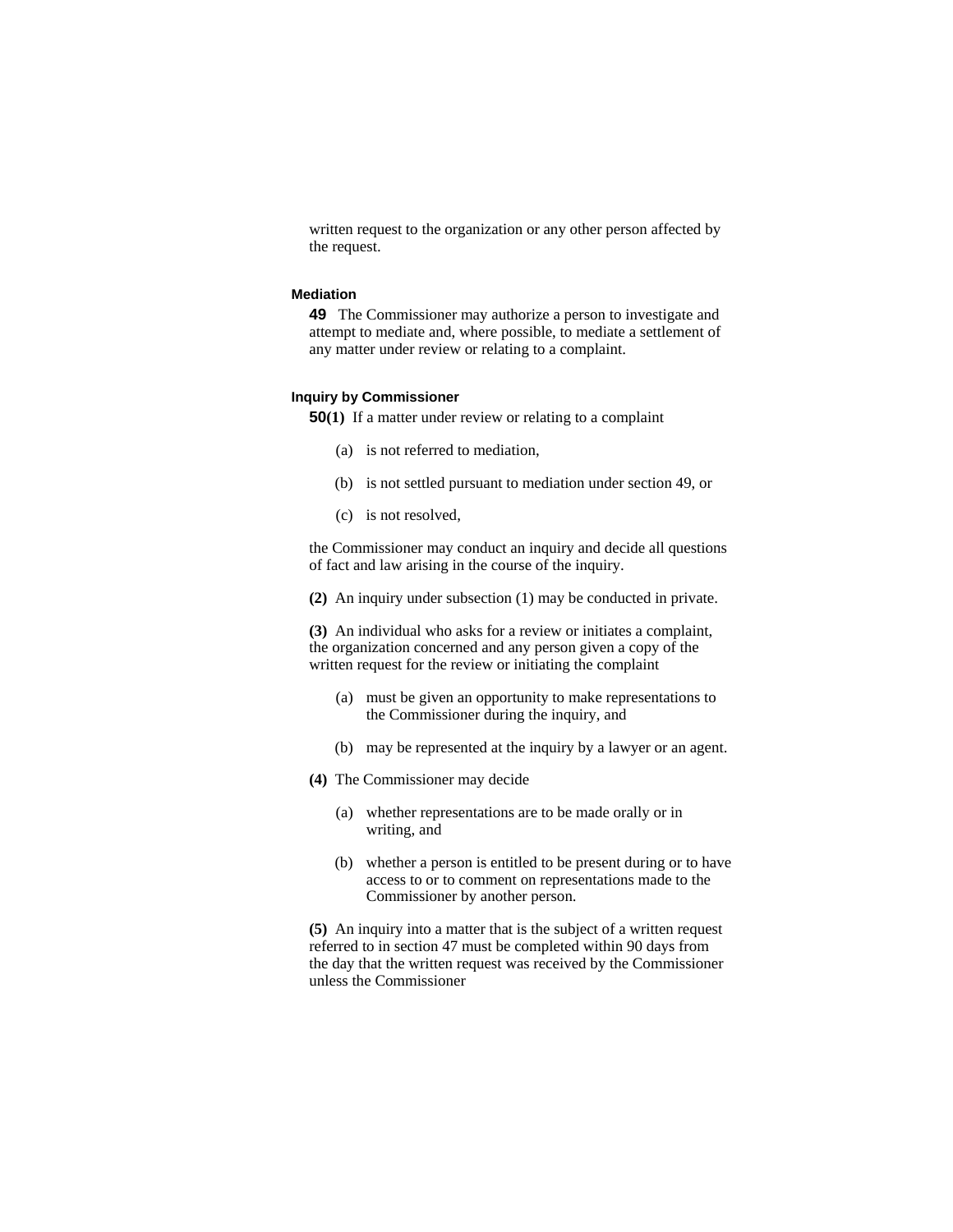written request to the organization or any other person affected by the request.

#### **Mediation**

**49** The Commissioner may authorize a person to investigate and attempt to mediate and, where possible, to mediate a settlement of any matter under review or relating to a complaint.

#### **Inquiry by Commissioner**

**50(1)** If a matter under review or relating to a complaint

- (a) is not referred to mediation,
- (b) is not settled pursuant to mediation under section 49, or
- (c) is not resolved,

the Commissioner may conduct an inquiry and decide all questions of fact and law arising in the course of the inquiry.

**(2)** An inquiry under subsection (1) may be conducted in private.

**(3)** An individual who asks for a review or initiates a complaint, the organization concerned and any person given a copy of the written request for the review or initiating the complaint

- (a) must be given an opportunity to make representations to the Commissioner during the inquiry, and
- (b) may be represented at the inquiry by a lawyer or an agent.
- **(4)** The Commissioner may decide
	- (a) whether representations are to be made orally or in writing, and
	- (b) whether a person is entitled to be present during or to have access to or to comment on representations made to the Commissioner by another person.

**(5)** An inquiry into a matter that is the subject of a written request referred to in section 47 must be completed within 90 days from the day that the written request was received by the Commissioner unless the Commissioner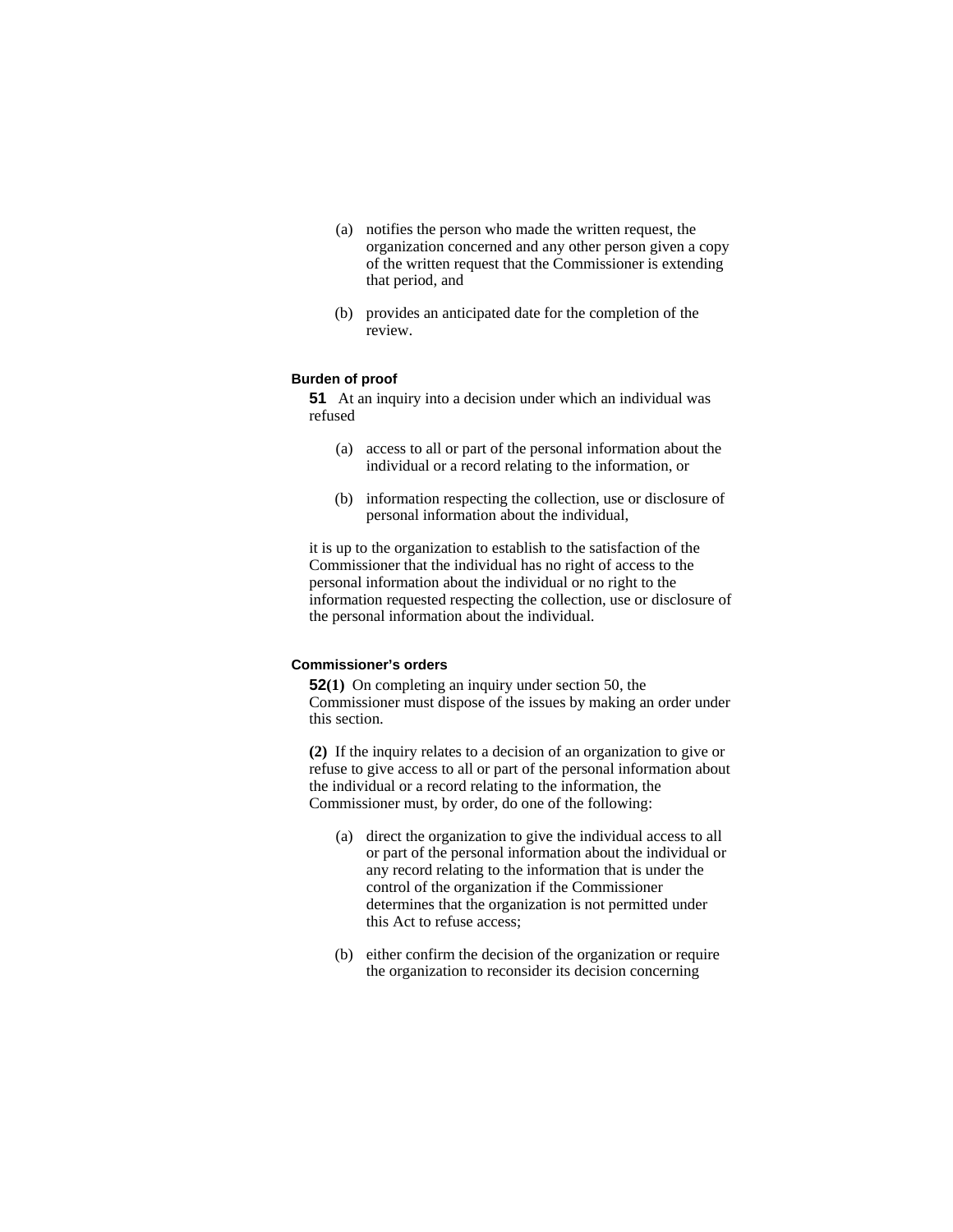- (a) notifies the person who made the written request, the organization concerned and any other person given a copy of the written request that the Commissioner is extending that period, and
- (b) provides an anticipated date for the completion of the review.

# **Burden of proof**

**51** At an inquiry into a decision under which an individual was refused

- (a) access to all or part of the personal information about the individual or a record relating to the information, or
- (b) information respecting the collection, use or disclosure of personal information about the individual,

it is up to the organization to establish to the satisfaction of the Commissioner that the individual has no right of access to the personal information about the individual or no right to the information requested respecting the collection, use or disclosure of the personal information about the individual.

#### **Commissioner's orders**

**52(1)** On completing an inquiry under section 50, the Commissioner must dispose of the issues by making an order under this section.

**(2)** If the inquiry relates to a decision of an organization to give or refuse to give access to all or part of the personal information about the individual or a record relating to the information, the Commissioner must, by order, do one of the following:

- (a) direct the organization to give the individual access to all or part of the personal information about the individual or any record relating to the information that is under the control of the organization if the Commissioner determines that the organization is not permitted under this Act to refuse access;
- (b) either confirm the decision of the organization or require the organization to reconsider its decision concerning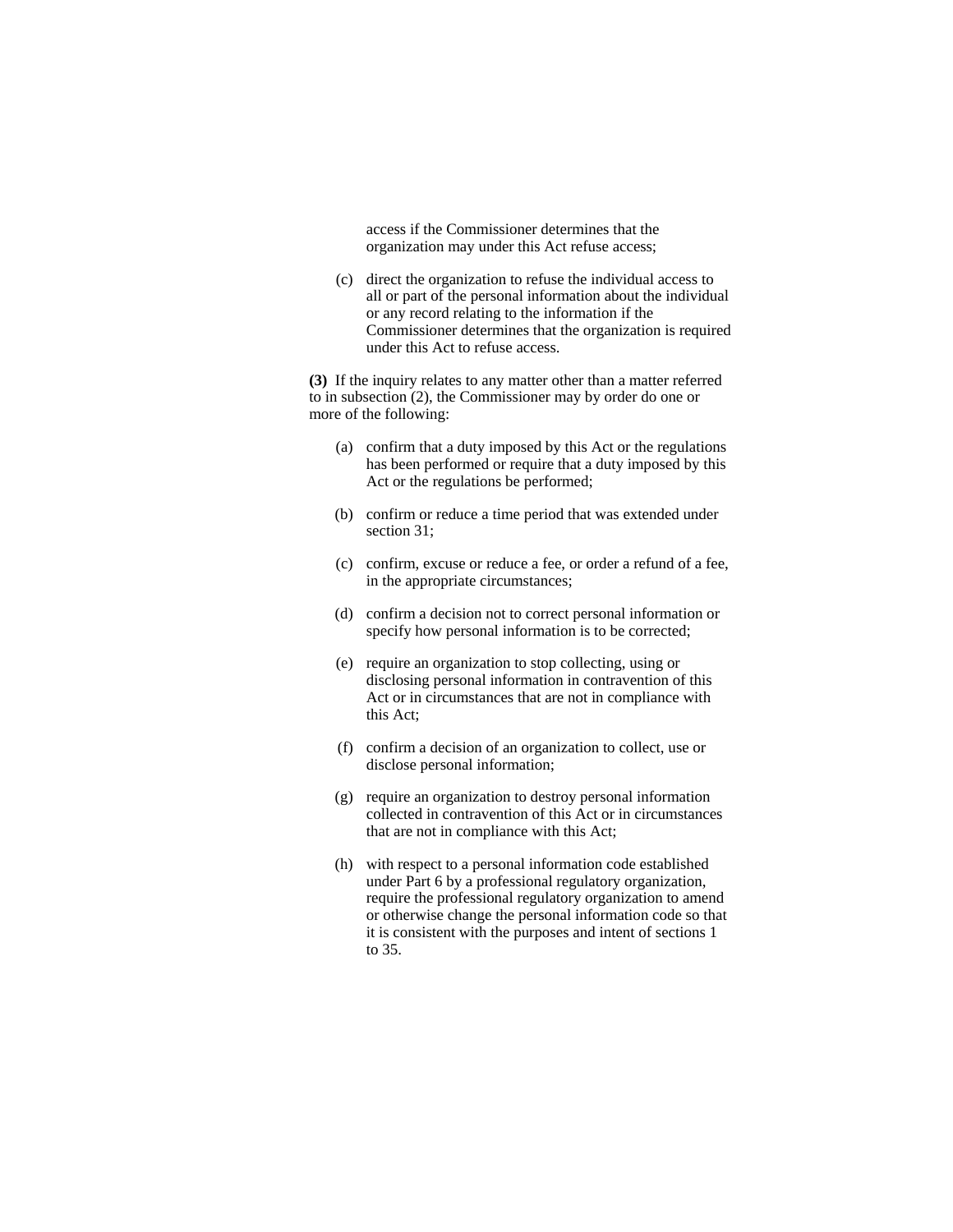access if the Commissioner determines that the organization may under this Act refuse access;

 (c) direct the organization to refuse the individual access to all or part of the personal information about the individual or any record relating to the information if the Commissioner determines that the organization is required under this Act to refuse access.

**(3)** If the inquiry relates to any matter other than a matter referred to in subsection (2), the Commissioner may by order do one or more of the following:

- (a) confirm that a duty imposed by this Act or the regulations has been performed or require that a duty imposed by this Act or the regulations be performed;
- (b) confirm or reduce a time period that was extended under section 31;
- (c) confirm, excuse or reduce a fee, or order a refund of a fee, in the appropriate circumstances;
- (d) confirm a decision not to correct personal information or specify how personal information is to be corrected;
- (e) require an organization to stop collecting, using or disclosing personal information in contravention of this Act or in circumstances that are not in compliance with this Act;
- (f) confirm a decision of an organization to collect, use or disclose personal information;
- (g) require an organization to destroy personal information collected in contravention of this Act or in circumstances that are not in compliance with this Act;
- (h) with respect to a personal information code established under Part 6 by a professional regulatory organization, require the professional regulatory organization to amend or otherwise change the personal information code so that it is consistent with the purposes and intent of sections 1 to 35.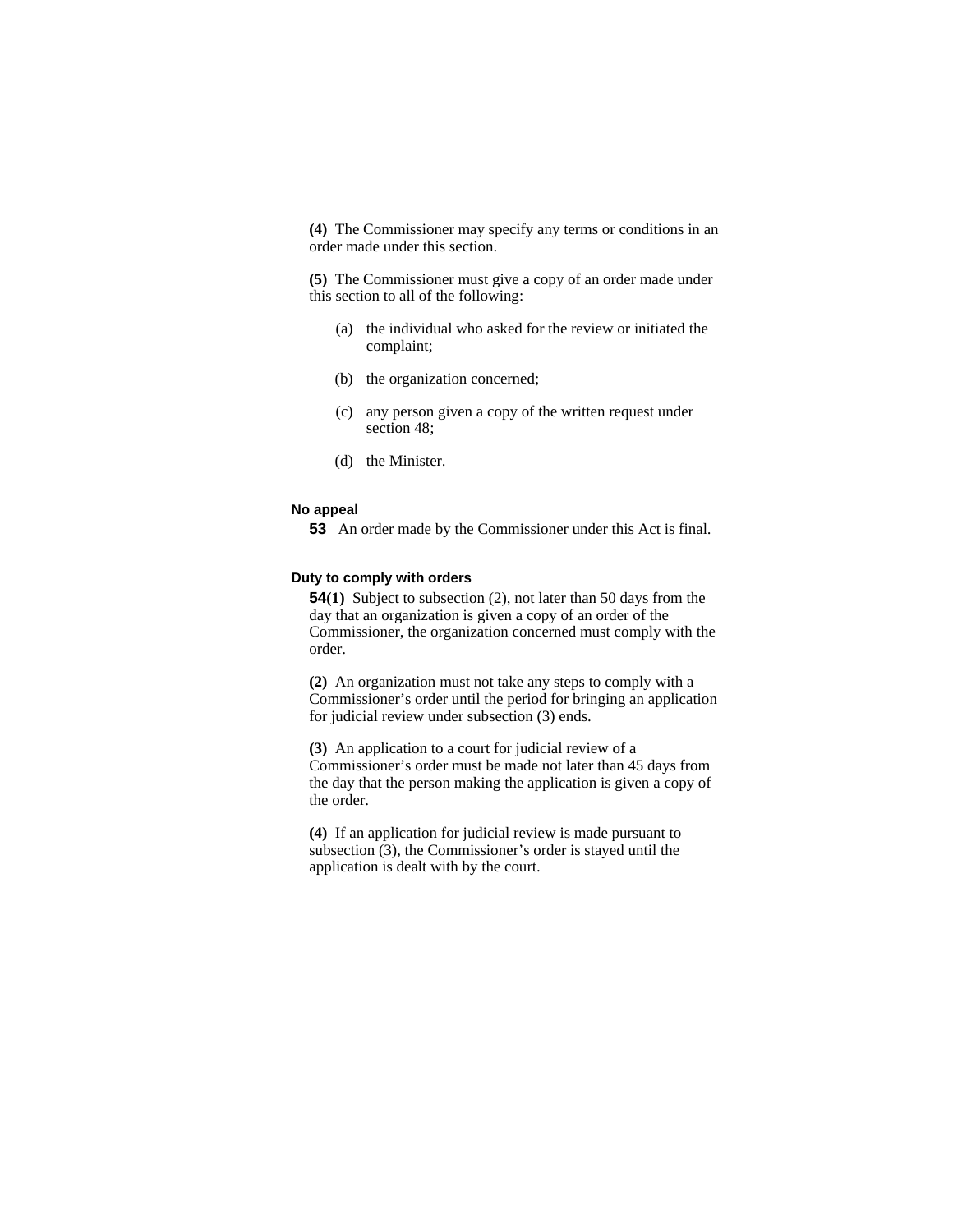**(4)** The Commissioner may specify any terms or conditions in an order made under this section.

**(5)** The Commissioner must give a copy of an order made under this section to all of the following:

- (a) the individual who asked for the review or initiated the complaint;
- (b) the organization concerned;
- (c) any person given a copy of the written request under section 48;
- (d) the Minister.

#### **No appeal**

**53** An order made by the Commissioner under this Act is final.

#### **Duty to comply with orders**

**54(1)** Subject to subsection (2), not later than 50 days from the day that an organization is given a copy of an order of the Commissioner, the organization concerned must comply with the order.

**(2)** An organization must not take any steps to comply with a Commissioner's order until the period for bringing an application for judicial review under subsection (3) ends.

**(3)** An application to a court for judicial review of a Commissioner's order must be made not later than 45 days from the day that the person making the application is given a copy of the order.

**(4)** If an application for judicial review is made pursuant to subsection (3), the Commissioner's order is stayed until the application is dealt with by the court.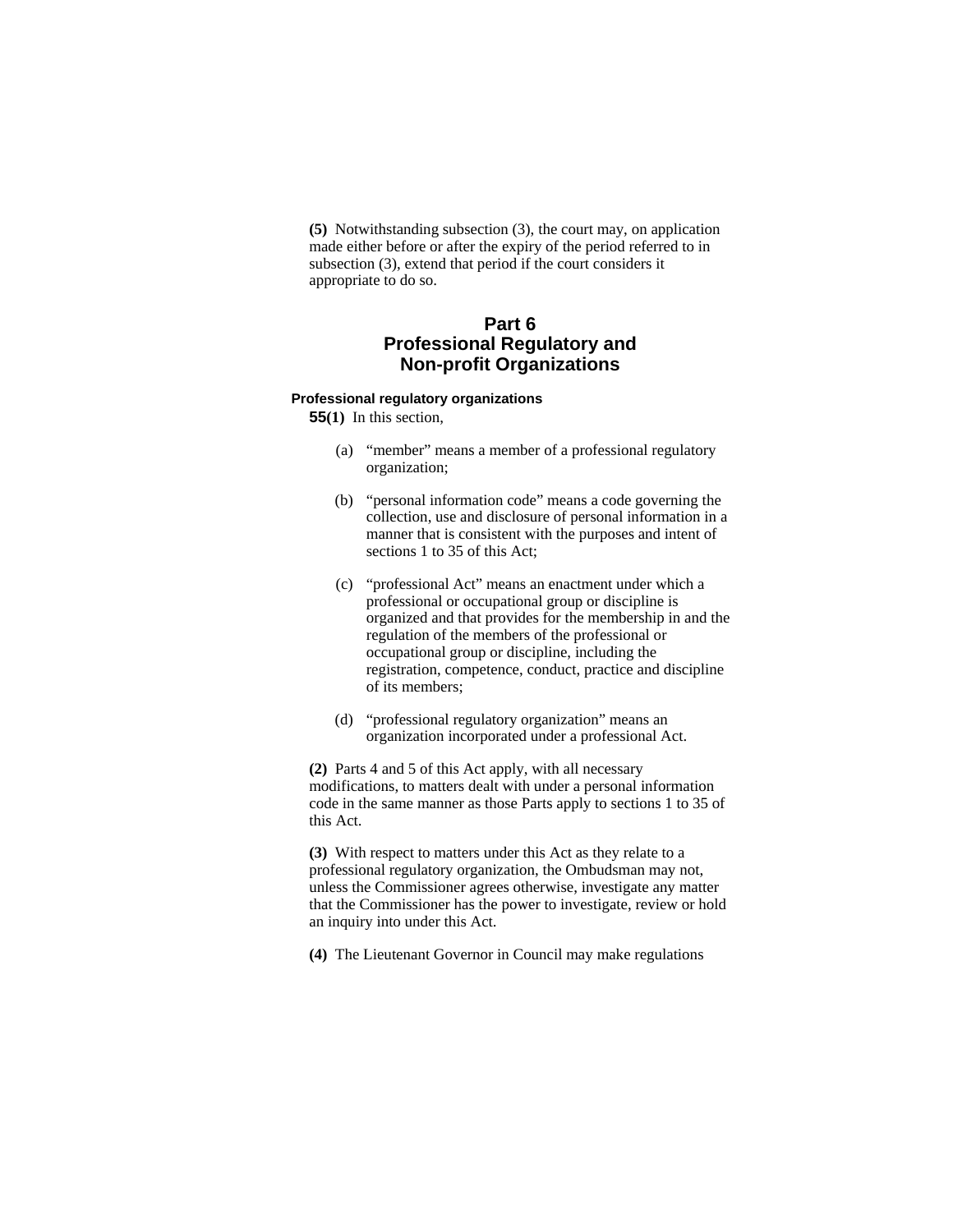**(5)** Notwithstanding subsection (3), the court may, on application made either before or after the expiry of the period referred to in subsection (3), extend that period if the court considers it appropriate to do so.

# **Part 6 Professional Regulatory and Non-profit Organizations**

#### **Professional regulatory organizations**

**55(1)** In this section,

- (a) "member" means a member of a professional regulatory organization;
- (b) "personal information code" means a code governing the collection, use and disclosure of personal information in a manner that is consistent with the purposes and intent of sections 1 to 35 of this Act;
- (c) "professional Act" means an enactment under which a professional or occupational group or discipline is organized and that provides for the membership in and the regulation of the members of the professional or occupational group or discipline, including the registration, competence, conduct, practice and discipline of its members;
- (d) "professional regulatory organization" means an organization incorporated under a professional Act.

**(2)** Parts 4 and 5 of this Act apply, with all necessary modifications, to matters dealt with under a personal information code in the same manner as those Parts apply to sections 1 to 35 of this Act.

**(3)** With respect to matters under this Act as they relate to a professional regulatory organization, the Ombudsman may not, unless the Commissioner agrees otherwise, investigate any matter that the Commissioner has the power to investigate, review or hold an inquiry into under this Act.

**(4)** The Lieutenant Governor in Council may make regulations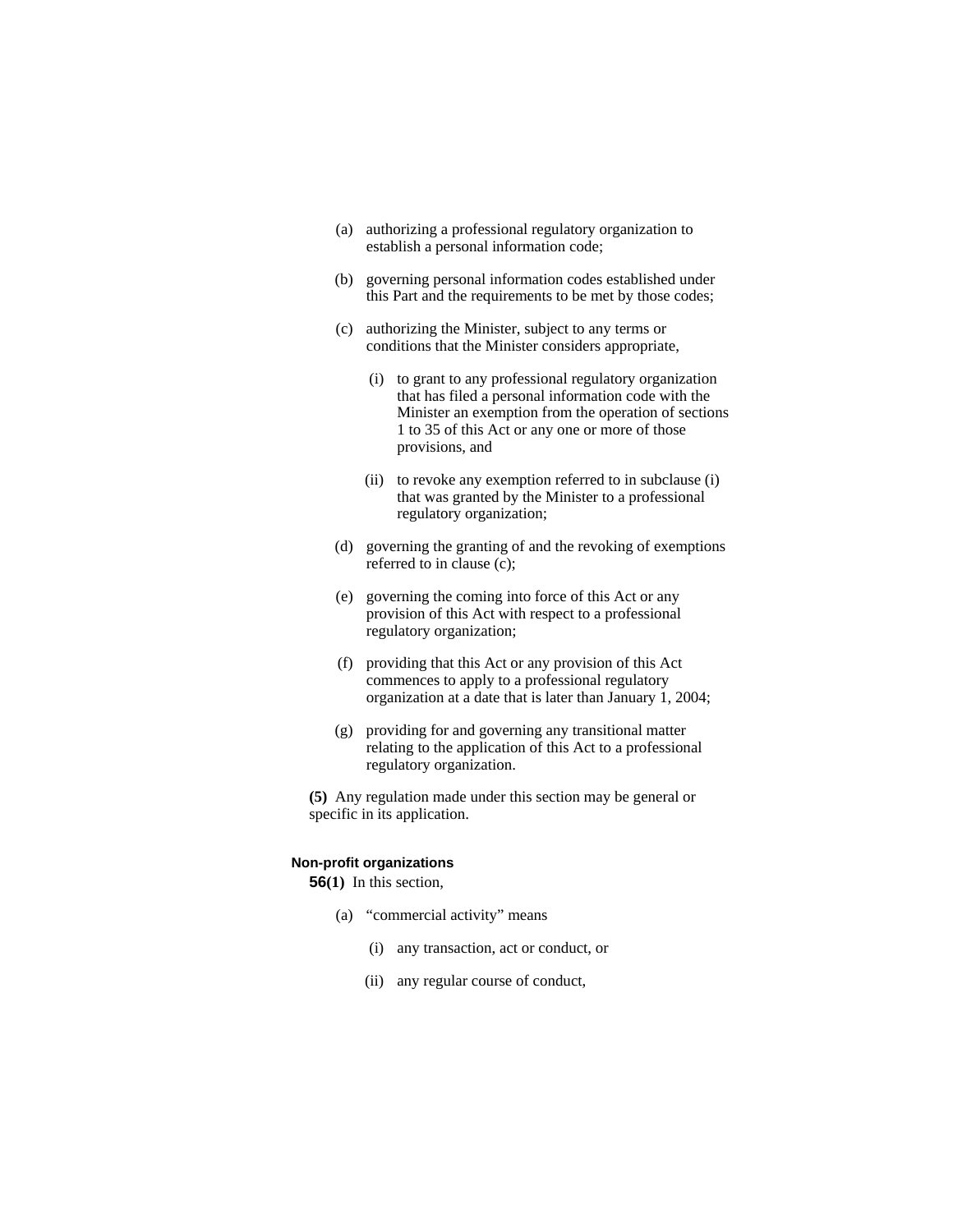- (a) authorizing a professional regulatory organization to establish a personal information code;
- (b) governing personal information codes established under this Part and the requirements to be met by those codes;
- (c) authorizing the Minister, subject to any terms or conditions that the Minister considers appropriate,
	- (i) to grant to any professional regulatory organization that has filed a personal information code with the Minister an exemption from the operation of sections 1 to 35 of this Act or any one or more of those provisions, and
	- (ii) to revoke any exemption referred to in subclause (i) that was granted by the Minister to a professional regulatory organization;
- (d) governing the granting of and the revoking of exemptions referred to in clause (c);
- (e) governing the coming into force of this Act or any provision of this Act with respect to a professional regulatory organization;
- (f) providing that this Act or any provision of this Act commences to apply to a professional regulatory organization at a date that is later than January 1, 2004;
- (g) providing for and governing any transitional matter relating to the application of this Act to a professional regulatory organization.

**(5)** Any regulation made under this section may be general or specific in its application.

# **Non-profit organizations**

**56(1)** In this section,

- (a) "commercial activity" means
	- (i) any transaction, act or conduct, or
	- (ii) any regular course of conduct,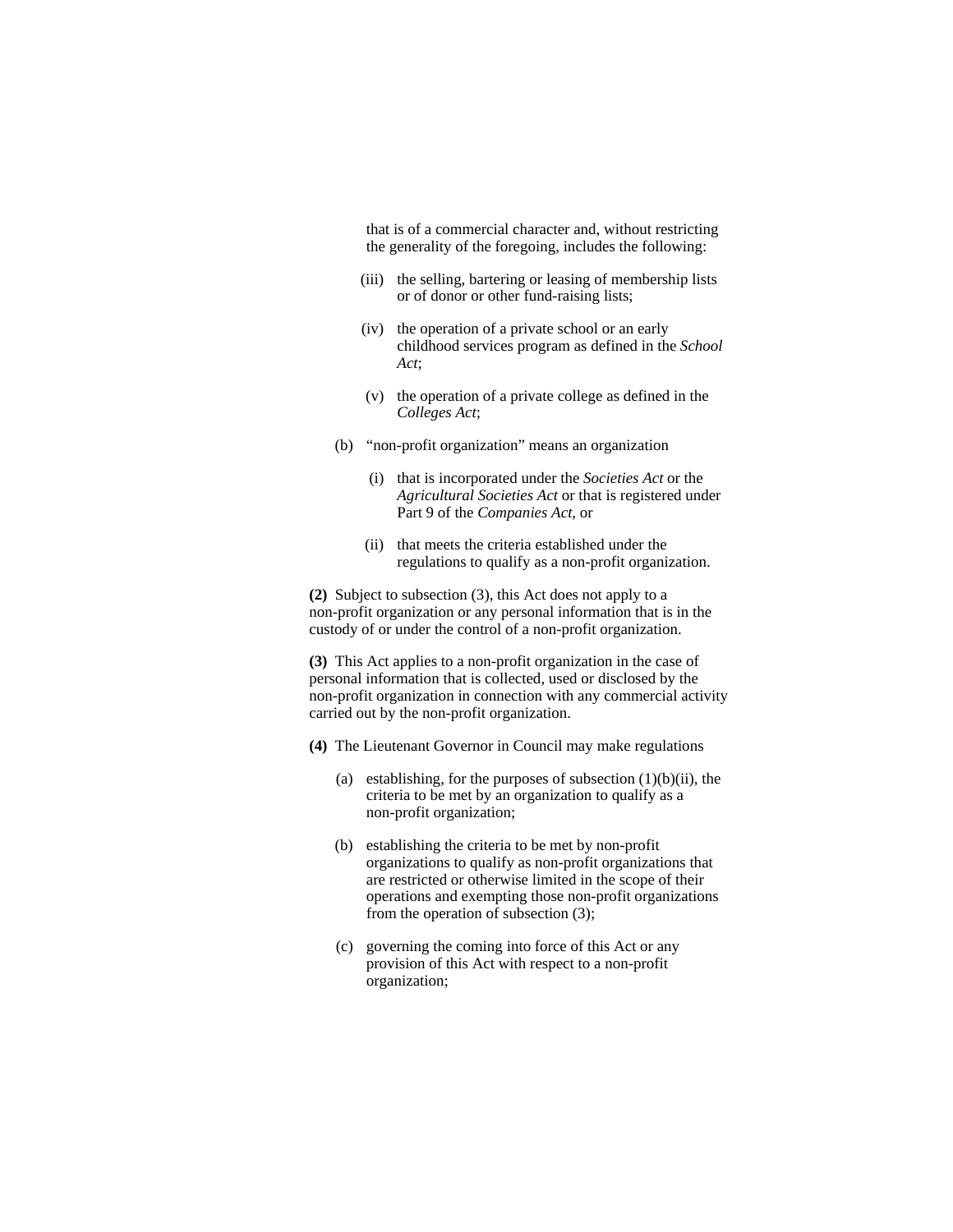that is of a commercial character and, without restricting the generality of the foregoing, includes the following:

- (iii) the selling, bartering or leasing of membership lists or of donor or other fund-raising lists;
- (iv) the operation of a private school or an early childhood services program as defined in the *School Act*;
- (v) the operation of a private college as defined in the *Colleges Act*;
- (b) "non-profit organization" means an organization
	- (i) that is incorporated under the *Societies Act* or the *Agricultural Societies Act* or that is registered under Part 9 of the *Companies Act*, or
	- (ii) that meets the criteria established under the regulations to qualify as a non-profit organization.

**(2)** Subject to subsection (3), this Act does not apply to a non-profit organization or any personal information that is in the custody of or under the control of a non-profit organization.

**(3)** This Act applies to a non-profit organization in the case of personal information that is collected, used or disclosed by the non-profit organization in connection with any commercial activity carried out by the non-profit organization.

- **(4)** The Lieutenant Governor in Council may make regulations
	- (a) establishing, for the purposes of subsection  $(1)(b)(ii)$ , the criteria to be met by an organization to qualify as a non-profit organization;
	- (b) establishing the criteria to be met by non-profit organizations to qualify as non-profit organizations that are restricted or otherwise limited in the scope of their operations and exempting those non-profit organizations from the operation of subsection (3);
	- (c) governing the coming into force of this Act or any provision of this Act with respect to a non-profit organization;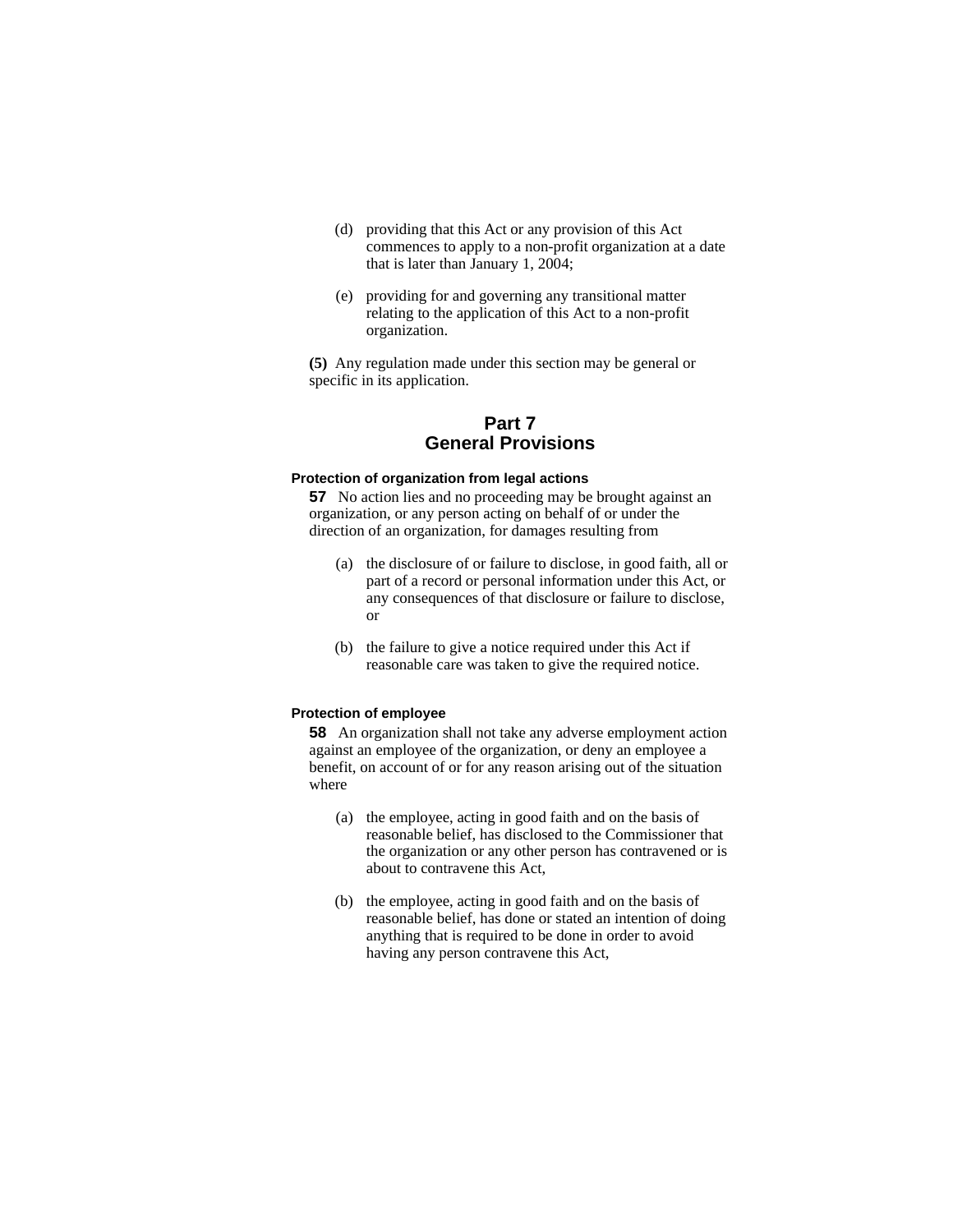- (d) providing that this Act or any provision of this Act commences to apply to a non-profit organization at a date that is later than January 1, 2004;
- (e) providing for and governing any transitional matter relating to the application of this Act to a non-profit organization.

**(5)** Any regulation made under this section may be general or specific in its application.

# **Part 7 General Provisions**

# **Protection of organization from legal actions**

**57** No action lies and no proceeding may be brought against an organization, or any person acting on behalf of or under the direction of an organization, for damages resulting from

- (a) the disclosure of or failure to disclose, in good faith, all or part of a record or personal information under this Act, or any consequences of that disclosure or failure to disclose, or
- (b) the failure to give a notice required under this Act if reasonable care was taken to give the required notice.

### **Protection of employee**

**58** An organization shall not take any adverse employment action against an employee of the organization, or deny an employee a benefit, on account of or for any reason arising out of the situation where

- (a) the employee, acting in good faith and on the basis of reasonable belief, has disclosed to the Commissioner that the organization or any other person has contravened or is about to contravene this Act,
- (b) the employee, acting in good faith and on the basis of reasonable belief, has done or stated an intention of doing anything that is required to be done in order to avoid having any person contravene this Act,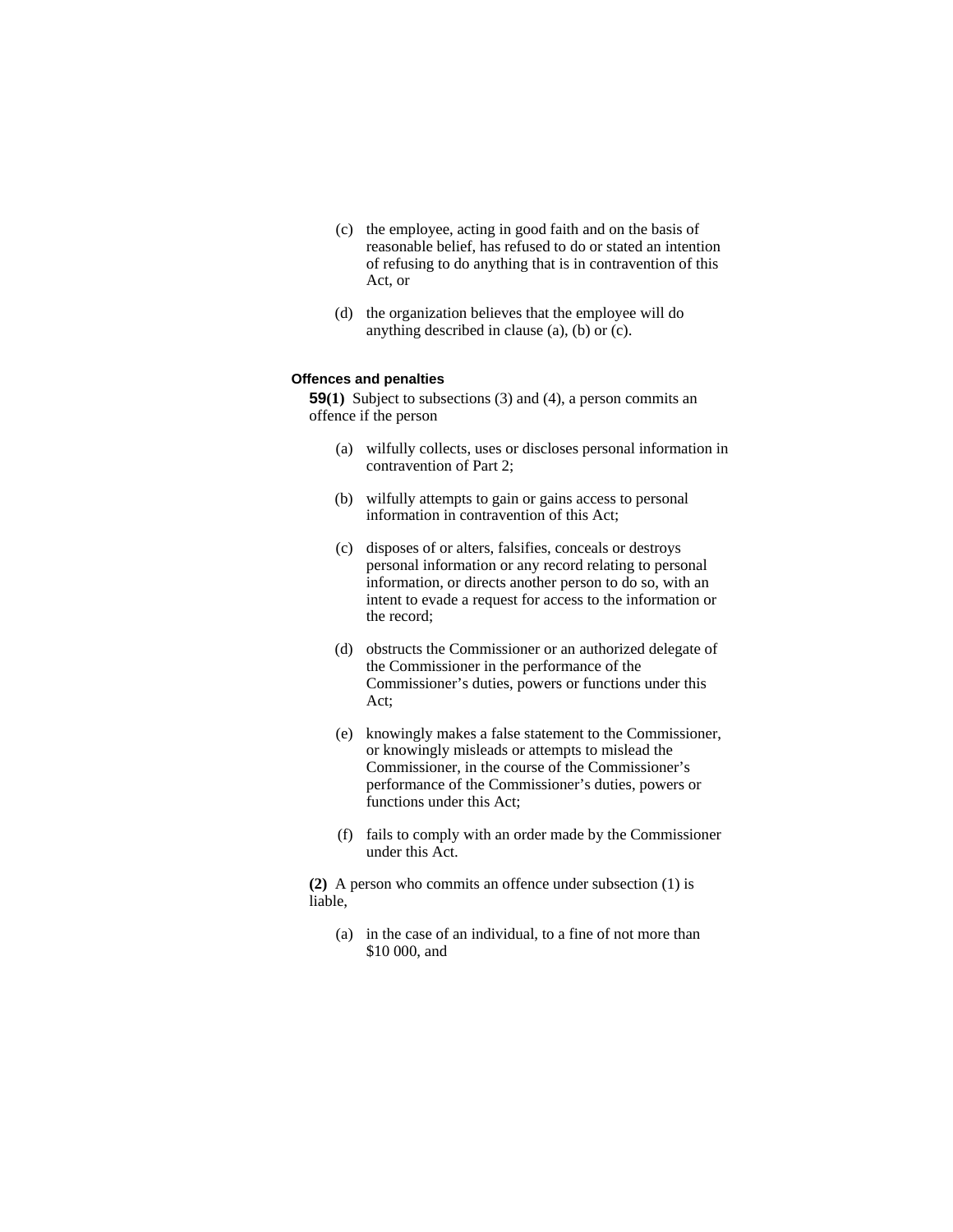- (c) the employee, acting in good faith and on the basis of reasonable belief, has refused to do or stated an intention of refusing to do anything that is in contravention of this Act, or
- (d) the organization believes that the employee will do anything described in clause (a), (b) or (c).

# **Offences and penalties**

**59(1)** Subject to subsections (3) and (4), a person commits an offence if the person

- (a) wilfully collects, uses or discloses personal information in contravention of Part 2;
- (b) wilfully attempts to gain or gains access to personal information in contravention of this Act;
- (c) disposes of or alters, falsifies, conceals or destroys personal information or any record relating to personal information, or directs another person to do so, with an intent to evade a request for access to the information or the record;
- (d) obstructs the Commissioner or an authorized delegate of the Commissioner in the performance of the Commissioner's duties, powers or functions under this Act;
- (e) knowingly makes a false statement to the Commissioner, or knowingly misleads or attempts to mislead the Commissioner, in the course of the Commissioner's performance of the Commissioner's duties, powers or functions under this Act;
- (f) fails to comply with an order made by the Commissioner under this Act.

**(2)** A person who commits an offence under subsection (1) is liable,

 (a) in the case of an individual, to a fine of not more than \$10 000, and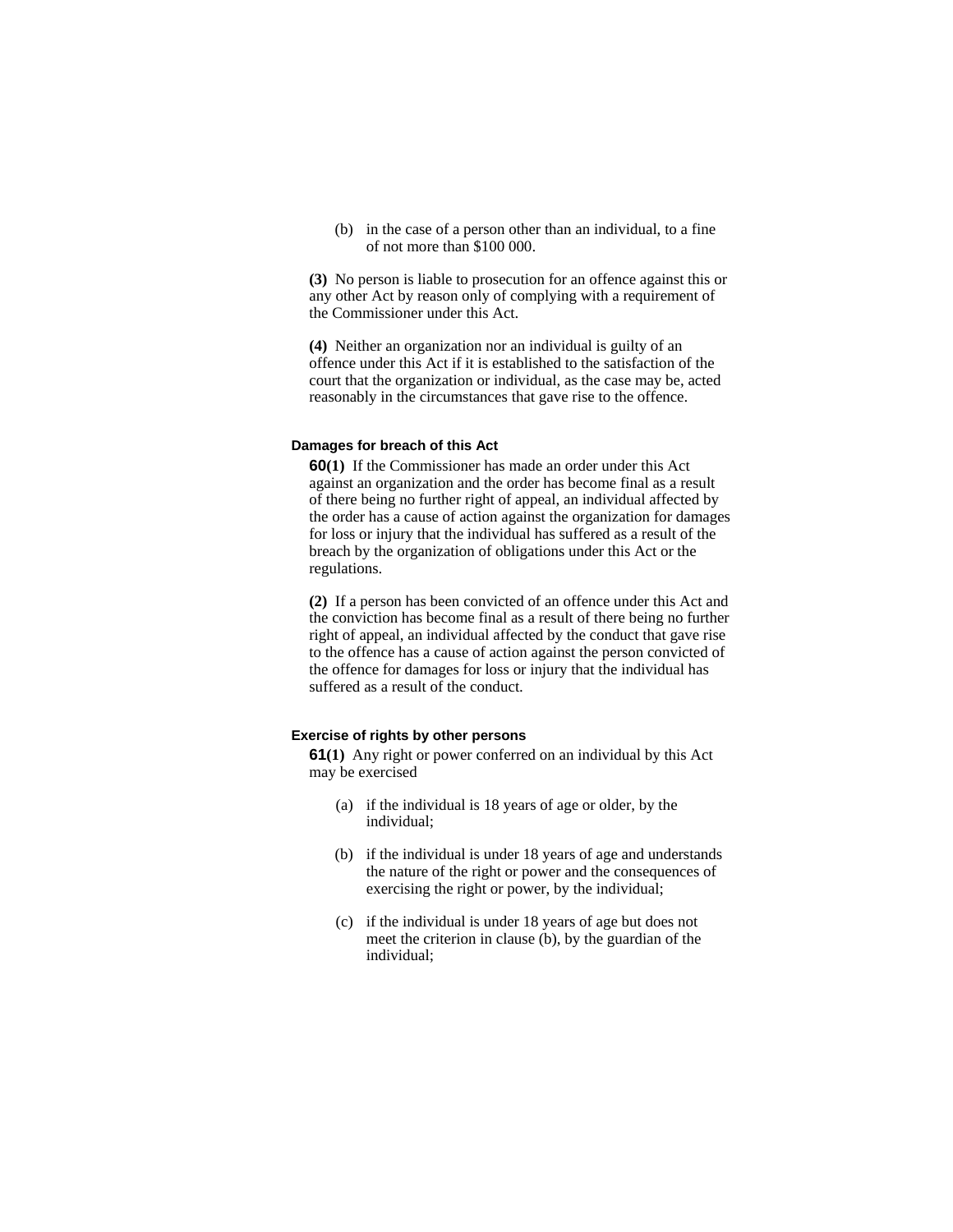(b) in the case of a person other than an individual, to a fine of not more than \$100 000.

**(3)** No person is liable to prosecution for an offence against this or any other Act by reason only of complying with a requirement of the Commissioner under this Act.

**(4)** Neither an organization nor an individual is guilty of an offence under this Act if it is established to the satisfaction of the court that the organization or individual, as the case may be, acted reasonably in the circumstances that gave rise to the offence.

#### **Damages for breach of this Act**

**60(1)** If the Commissioner has made an order under this Act against an organization and the order has become final as a result of there being no further right of appeal, an individual affected by the order has a cause of action against the organization for damages for loss or injury that the individual has suffered as a result of the breach by the organization of obligations under this Act or the regulations.

**(2)** If a person has been convicted of an offence under this Act and the conviction has become final as a result of there being no further right of appeal, an individual affected by the conduct that gave rise to the offence has a cause of action against the person convicted of the offence for damages for loss or injury that the individual has suffered as a result of the conduct.

# **Exercise of rights by other persons**

**61(1)** Any right or power conferred on an individual by this Act may be exercised

- (a) if the individual is 18 years of age or older, by the individual;
- (b) if the individual is under 18 years of age and understands the nature of the right or power and the consequences of exercising the right or power, by the individual;
- (c) if the individual is under 18 years of age but does not meet the criterion in clause (b), by the guardian of the individual;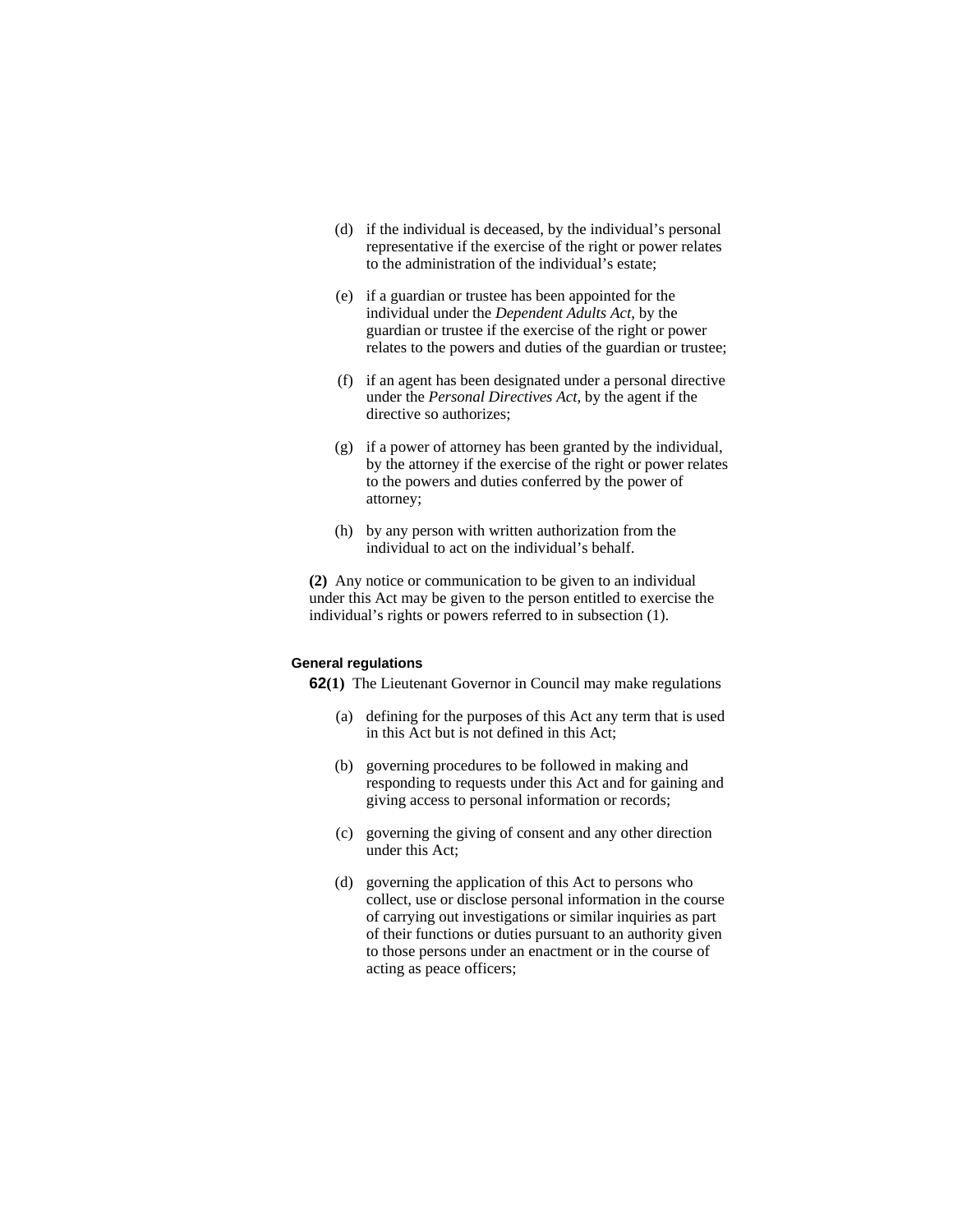- (d) if the individual is deceased, by the individual's personal representative if the exercise of the right or power relates to the administration of the individual's estate;
- (e) if a guardian or trustee has been appointed for the individual under the *Dependent Adults Act*, by the guardian or trustee if the exercise of the right or power relates to the powers and duties of the guardian or trustee;
- (f) if an agent has been designated under a personal directive under the *Personal Directives Act*, by the agent if the directive so authorizes;
- (g) if a power of attorney has been granted by the individual, by the attorney if the exercise of the right or power relates to the powers and duties conferred by the power of attorney;
- (h) by any person with written authorization from the individual to act on the individual's behalf.

**(2)** Any notice or communication to be given to an individual under this Act may be given to the person entitled to exercise the individual's rights or powers referred to in subsection (1).

### **General regulations**

**62(1)** The Lieutenant Governor in Council may make regulations

- (a) defining for the purposes of this Act any term that is used in this Act but is not defined in this Act;
- (b) governing procedures to be followed in making and responding to requests under this Act and for gaining and giving access to personal information or records;
- (c) governing the giving of consent and any other direction under this Act;
- (d) governing the application of this Act to persons who collect, use or disclose personal information in the course of carrying out investigations or similar inquiries as part of their functions or duties pursuant to an authority given to those persons under an enactment or in the course of acting as peace officers;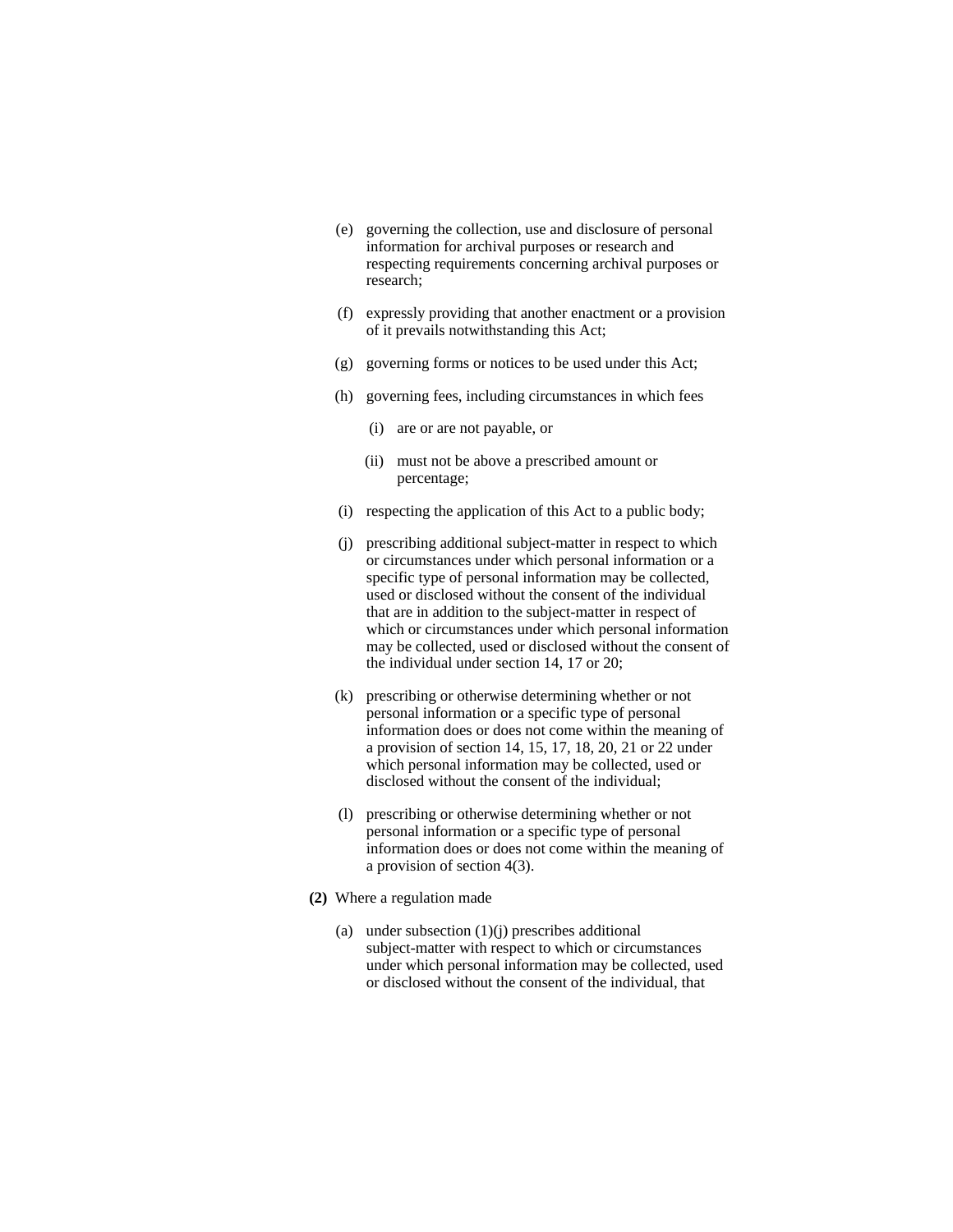- (e) governing the collection, use and disclosure of personal information for archival purposes or research and respecting requirements concerning archival purposes or research;
- (f) expressly providing that another enactment or a provision of it prevails notwithstanding this Act;
- (g) governing forms or notices to be used under this Act;
- (h) governing fees, including circumstances in which fees
	- (i) are or are not payable, or
	- (ii) must not be above a prescribed amount or percentage;
- (i) respecting the application of this Act to a public body;
- (j) prescribing additional subject-matter in respect to which or circumstances under which personal information or a specific type of personal information may be collected, used or disclosed without the consent of the individual that are in addition to the subject-matter in respect of which or circumstances under which personal information may be collected, used or disclosed without the consent of the individual under section 14, 17 or 20;
- (k) prescribing or otherwise determining whether or not personal information or a specific type of personal information does or does not come within the meaning of a provision of section 14, 15, 17, 18, 20, 21 or 22 under which personal information may be collected, used or disclosed without the consent of the individual;
- (l) prescribing or otherwise determining whether or not personal information or a specific type of personal information does or does not come within the meaning of a provision of section 4(3).
- **(2)** Where a regulation made
	- (a) under subsection  $(1)(j)$  prescribes additional subject-matter with respect to which or circumstances under which personal information may be collected, used or disclosed without the consent of the individual, that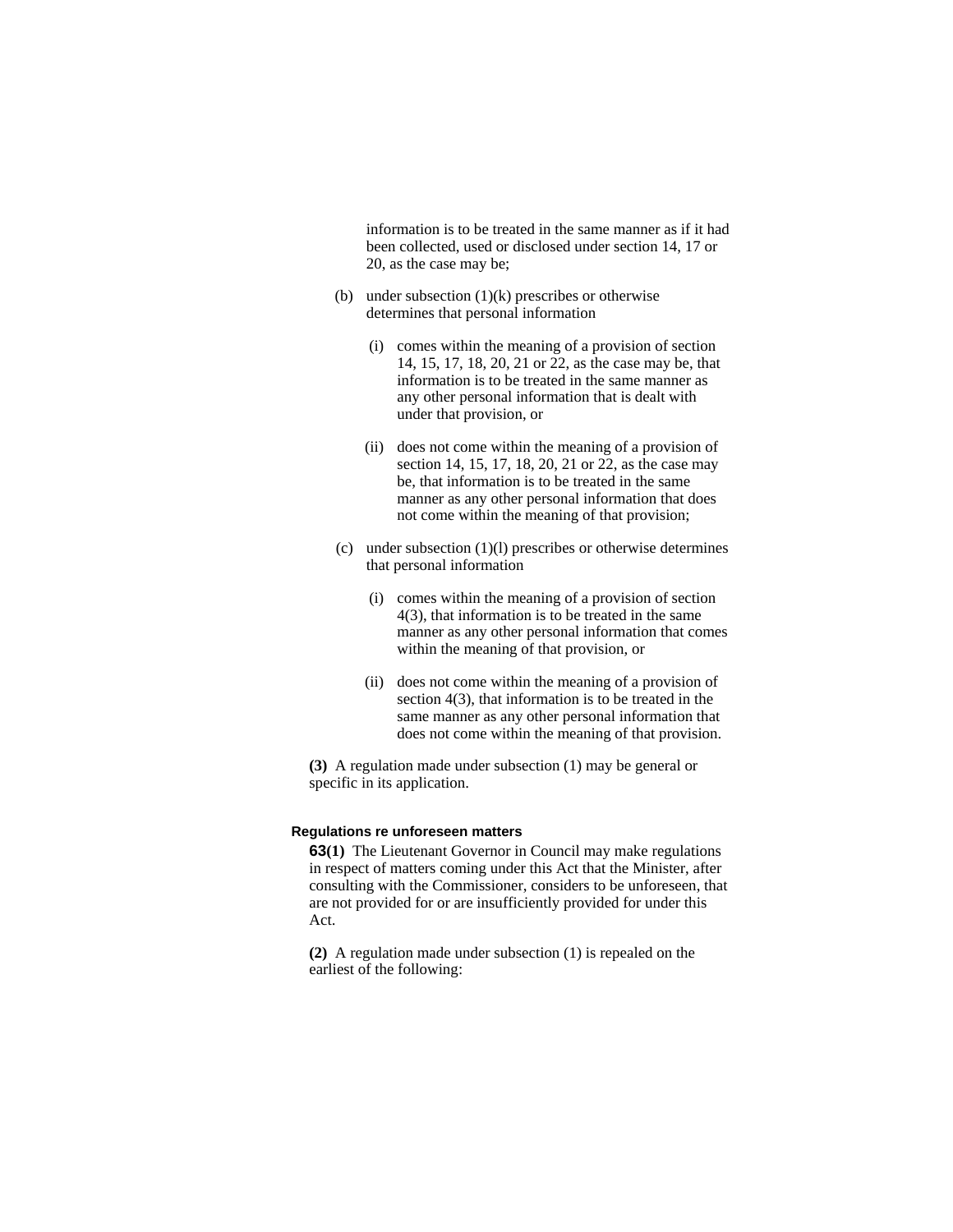information is to be treated in the same manner as if it had been collected, used or disclosed under section 14, 17 or 20, as the case may be;

- (b) under subsection  $(1)(k)$  prescribes or otherwise determines that personal information
	- (i) comes within the meaning of a provision of section 14, 15, 17, 18, 20, 21 or 22, as the case may be, that information is to be treated in the same manner as any other personal information that is dealt with under that provision, or
	- (ii) does not come within the meaning of a provision of section 14, 15, 17, 18, 20, 21 or 22, as the case may be, that information is to be treated in the same manner as any other personal information that does not come within the meaning of that provision;
- (c) under subsection (1)(l) prescribes or otherwise determines that personal information
	- (i) comes within the meaning of a provision of section 4(3), that information is to be treated in the same manner as any other personal information that comes within the meaning of that provision, or
	- (ii) does not come within the meaning of a provision of section  $4(3)$ , that information is to be treated in the same manner as any other personal information that does not come within the meaning of that provision.

**(3)** A regulation made under subsection (1) may be general or specific in its application.

#### **Regulations re unforeseen matters**

**63(1)** The Lieutenant Governor in Council may make regulations in respect of matters coming under this Act that the Minister, after consulting with the Commissioner, considers to be unforeseen, that are not provided for or are insufficiently provided for under this Act.

**(2)** A regulation made under subsection (1) is repealed on the earliest of the following: